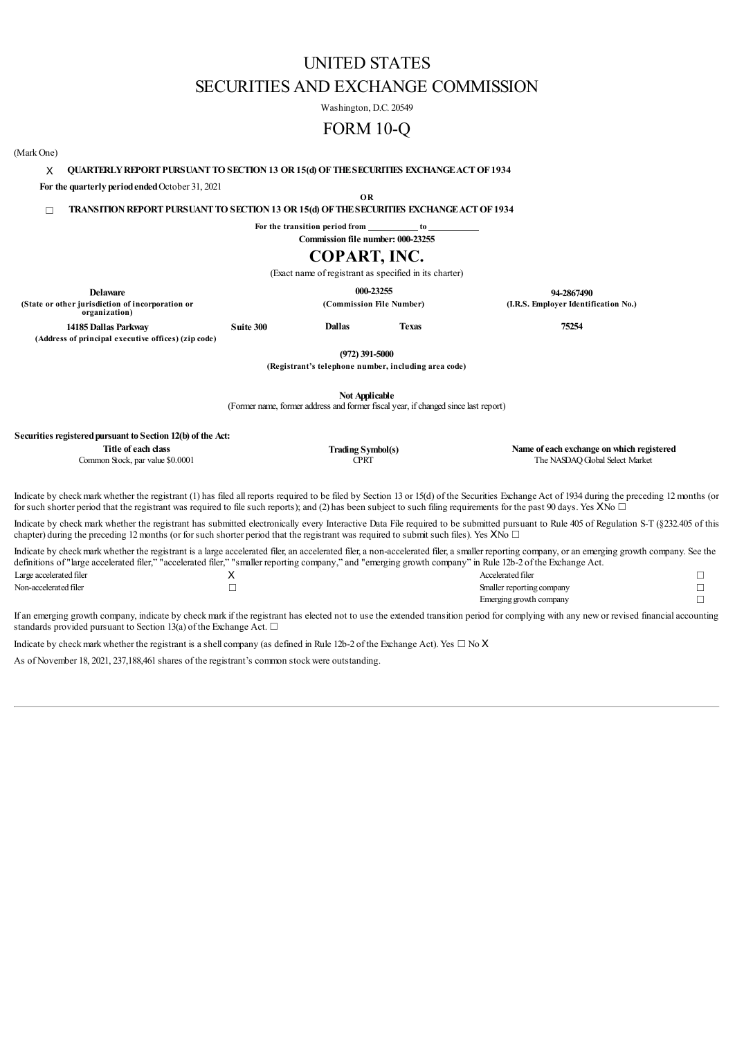# UNITED STATES SECURITIES AND EXCHANGE COMMISSION

Washington, D.C. 20549

# FORM 10-Q

(Mark One)

### X **QUARTERLYREPORTPURSUANTTOSECTION13 OR15(d)OFTHESECURITIES EXCHANGEACTOF1934**

**For the quarterly periodended**October 31, 2021

**OR**

☐ **TRANSITIONREPORTPURSUANTTOSECTION13 OR15(d)OFTHESECURITIES EXCHANGEACTOF1934**

**For the transition period from to**

**Commission file number: 000-23255**

# **COPART, INC.**

(Exact name of registrant as specified in its charter)

**(State or other jurisdiction of incorporation or organization)**

**Delaware 000-23255 94-2867490 (Commission File Number) (I.R.S. Employer Identification No.)**

**14185Dallas Parkway Suite 300 Dallas Texas 75254 (Address of principal executive offices) (zip code)**

**(972) 391-5000**

**(Registrant's telephone number, including area code)**

**Not Applicable**

(Former name, former address and former fiscal year, if changed since last report)

### **Securitiesregisteredpursuant to Section 12(b) of the Act:**

| Title of each class                                                                                                                                                       | <b>Trading Symbol(s)</b> | Name of each exchange on which registered                                                                                                                                                     |
|---------------------------------------------------------------------------------------------------------------------------------------------------------------------------|--------------------------|-----------------------------------------------------------------------------------------------------------------------------------------------------------------------------------------------|
| Common Stock, par value \$0,0001                                                                                                                                          | CPRT                     | The NASDAO Global Select Market                                                                                                                                                               |
|                                                                                                                                                                           |                          |                                                                                                                                                                                               |
|                                                                                                                                                                           |                          |                                                                                                                                                                                               |
|                                                                                                                                                                           |                          | Indicate by check mark whether the registrant (1) has filed all reports required to be filed by Section 13 or 15(d) of the Securities Exchange Act of 1934 during the preceding 12 months (or |
| for such shorter period that the registrant was required to file such reports); and (2) has been subject to such filing requirements for the past 90 days. Yes XNo $\Box$ |                          |                                                                                                                                                                                               |

Indicate by check mark whether the registrant has submitted electronically every Interactive Data File required to be submitted pursuant to Rule 405 of Regulation S-T (§232.405 of this chapter) during the preceding 12 months (or for such shorter period that the registrant was required to submit such files). Yes  $XN_0 \Box$ 

Indicate by check mark whether the registrant is a large accelerated filer, an accelerated filer, a non-accelerated filer, a smaller reporting company, or an emerging growth company. See the definitions of"large accelerated filer," "accelerated filer," "smaller reporting company," and "emerging growth company" in Rule 12b-2 of the Exchange Act. Large accelerated filer  $\square$ Non-accelerated filer ☐ Smaller reporting company ☐ Emerging growth company **□** 

If an emerging growth company, indicate by check mark if the registrant has elected not to use the extended transition period for complying with any new or revised financial accounting standards provided pursuant to Section 13(a) of the Exchange Act.  $\Box$ 

Indicate by check mark whether the registrant is a shell company (as defined in Rule 12b-2 of the Exchange Act). Yes  $\Box$  No X

<span id="page-0-0"></span>As of November 18, 2021, 237,188,461 shares of the registrant's common stockwere outstanding.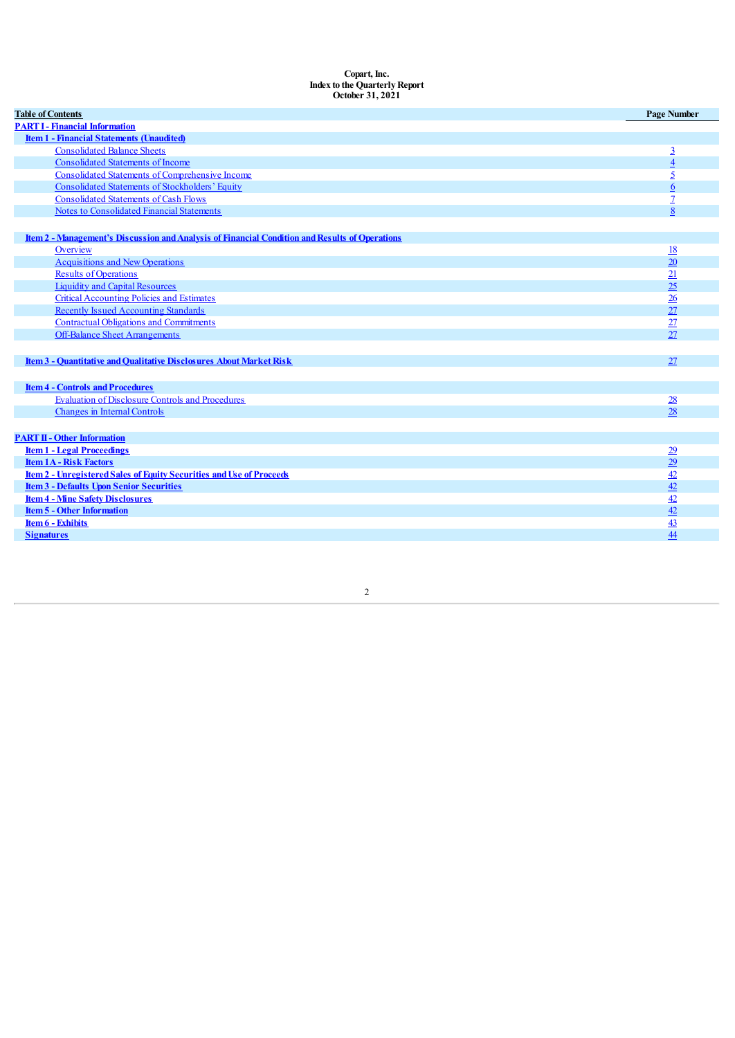### **Copart, Inc. Index to the QuarterlyReport October 31, 2021**

| <b>Table of Contents</b>                                                                       | <b>Page Number</b> |
|------------------------------------------------------------------------------------------------|--------------------|
| <b>PART I - Financial Information</b>                                                          |                    |
| <b>Item 1 - Financial Statements (Unaudited)</b>                                               |                    |
| <b>Consolidated Balance Sheets</b>                                                             | $\overline{3}$     |
| <b>Consolidated Statements of Income</b>                                                       | $\overline{4}$     |
| <b>Consolidated Statements of Comprehensive Income</b>                                         | $\overline{5}$     |
| <b>Consolidated Statements of Stockholders' Equity</b>                                         | 6                  |
| <b>Consolidated Statements of Cash Flows</b>                                                   | $\overline{1}$     |
| <b>Notes to Consolidated Financial Statements</b>                                              | 8                  |
|                                                                                                |                    |
| Item 2 - Management's Discussion and Analysis of Financial Condition and Results of Operations |                    |
| Overview                                                                                       | 18                 |
| <b>Acquisitions and New Operations</b>                                                         | 20                 |
| <b>Results of Operations</b>                                                                   | 21                 |
| <b>Liquidity and Capital Resources</b>                                                         | $\overline{25}$    |
| <b>Critical Accounting Policies and Estimates</b>                                              | $\frac{26}{5}$     |
| <b>Recently Issued Accounting Standards</b>                                                    | 27                 |
| <b>Contractual Obligations and Commitments</b>                                                 | 27                 |
| <b>Off-Balance Sheet Arrangements</b>                                                          | 27                 |
|                                                                                                |                    |
| <b>Item 3 - Quantitative and Qualitative Disclosures About Market Risk</b>                     | 27                 |
|                                                                                                |                    |
| <b>Item 4 - Controls and Procedures</b>                                                        |                    |
| <b>Evaluation of Disclosure Controls and Procedures</b>                                        | $\underline{28}$   |
| <b>Changes in Internal Controls</b>                                                            | 28                 |
|                                                                                                |                    |
| <b>PART II - Other Information</b>                                                             |                    |
| <b>Item 1 - Legal Proceedings</b>                                                              | $\overline{29}$    |
| <b>Item 1A - Risk Factors</b>                                                                  | $\overline{29}$    |
| <b>Item 2 - Unregistered Sales of Equity Securities and Use of Proceeds</b>                    |                    |
| <b>Item 3 - Defaults Upon Senior Securities</b>                                                | $\frac{42}{42}$    |
| <b>Item 4 - Mine Safety Disclosures</b>                                                        |                    |
| <b>Item 5 - Other Information</b>                                                              | $\frac{42}{42}$    |
| <b>Item 6 - Exhibits</b>                                                                       | $\overline{43}$    |
| <b>Signatures</b>                                                                              | $\overline{44}$    |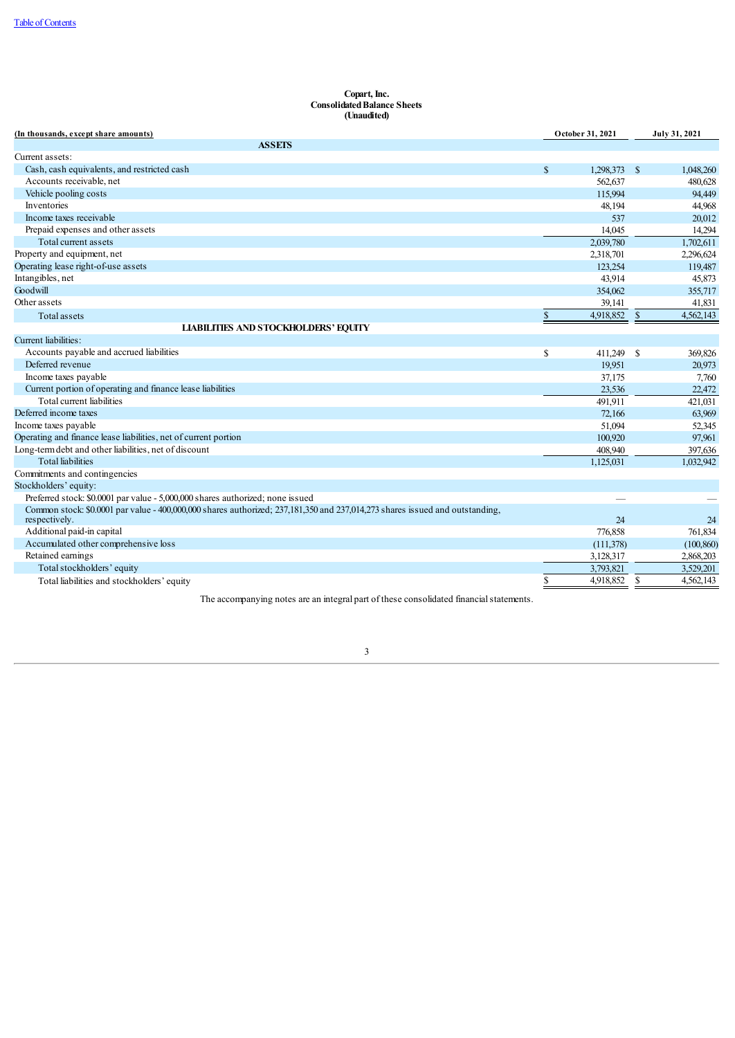### **Copart, Inc. ConsolidatedBalance Sheets (Unaudited)**

| (In thousands, except share amounts)                                                                                                          |              | October 31, 2021 |              | July 31, 2021 |  |  |
|-----------------------------------------------------------------------------------------------------------------------------------------------|--------------|------------------|--------------|---------------|--|--|
| <b>ASSETS</b>                                                                                                                                 |              |                  |              |               |  |  |
| Current assets:                                                                                                                               |              |                  |              |               |  |  |
| Cash, cash equivalents, and restricted cash                                                                                                   | $\mathbb{S}$ | 1.298.373 \$     |              | 1,048,260     |  |  |
| Accounts receivable, net                                                                                                                      |              | 562,637          |              | 480,628       |  |  |
| Vehicle pooling costs                                                                                                                         |              | 115,994          |              | 94,449        |  |  |
| Inventories                                                                                                                                   |              | 48,194           |              | 44,968        |  |  |
| Income taxes receivable                                                                                                                       |              | 537              |              | 20.012        |  |  |
| Prepaid expenses and other assets                                                                                                             |              | 14.045           |              | 14,294        |  |  |
| Total current assets                                                                                                                          |              | 2,039,780        |              | 1,702,611     |  |  |
| Property and equipment, net                                                                                                                   |              | 2,318,701        |              | 2,296,624     |  |  |
| Operating lease right-of-use assets                                                                                                           |              | 123,254          |              | 119,487       |  |  |
| Intangibles, net                                                                                                                              |              | 43,914           |              | 45,873        |  |  |
| Goodwill                                                                                                                                      |              | 354,062          |              | 355,717       |  |  |
| Other assets                                                                                                                                  |              | 39,141           |              | 41.831        |  |  |
| Total assets                                                                                                                                  | $\mathbb{S}$ | 4,918,852        | $\mathbb{S}$ | 4,562,143     |  |  |
| <b>LIABILITIES AND STOCKHOLDERS' EQUITY</b>                                                                                                   |              |                  |              |               |  |  |
| Current liabilities:                                                                                                                          |              |                  |              |               |  |  |
| Accounts payable and accrued liabilities                                                                                                      | \$           | 411,249 \$       |              | 369,826       |  |  |
| Deferred revenue                                                                                                                              |              | 19,951           |              | 20,973        |  |  |
| Income taxes payable                                                                                                                          |              | 37,175           |              | 7.760         |  |  |
| Current portion of operating and finance lease liabilities                                                                                    |              | 23,536           |              | 22,472        |  |  |
| Total current liabilities                                                                                                                     |              | 491,911          |              | 421,031       |  |  |
| Deferred income taxes                                                                                                                         |              | 72,166           |              | 63,969        |  |  |
| Income taxes payable                                                                                                                          |              | 51,094           |              | 52,345        |  |  |
| Operating and finance lease liabilities, net of current portion                                                                               |              | 100,920          |              | 97,961        |  |  |
| Long-term debt and other liabilities, net of discount                                                                                         |              | 408.940          |              | 397,636       |  |  |
| <b>Total liabilities</b>                                                                                                                      |              | 1,125,031        |              | 1,032,942     |  |  |
| Commitments and contingencies                                                                                                                 |              |                  |              |               |  |  |
| Stockholders' equity:                                                                                                                         |              |                  |              |               |  |  |
| Preferred stock: \$0.0001 par value - 5,000,000 shares authorized; none issued                                                                |              |                  |              |               |  |  |
| Common stock: \$0.0001 par value - 400,000,000 shares authorized; 237,181,350 and 237,014,273 shares issued and outstanding,<br>respectively. |              | 24               |              | 24            |  |  |
| Additional paid-in capital                                                                                                                    |              | 776,858          |              | 761,834       |  |  |
| Accumulated other comprehensive loss                                                                                                          |              | (111,378)        |              | (100, 860)    |  |  |
| Retained earnings                                                                                                                             |              | 3,128,317        |              | 2,868,203     |  |  |
| Total stockholders' equity                                                                                                                    |              | 3,793,821        |              | 3,529,201     |  |  |
| Total liabilities and stockholders' equity                                                                                                    | S            | 4,918,852        | \$           | 4,562,143     |  |  |

The accompanying notes are an integral part of these consolidated financial statements.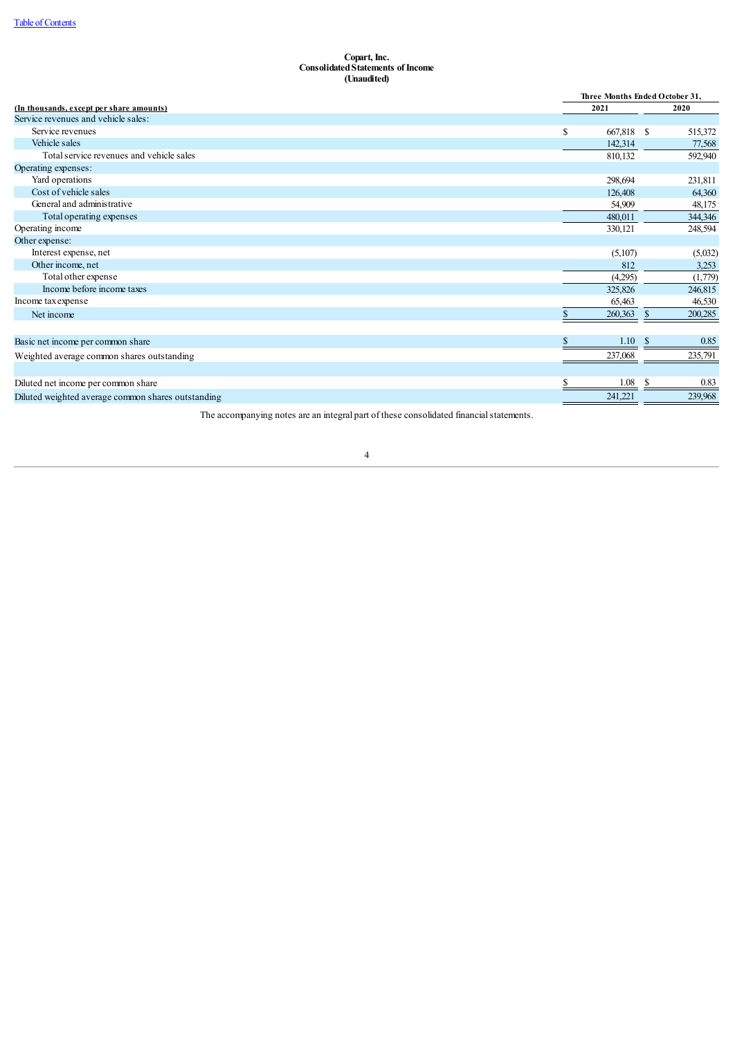### **Copart, Inc. Consolidated Statements of Income (Unaudited)**

|                                                    |                  | Three Months Ended October 31, |  |
|----------------------------------------------------|------------------|--------------------------------|--|
| (In thousands, except per share amounts)           |                  | 2020                           |  |
| Service revenues and vehicle sales:                |                  |                                |  |
| Service revenues                                   | \$<br>667,818 \$ | 515,372                        |  |
| Vehicle sales                                      | 142,314          | 77,568                         |  |
| Total service revenues and vehicle sales           | 810,132          | 592,940                        |  |
| Operating expenses:                                |                  |                                |  |
| Yard operations                                    | 298,694          | 231,811                        |  |
| Cost of vehicle sales                              | 126,408          | 64,360                         |  |
| General and administrative                         | 54,909           | 48,175                         |  |
| Total operating expenses                           | 480,011          | 344,346                        |  |
| Operating income                                   | 330,121          | 248,594                        |  |
| Other expense:                                     |                  |                                |  |
| Interest expense, net                              | (5,107)          | (5,032)                        |  |
| Other income, net                                  | 812              | 3,253                          |  |
| Total other expense                                | (4,295)          | (1,779)                        |  |
| Income before income taxes                         | 325,826          | 246,815                        |  |
| Income tax expense                                 | 65,463           | 46,530                         |  |
| Net income                                         | 260,363          | 200,285<br><sup>S</sup>        |  |
|                                                    |                  |                                |  |
| Basic net income per common share                  | 1.10             | 0.85<br>- \$                   |  |
| Weighted average common shares outstanding         | 237,068          | 235,791                        |  |
|                                                    |                  |                                |  |
| Diluted net income per common share                | $1.08 \t S$<br>S | 0.83                           |  |
| Diluted weighted average common shares outstanding | 241,221          | 239,968                        |  |

<span id="page-3-0"></span>The accompanying notes are an integral part of these consolidated financial statements.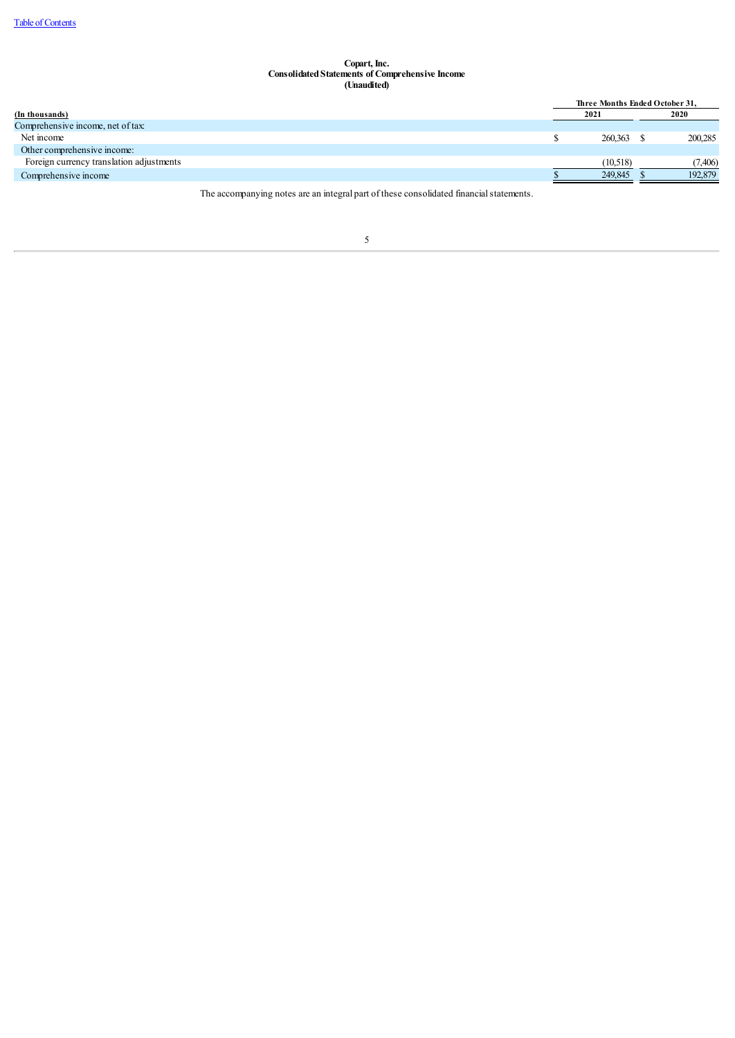### **Copart, Inc. ConsolidatedStatements of Comprehensive Income (Unaudited)**

|                                          |  |            | Three Months Ended October 31. |         |  |  |
|------------------------------------------|--|------------|--------------------------------|---------|--|--|
| (In thousands)                           |  | 2021       |                                | 2020    |  |  |
| Comprehensive income, net of tax:        |  |            |                                |         |  |  |
| Net income                               |  | 260,363 \$ |                                | 200,285 |  |  |
| Other comprehensive income:              |  |            |                                |         |  |  |
| Foreign currency translation adjustments |  | (10.518)   |                                | (7.406) |  |  |
| Comprehensive income                     |  | 249.845    |                                | 192,879 |  |  |

The accompanying notes are an integral part of these consolidated financial statements.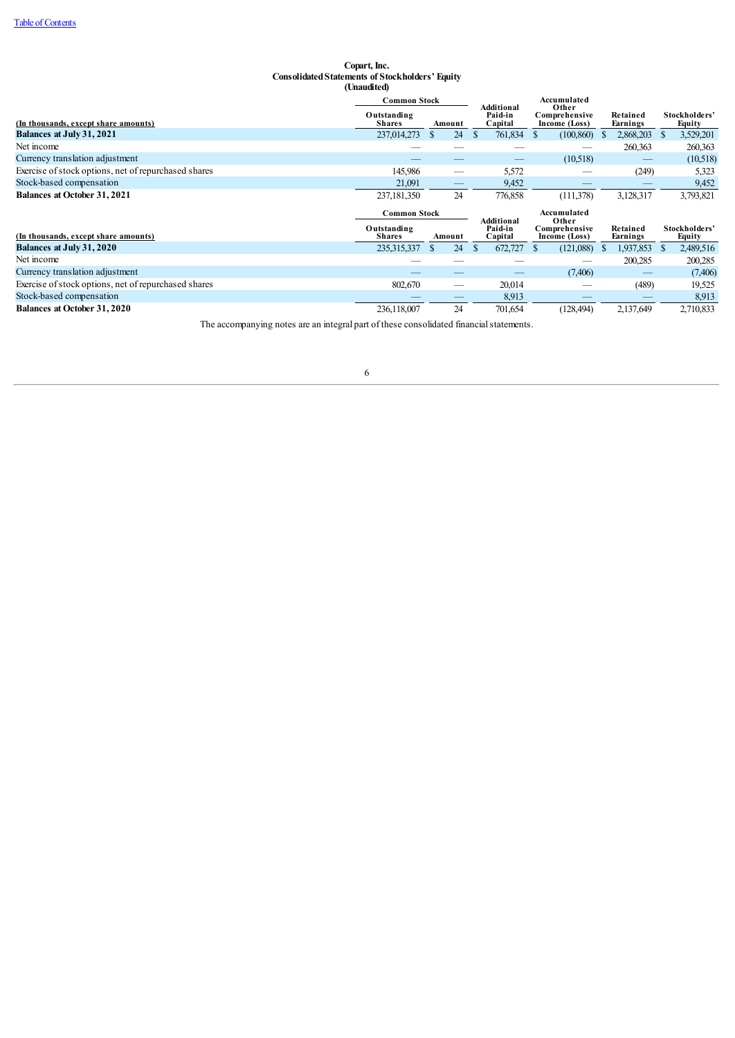### **Copart, Inc. ConsolidatedStatements of Stockholders' Equity (Unaudited)**

|                                                      | <b>Common Stock</b><br>Additional |  | Accumulated | Other               |                                |                      |                           |
|------------------------------------------------------|-----------------------------------|--|-------------|---------------------|--------------------------------|----------------------|---------------------------|
| (In thousands, except share amounts)                 | Outstanding<br>Shares             |  | Amount      | Paid-in<br>Capital  | Comprehensive<br>Income (Loss) | Retained<br>Earnings | Stockholders'<br>Equity   |
| Balances at July 31, 2021                            | 237,014,273                       |  | 24          | 761,834<br><b>S</b> | (100, 860)<br><sup>\$</sup>    | 2,868,203            | 3,529,201<br>$\mathbf{r}$ |
| Net income                                           |                                   |  |             |                     |                                | 260,363              | 260,363                   |
| Currency translation adjustment                      |                                   |  |             | --                  | (10, 518)                      |                      | (10,518)                  |
| Exercise of stock options, net of repurchased shares | 145,986                           |  |             | 5,572               |                                | (249)                | 5,323                     |
| Stock-based compensation                             | 21,091                            |  |             | 9,452               |                                |                      | 9,452                     |
| <b>Balances at October 31, 2021</b>                  | 237, 181, 350                     |  | 24          | 776,858             | (111, 378)                     | 3,128,317            | 3,793,821                 |
|                                                      |                                   |  |             |                     |                                |                      |                           |
|                                                      | <b>Common Stock</b>               |  |             | Additional          | Accumulated<br>Other           |                      |                           |
| (In thousands, except share amounts)                 | Outstanding<br>Shares             |  | Amount      | Paid-in<br>Capital  | Comprehensive<br>Income (Loss) | Retained<br>Earnings | Stockholders'<br>Equity   |
| <b>Balances at July 31, 2020</b>                     | 235, 315, 337                     |  | 24          | 672,727<br><b>S</b> | (121,088)                      | 1,937,853            | 2,489,516<br><sup>8</sup> |
| Net income                                           |                                   |  |             |                     |                                | 200,285              | 200,285                   |
| Currency translation adjustment                      |                                   |  |             |                     | (7, 406)                       |                      | (7,406)                   |
| Exercise of stock options, net of repurchased shares | 802,670                           |  |             | 20,014              |                                | (489)                | 19,525                    |
| Stock-based compensation                             |                                   |  |             | 8,913               |                                |                      | 8,913                     |

<span id="page-5-0"></span>The accompanying notes are an integral part of these consolidated financial statements.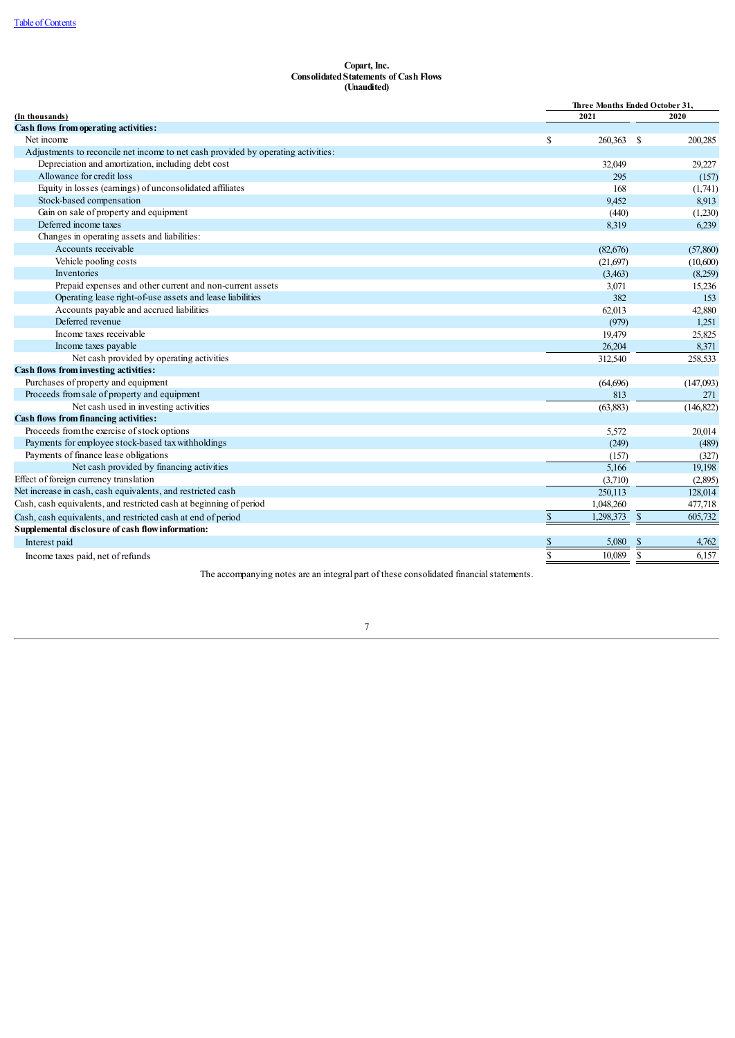### **Copart, Inc. ConsolidatedStatements of Cash Flows (Unaudited)**

|                                                                                   |             | Three Months Ended October 31, |               |            |  |
|-----------------------------------------------------------------------------------|-------------|--------------------------------|---------------|------------|--|
| (In thousands)                                                                    |             | 2021                           | 2020          |            |  |
| Cash flows from operating activities:                                             |             |                                |               |            |  |
| Net income                                                                        | S           | 260,363 \$                     |               | 200,285    |  |
| Adjustments to reconcile net income to net cash provided by operating activities: |             |                                |               |            |  |
| Depreciation and amortization, including debt cost                                |             | 32,049                         |               | 29,227     |  |
| Allowance for credit loss                                                         |             | 295                            |               | (157)      |  |
| Equity in losses (earnings) of unconsolidated affiliates                          |             | 168                            |               | (1,741)    |  |
| Stock-based compensation                                                          |             | 9,452                          |               | 8,913      |  |
| Gain on sale of property and equipment                                            |             | (440)                          |               | (1,230)    |  |
| Deferred income taxes                                                             |             | 8,319                          |               | 6,239      |  |
| Changes in operating assets and liabilities:                                      |             |                                |               |            |  |
| Accounts receivable                                                               |             | (82,676)                       |               | (57, 860)  |  |
| Vehicle pooling costs                                                             |             | (21,697)                       |               | (10,600)   |  |
| Inventories                                                                       |             | (3,463)                        |               | (8,259)    |  |
| Prepaid expenses and other current and non-current assets                         |             | 3,071                          |               | 15,236     |  |
| Operating lease right-of-use assets and lease liabilities                         |             | 382                            |               | 153        |  |
| Accounts payable and accrued liabilities                                          |             | 62,013                         |               | 42,880     |  |
| Deferred revenue                                                                  |             | (979)                          |               | 1,251      |  |
| Income taxes receivable                                                           |             | 19,479                         |               | 25,825     |  |
| Income taxes payable                                                              |             | 26.204                         |               | 8,371      |  |
| Net cash provided by operating activities                                         |             | 312,540                        |               | 258,533    |  |
| Cash flows from investing activities:                                             |             |                                |               |            |  |
| Purchases of property and equipment                                               |             | (64, 696)                      |               | (147,093)  |  |
| Proceeds from sale of property and equipment                                      |             | 813                            |               | 271        |  |
| Net cash used in investing activities                                             |             | (63, 883)                      |               | (146, 822) |  |
| Cash flows from financing activities:                                             |             |                                |               |            |  |
| Proceeds from the exercise of stock options                                       |             | 5,572                          |               | 20,014     |  |
| Payments for employee stock-based tax withholdings                                |             | (249)                          |               | (489)      |  |
| Payments of finance lease obligations                                             |             | (157)                          |               | (327)      |  |
| Net cash provided by financing activities                                         |             | 5.166                          |               | 19,198     |  |
| Effect of foreign currency translation                                            |             | (3,710)                        |               | (2,895)    |  |
| Net increase in cash, cash equivalents, and restricted cash                       |             | 250,113                        |               | 128,014    |  |
| Cash, cash equivalents, and restricted cash at beginning of period                |             | 1.048.260                      |               | 477,718    |  |
| Cash, cash equivalents, and restricted cash at end of period                      | $\mathbf S$ | 1,298,373                      | <sup>\$</sup> | 605,732    |  |
| Supplemental disclosure of cash flow information:                                 |             |                                |               |            |  |
| Interest paid                                                                     | S           | 5,080                          | \$            | 4,762      |  |
| Income taxes paid, net of refunds                                                 | \$.         | 10,089                         | $\mathsf{\$}$ | 6,157      |  |
|                                                                                   |             |                                |               |            |  |

<span id="page-6-0"></span>The accompanying notes are an integral part of these consolidated financial statements.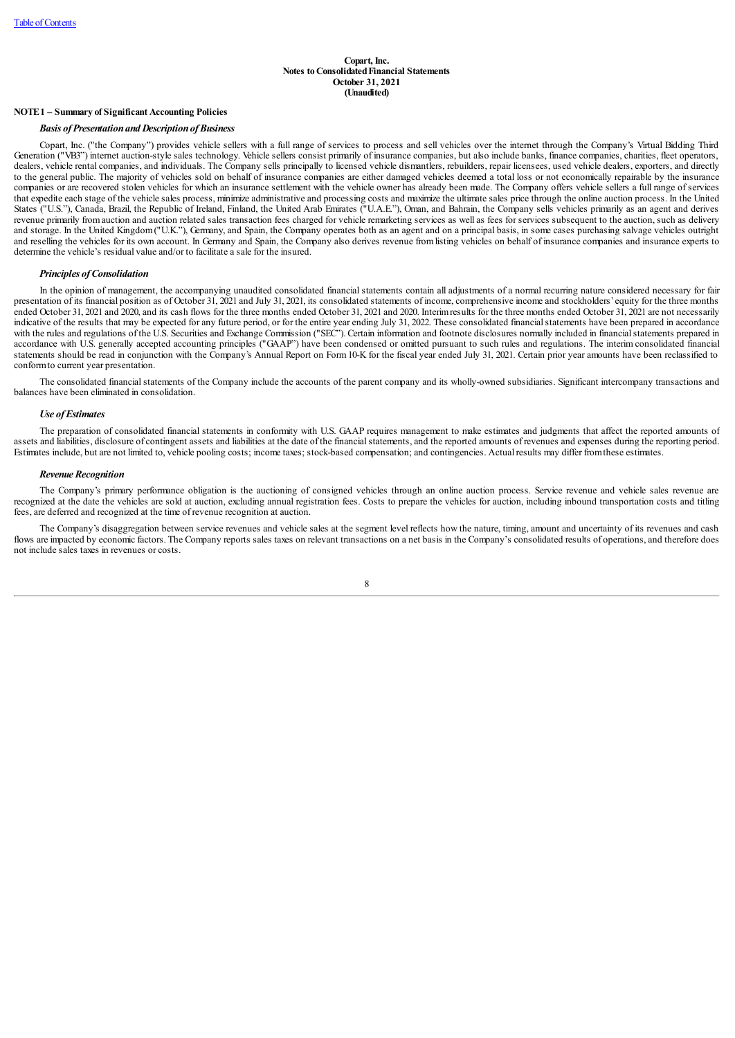### **Copart, Inc. Notes toConsolidatedFinancial Statements October 31, 2021 (Unaudited)**

### **NOTE1 – Summary of Significant Accounting Policies**

### *Basis of Presentation and Description ofBusiness*

Copart, Inc. ("the Company") provides vehicle sellers with a full range of services to process and sell vehicles over the internet through the Company's Virtual Bidding Third Generation ("VB3") internet auction-style sales technology. Vehicle sellers consist primarily of insurance companies, but also include banks, finance companies, charities, fleet operators, dealers, vehicle rental companies, and individuals. The Company sells principally to licensed vehicle dismantlers, rebuilders, repair licensees, used vehicle dealers, exporters, and directly to the general public. The majority of vehicles sold on behalf of insurance companies are either damaged vehicles deemed a total loss or not economically repairable by the insurance companies or are recovered stolen vehicles for which an insurance settlement with the vehicle owner has already been made. The Company offers vehicle sellers a full range of services that expedite each stage of the vehicle sales process, minimize administrative and processing costs and maximize the ultimate sales price through the online auction process. In the United States ("U.S."), Canada, Brazil, the Republic of Ireland, Finland, the United Arab Emirates ("U.A.E."), Oman, and Bahrain, the Company sells vehicles primarily as an agent and derives revenue primarily fromauction and auction related sales transaction fees charged for vehicle remarketing services as wellas fees for services subsequent to the auction, such as delivery and storage. In the United Kingdom("U.K."), Germany, and Spain, the Company operates both as an agent and on a principal basis, in some cases purchasing salvage vehicles outright and reselling the vehicles for its own account. In Germany and Spain, the Company also derives revenue from listing vehicles on behalf of insurance companies and insurance experts to determine the vehicle's residual value and/or to facilitate a sale for the insured.

### *Principles ofConsolidation*

In the opinion of management, the accompanying unaudited consolidated financial statements contain all adjustments of a normal recurring nature considered necessary for fair presentation of its financial position as of October 31, 2021 and July 31, 2021, its consolidated statements of income, comprehensive income and stockholders' equity for the three months ended October 31, 2021 and 2020, and its cash flows for the three months ended October 31, 2021 and 2020. Interimresults for the three months ended October 31, 2021 are not necessarily indicative of the results that may be expected for any future period, or for the entire year ending July 31, 2022. These consolidated financial statements have been prepared in accordance with the rules and regulations of the U.S. Securities and Exchange Commission ("SEC"). Certain information and footnote disclosures normally included in financial statements prepared in accordance with U.S. generally accepted accounting principles ("GAAP") have been condensed or omitted pursuant to such rules and regulations. The interim consolidated financial statements should be read in conjunction with the Company's Annual Report on Form10-K for the fiscal year ended July 31, 2021. Certain prior year amounts have been reclassified to conformto current year presentation.

The consolidated financial statements of the Company include the accounts of the parent company and its wholly-owned subsidiaries. Significant intercompany transactions and balances have been eliminated in consolidation.

### *Use ofEstimates*

The preparation of consolidated financial statements in conformity with U.S. GAAP requires management to make estimates and judgments that affect the reported amounts of assets and liabilities, disclosure of contingent assets and liabilities at the date of the financial statements, and the reported amounts of revenues and expenses during the reporting period. Estimates include, but are not limited to, vehicle pooling costs; income taxes; stock-based compensation; and contingencies. Actual results may differ fromthese estimates.

#### *Revenue Recognition*

The Company's primary performance obligation is the auctioning of consigned vehicles through an online auction process. Service revenue and vehicle sales revenue are recognized at the date the vehicles are sold at auction, excluding annual registration fees. Costs to prepare the vehicles for auction, including inbound transportation costs and titling fees, are deferred and recognized at the time of revenue recognition at auction.

The Company's disaggregation between service revenues and vehicle sales at the segment level reflects how the nature, timing, amount and uncertainty of its revenues and cash flows are impacted by economic factors. The Company reports sales taxes on relevant transactions on a net basis in the Company's consolidated results of operations, and therefore does not include sales taxes in revenues orcosts.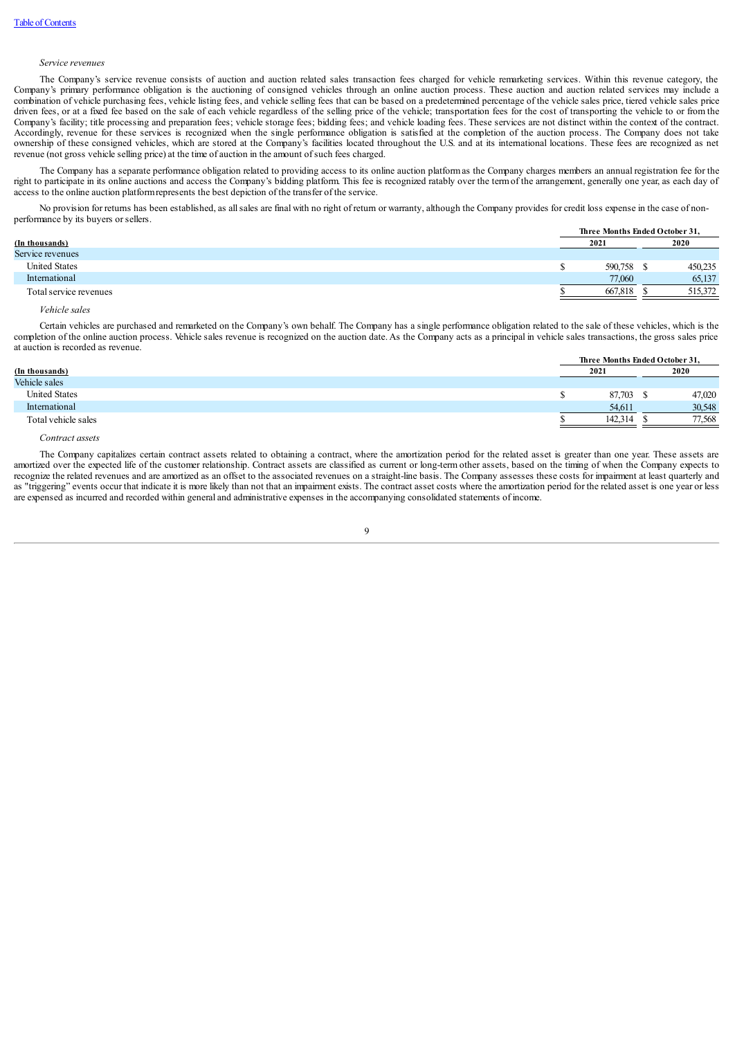### *Service revenues*

The Company's service revenue consists of auction and auction related sales transaction fees charged for vehicle remarketing services. Within this revenue category, the Company's primary performance obligation is the auctioning of consigned vehicles through an online auction process. These auction and auction related services may include a combination of vehicle purchasing fees, vehicle listing fees, and vehicle selling fees that can be based on a predetermined percentage of the vehicle sales price, tiered vehicle sales price driven fees, or at a fixed fee based on the sale of each vehicle regardless of the selling price of the vehicle; transportation fees for the cost of transporting the vehicle to or from the Company's facility; title processing and preparation fees; vehicle storage fees; bidding fees; and vehicle loading fees. These services are not distinct within the context of the contract. Accordingly, revenue for these services is recognized when the single performance obligation is satisfied at the completion of the auction process. The Company does not take ownership of these consigned vehicles, which are stored at the Company's facilities located throughout the U.S. and at its international locations. These fees are recognized as net revenue (not gross vehicle selling price) at the time of auction in the amount of such fees charged.

The Company has a separate performance obligation related to providing access to its online auction platformas the Company charges members an annual registration fee for the right to participate in its online auctions and access the Company's bidding platform. This fee is recognized ratably over the termof the arrangement, generally one year, as each day of access to the online auction platformrepresents the best depiction of the transfer of the service.

No provision for returns has been established, as all sales are final with no right of return or warranty, although the Company provides for credit loss expense in the case of nonperformance by its buyers orsellers.

|                        | Three Months Ended October 31. |         |  |  |
|------------------------|--------------------------------|---------|--|--|
| (In thousands)         | 2021                           | 2020    |  |  |
| Service revenues       |                                |         |  |  |
| <b>United States</b>   | 590,758                        | 450,235 |  |  |
| International          | 77,060                         | 65,137  |  |  |
| Total service revenues | 667,818                        | 515,372 |  |  |

#### *Vehicle sales*

Certain vehicles are purchased and remarketed on the Company's own behalf. The Company has a single performance obligation related to the sale of these vehicles, which is the completion of the online auction process. Vehicle sales revenue is recognized on the auction date.As the Company acts as a principal in vehicle sales transactions, the gross sales price at auction is recorded as revenue.

|                      |  |         | Three Months Ended October 31, |        |  |  |
|----------------------|--|---------|--------------------------------|--------|--|--|
| (In thousands)       |  | 2021    |                                | 2020   |  |  |
| Vehicle sales        |  |         |                                |        |  |  |
| <b>United States</b> |  | 87,703  |                                | 47,020 |  |  |
| International        |  | 54.611  |                                | 30,548 |  |  |
| Total vehicle sales  |  | 142,314 |                                | 77.568 |  |  |

### *Contract assets*

The Company capitalizes certain contract assets related to obtaining a contract, where the amortization period for the related asset is greater than one year. These assets are amortized over the expected life of the customer relationship. Contract assets are classified as current or long-termother assets, based on the timing of when the Company expects to recognize the related revenues and are amortized as an offset to the associated revenues on a straight-line basis. The Company assesses these costs for impairment at least quarterly and as "triggering" events occur that indicate it is more likely than not that an impairment exists. The contract asset costs where the amortization period for the related asset is one year or less are expensed as incurred and recorded within generaland administrative expenses in the accompanying consolidated statements of income.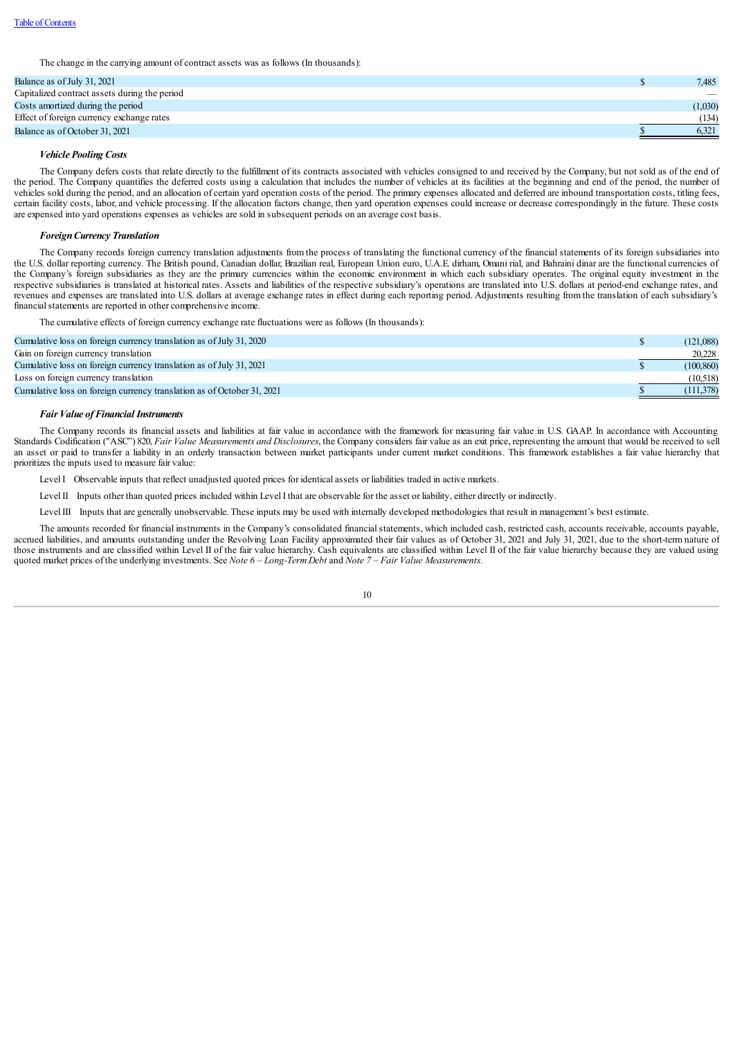The change in the carrying amount of contract assets was as follows (In thousands):

| Balance as of July 31, 2021                   | 7,485                    |
|-----------------------------------------------|--------------------------|
| Capitalized contract assets during the period | $\overline{\phantom{a}}$ |
| Costs amortized during the period             | (1,030)                  |
| Effect of foreign currency exchange rates     | (134)                    |
| Balance as of October 31, 2021                | 6,321                    |

### *Vehicle Pooling Costs*

The Company defers costs that relate directly to the fulfillment of its contracts associated with vehicles consigned to and received by the Company, but not sold as of the end of the period. The Company quantifies the deferred costs using a calculation that includes the number of vehicles at its facilities at the beginning and end of the period, the number of vehicles sold during the period,and an allocation ofcertain yard operation costs of the period. The primary expenses allocated and deferred are inbound transportation costs, titling fees, certain facility costs, labor, and vehicle processing. If the allocation factors change, then yard operation expenses could increase or decrease correspondingly in the future. These costs are expensed into yard operations expenses as vehicles are sold in subsequent periods on an average cost basis.

### *ForeignCurrency Translation*

The Company records foreign currency translation adjustments from the process of translating the functional currency of the financial statements of its foreign subsidiaries into the U.S. dollar reporting currency. The British pound, Canadian dollar, Brazilian real, European Union euro, U.A.E. dirham, Omani rial, and Bahraini dinar are the functional currencies of the Company's foreign subsidiaries as they are the primary currencies within the economic environment in which each subsidiary operates. The original equity investment in the respective subsidiaries is translated at historical rates. Assets and liabilities of the respective subsidiary's operations are translated into U.S. dollars at period-end exchange rates, and revenues and expenses are translated into U.S. dollars at average exchange rates in effect during each reporting period. Adjustments resulting fromthe translation of each subsidiary's financial statements are reported in other comprehensive income.

The cumulative effects of foreign currency exchange rate fluctuations were as follows (In thousands):

| Cumulative loss on foreign currency translation as of July 31, 2020    | (121,088)  |
|------------------------------------------------------------------------|------------|
| Gain on foreign currency translation                                   | 20,228     |
| Cumulative loss on foreign currency translation as of July 31, 2021    | (100, 860) |
| Loss on foreign currency translation                                   | (10.518)   |
| Cumulative loss on foreign currency translation as of October 31, 2021 | (111, 378) |

### *Fair Value ofFinancial Instruments*

The Company records its financial assets and liabilities at fair value in accordance with the framework for measuring fair value in U.S. GAAP. In accordance with Accounting Standards Codification ("ASC") 820, *Fair Value Measurements and Disclosures*, the Company considers fair value as an exit price, representing the amount that would be received to sell an asset or paid to transfer a liability in an orderly transaction between market participants under current market conditions. This framework establishes a fair value hierarchy that prioritizes the inputs used to measure fair value:

Level I Observable inputs that reflect unadjusted quoted prices for identicalassets or liabilities traded in active markets.

Level II Inputs other than quoted prices included within Level I that are observable for the asset or liability,either directly or indirectly.

Level III Inputs that are generally unobservable. These inputs may be used with internally developed methodologies that result in management's best estimate.

The amounts recorded for financial instruments in the Company's consolidated financial statements, which included cash, restricted cash, accounts receivable, accounts payable, accrued liabilities, and amounts outstanding under the Revolving Loan Facility approximated their fair values as of October 31, 2021 and July 31, 2021, due to the short-term nature of those instruments and are classified within Level II of the fair value hierarchy. Cash equivalents are classified within Level II of the fair value hierarchy because they are valued using quoted market prices of the underlying investments. See *Note 6 – Long-TermDebt* and *Note 7 – Fair Value Measurements*.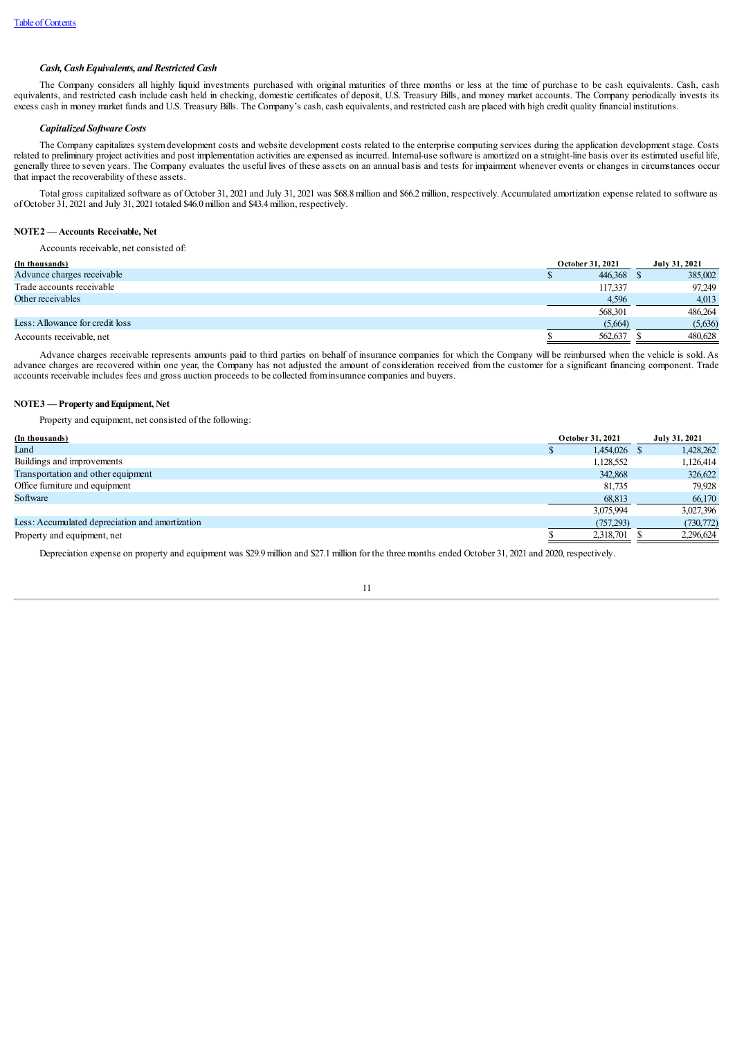### *Cash, CashEquivalents, and Restricted Cash*

The Company considers all highly liquid investments purchased with original maturities of three months or less at the time of purchase to be cash equivalents. Cash, cash equivalents, and restricted cash include cash held in checking, domestic certificates of deposit, U.S. Treasury Bills, and money market accounts. The Company periodically invests its excess cash in money market funds and U.S. Treasury Bills. The Company's cash, cash equivalents, and restricted cash are placed with high credit quality financial institutions.

### *Capitalized Software Costs*

The Company capitalizes systemdevelopment costs and website development costs related to the enterprise computing services during the application development stage. Costs related to preliminary project activities and post implementation activities are expensed as incurred. Internal-use software is amortized on a straight-line basis over its estimated useful life, generally three to seven years. The Company evaluates the useful lives of these assets on an annual basis and tests for impairment whenever events or changes in circumstances occur that impact the recoverability of these assets.

Total gross capitalized software as of October 31, 2021 and July 31, 2021 was \$68.8million and \$66.2 million, respectively.Accumulated amortization expense related to software as of October 31, 2021 and July 31, 2021 totaled \$46.0million and \$43.4million, respectively.

### **NOTE2 — Accounts Receivable, Net**

Accounts receivable, net consisted of:

| (In thousands)                  | October 31, 2021 |  | July 31, 2021 |
|---------------------------------|------------------|--|---------------|
| Advance charges receivable      | 446,368          |  | 385,002       |
| Trade accounts receivable       | 117.337          |  | 97,249        |
| Other receivables               | 4,596            |  | 4,013         |
|                                 | 568,301          |  | 486,264       |
| Less: Allowance for credit loss | (5,664)          |  | (5,636)       |
| Accounts receivable, net        | 562,637          |  | 480,628       |

Advance charges receivable represents amounts paid to third parties on behalf of insurance companies for which the Company will be reimbursed when the vehicle is sold. As advance charges are recovered within one year, the Company has not adjusted the amount of consideration received from the customer for a significant financing component. Trade accounts receivable includes fees and gross auction proceeds to be collected frominsurance companies and buyers.

### **NOTE3 — Property andEquipment, Net**

Property and equipment, net consisted of the following:

| (In thousands)                                  | October 31, 2021 |  | July 31, 2021 |
|-------------------------------------------------|------------------|--|---------------|
| Land                                            | 1,454,026 \$     |  | 1,428,262     |
| Buildings and improvements                      | 1,128,552        |  | 1,126,414     |
| Transportation and other equipment              | 342,868          |  | 326,622       |
| Office furniture and equipment                  | 81.735           |  | 79.928        |
| Software                                        | 68,813           |  | 66,170        |
|                                                 | 3,075,994        |  | 3,027,396     |
| Less: Accumulated depreciation and amortization | (757,293)        |  | (730, 772)    |
| Property and equipment, net                     | 2,318,701        |  | 2,296,624     |

Depreciation expense on property and equipment was \$29.9million and \$27.1million for the three months ended October 31, 2021 and 2020, respectively.

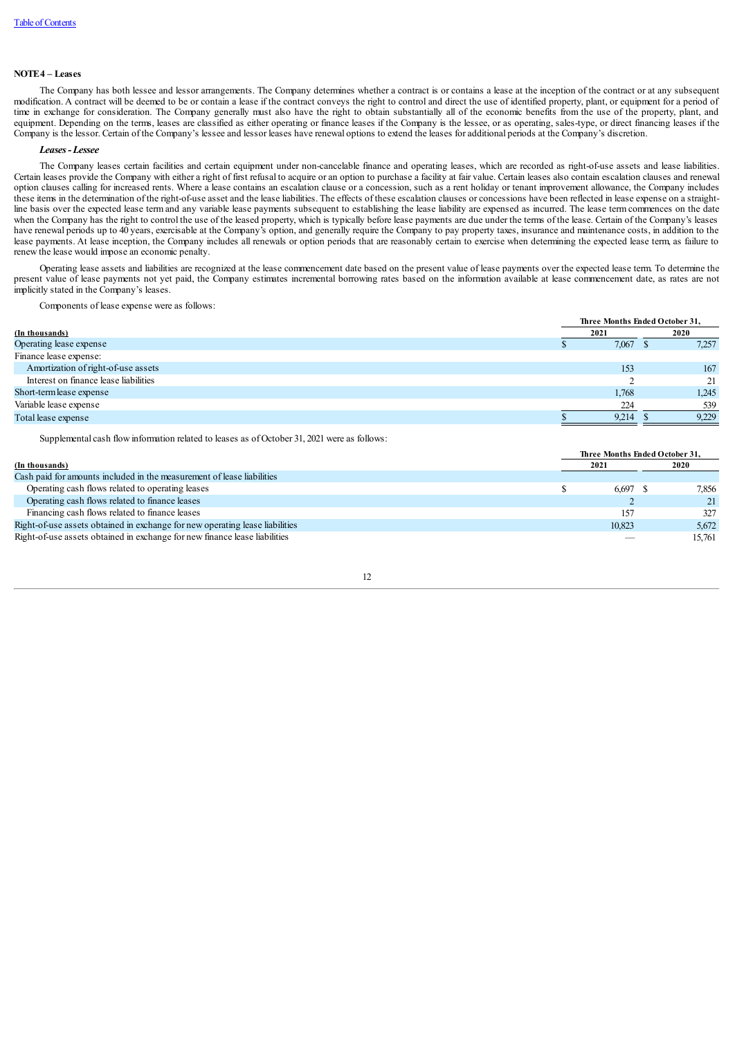### **NOTE4 – Leases**

The Company has both lessee and lessor arrangements. The Company determines whether a contract is or contains a lease at the inception of the contract or at any subsequent modification. A contract will be deemed to be or contain a lease if the contract conveys the right to control and direct the use of identified property, plant, or equipment for a period of time in exchange for consideration. The Company generally must also have the right to obtain substantially all of the economic benefits from the use of the property, plant, and equipment. Depending on the terms, leases are classified as either operating or finance leases if the Company is the lessee, or as operating, sales-type, or direct financing leases if the Company is the lessor. Certain of the Company's lessee and lessor leases have renewal options to extend the leases foradditional periods at the Company's discretion.

### *Leases- Lessee*

The Company leases certain facilities and certain equipment under non-cancelable finance and operating leases, which are recorded as right-of-use assets and lease liabilities. Certain leases provide the Company with either a right of first refusal to acquire or an option to purchase a facility at fair value. Certain leases also contain escalation clauses and renewal option clauses calling for increased rents. Where a lease contains an escalation clause or a concession, such as a rent holiday or tenant improvement allowance, the Company includes these items in the determination of the right-of-use asset and the lease liabilities. The effects of these escalation clauses orconcessions have been reflected in lease expense on a straightline basis over the expected lease termand any variable lease payments subsequent to establishing the lease liability are expensed as incurred. The lease termcommences on the date when the Company has the right to control the use of the leased property, which is typically before lease payments are due under the terms of the lease. Certain of the Company's leases have renewal periods up to 40 years, exercisable at the Company's option, and generally require the Company to pay property taxes, insurance and maintenance costs, in addition to the lease payments. At lease inception, the Company includes all renewals or option periods that are reasonably certain to exercise when determining the expected lease term, as failure to renewthe lease would impose an economic penalty.

Operating lease assets and liabilities are recognized at the lease commencement date based on the present value of lease payments over the expected lease term. To determine the present value of lease payments not yet paid, the Company estimates incremental borrowing rates based on the information available at lease commencement date, as rates are not implicitly stated in the Company's leases.

Components of lease expense were as follows:

|                                       | Three Months Ended October 31, |       |  |
|---------------------------------------|--------------------------------|-------|--|
| (In thousands)                        | 2021                           | 2020  |  |
| Operating lease expense               | 7,067                          | 7,257 |  |
| Finance lease expense:                |                                |       |  |
| Amortization of right-of-use assets   | 153                            | 167   |  |
| Interest on finance lease liabilities |                                | 21    |  |
| Short-term lease expense              | 1,768                          | 1.245 |  |
| Variable lease expense                | 224                            | 539   |  |
| Total lease expense                   | 9,214                          | 9,229 |  |

Supplemental cash flow information related to leases as of October 31, 2021 were as follows:

|                                                                              | Three Months Ended October 31, |        |  |  |
|------------------------------------------------------------------------------|--------------------------------|--------|--|--|
| (In thousands)                                                               | 2021                           | 2020   |  |  |
| Cash paid for amounts included in the measurement of lease liabilities       |                                |        |  |  |
| Operating cash flows related to operating leases                             | 6,697 \$                       | 7.856  |  |  |
| Operating cash flows related to finance leases                               |                                | 21     |  |  |
| Financing cash flows related to finance leases                               | 157                            | 327    |  |  |
| Right-of-use assets obtained in exchange for new operating lease liabilities | 10.823                         | 5.672  |  |  |
| Right-of-use assets obtained in exchange for new finance lease liabilities   |                                | 15,761 |  |  |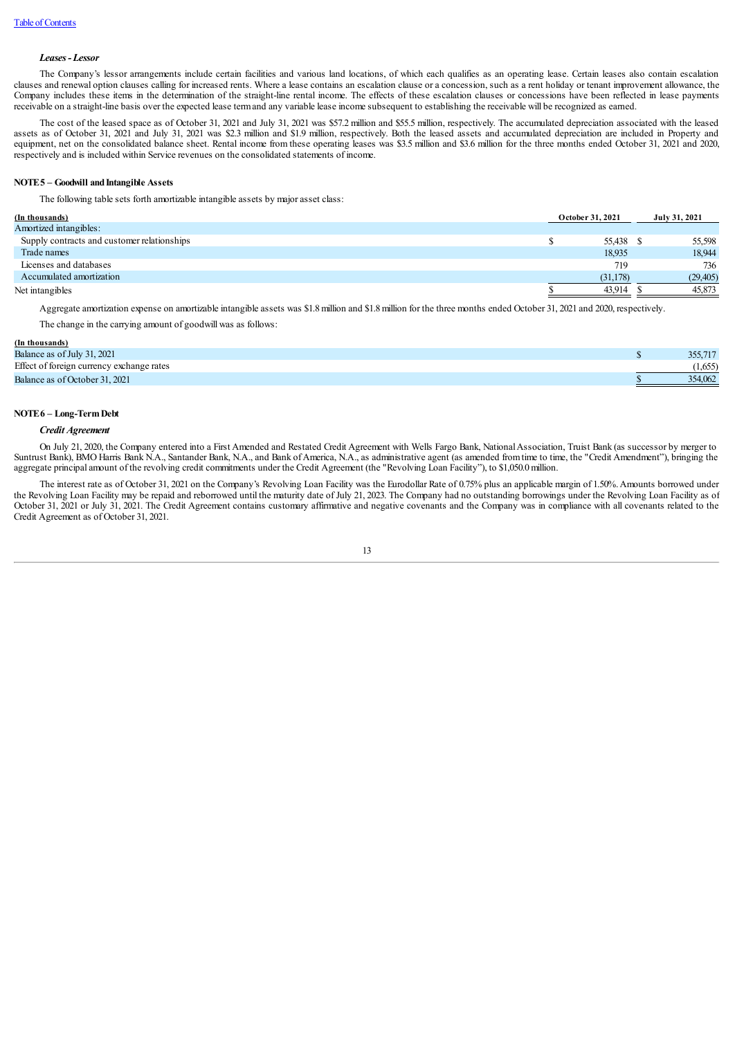### *Leases- Lessor*

The Company's lessor arrangements include certain facilities and various land locations, of which each qualifies as an operating lease. Certain leases also contain escalation clauses and renewal option clauses calling for increased rents. Where a lease contains an escalation clause ora concession, such as a rent holiday or tenant improvement allowance, the Company includes these items in the determination of the straight-line rental income. The effects of these escalation clauses or concessions have been reflected in lease payments receivable on a straight-line basis over the expected lease termand any variable lease income subsequent to establishing the receivable will be recognized as earned.

The cost of the leased space as of October 31, 2021 and July 31, 2021 was \$57.2 million and \$55.5 million, respectively. The accumulated depreciation associated with the leased assets as of October 31, 2021 and July 31, 2021 was \$2.3 million and \$1.9 million, respectively. Both the leased assets and accumulated depreciation are included in Property and equipment, net on the consolidated balance sheet. Rental income from these operating leases was \$3.5 million and \$3.6 million for the three months ended October 31, 2021 and 2020, respectively and is included within Service revenues on the consolidated statements of income.

### **NOTE5** – **Goodwill** and **Intangible** Assets

The following table sets forth amortizable intangible assets by major asset class:

| (In thousands)                              | October 31, 2021 |  | July 31, 2021 |
|---------------------------------------------|------------------|--|---------------|
| Amortized intangibles:                      |                  |  |               |
| Supply contracts and customer relationships | 55,438           |  | 55,598        |
| Trade names                                 | 18.935           |  | 18,944        |
| Licenses and databases                      | 719              |  | 736           |
| Accumulated amortization                    | (31, 178)        |  | (29, 405)     |
| Net intangibles                             | 43.914           |  | 45.873        |

Aggregate amortization expense on amortizable intangible assets was \$1.8million and \$1.8million for the three months ended October 31, 2021 and 2020, respectively.

The change in the carrying amount of goodwill was as follows:

| (In thousands)                            |         |
|-------------------------------------------|---------|
| Balance as of July 31, 2021               | 355,717 |
| Effect of foreign currency exchange rates | (1,655) |
| Balance as of October 31, 2021            | 354,062 |

### **NOTE6 – Long-TermDebt**

### *Credit Agreement*

On July 21, 2020, the Company entered into a First Amended and Restated Credit Agreement with Wells Fargo Bank, NationalAssociation, Truist Bank (as successor by merger to Suntrust Bank), BMO Harris Bank N.A., Santander Bank, N.A., and Bank of America, N.A., as administrative agent (as amended from time to time, the "Credit Amendment"), bringing the aggregate principalamount of the revolving credit commitments under the Credit Agreement (the "Revolving Loan Facility"), to \$1,050.0million.

The interest rate as of October 31, 2021 on the Company's Revolving Loan Facility was the Eurodollar Rate of 0.75% plus an applicable margin of 1.50%.Amounts borrowed under the Revolving Loan Facility may be repaid and reborrowed until the maturity date of July 21, 2023. The Company had no outstanding borrowings under the Revolving Loan Facility as of October 31, 2021 or July 31, 2021. The Credit Agreement contains customary affirmative and negative covenants and the Company was in compliance with all covenants related to the Credit Agreement as of October 31, 2021.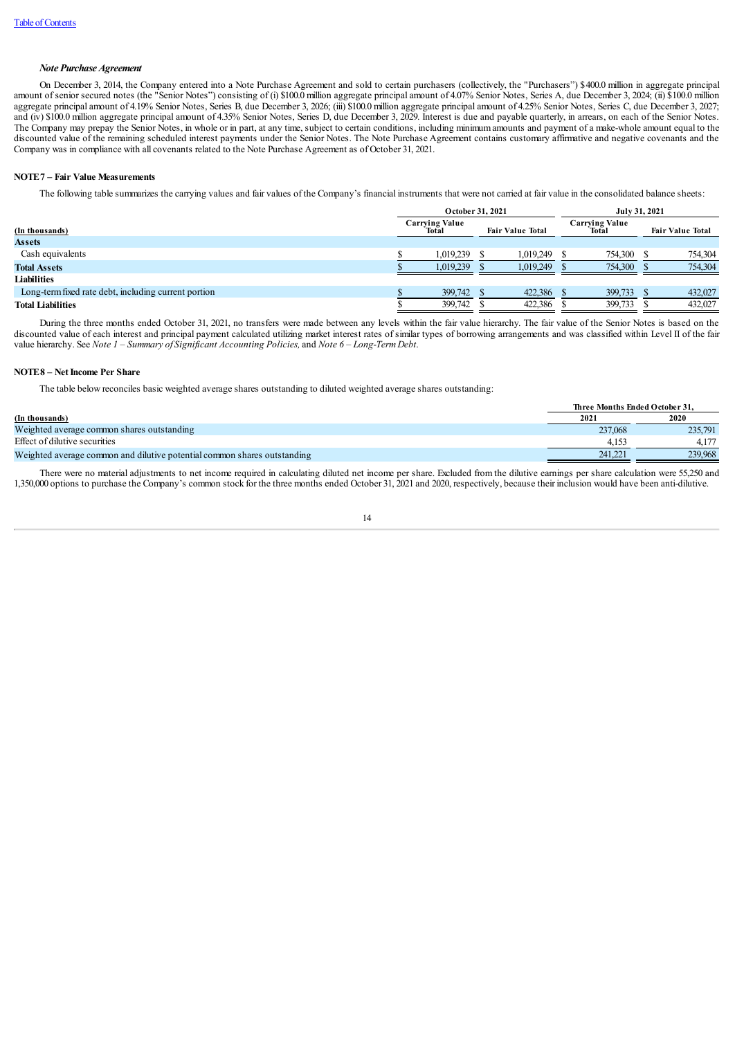### *Note Purchase Agreement*

On December 3, 2014, the Company entered into a Note Purchase Agreement and sold to certain purchasers (collectively, the "Purchasers") \$400.0 million in aggregate principal amount of senior secured notes (the "Senior Notes") consisting of (i) \$100.0 million aggregate principal amount of 4.07% Senior Notes, Series A, due December 3, 2024; (ii) \$100.0 million aggregate principalamount of 4.19% Senior Notes, Series B, due December 3, 2026; (iii) \$100.0 million aggregate principalamount of 4.25% Senior Notes, Series C, due December 3, 2027; and (iv) \$100.0 million aggregate principal amount of 4.35% Senior Notes, Series D, due December 3, 2029. Interest is due and payable quarterly, in arrears, on each of the Senior Notes. The Company may prepay the Senior Notes, in whole or in part, at any time, subject to certain conditions, including minimum amounts and payment of a make-whole amount equal to the discounted value of the remaining scheduled interest payments under the Senior Notes. The Note Purchase Agreement contains customary affirmative and negative covenants and the Company was in compliance with allcovenants related to the Note Purchase Agreement as of October 31, 2021.

### **NOTE7 – Fair Value Measurements**

The following table summarizes the carrying values and fair values of the Company's financial instruments that were not carried at fair value in the consolidated balance sheets:

|                                                      | October 31, 2021 |                                |  | July 31, 2021           |  |                                       |  |                         |
|------------------------------------------------------|------------------|--------------------------------|--|-------------------------|--|---------------------------------------|--|-------------------------|
| (In thousands)                                       |                  | <b>Carrying Value</b><br>Total |  | <b>Fair Value Total</b> |  | <b>Carrying Value</b><br><b>Total</b> |  | <b>Fair Value Total</b> |
| <b>Assets</b>                                        |                  |                                |  |                         |  |                                       |  |                         |
| Cash equivalents                                     |                  | 1.019.239                      |  | 1.019.249               |  | 754,300                               |  | 754,304                 |
| <b>Total Assets</b>                                  |                  | 1,019,239                      |  | 1,019,249               |  | 754,300                               |  | 754,304                 |
| <b>Liabilities</b>                                   |                  |                                |  |                         |  |                                       |  |                         |
| Long-term fixed rate debt, including current portion |                  | 399,742 \$                     |  | 422,386                 |  | 399,733                               |  | 432,027                 |
| <b>Total Liabilities</b>                             |                  | 399,742                        |  | 422,386                 |  | 399,733                               |  | 432,027                 |

During the three months ended October 31, 2021, no transfers were made between any levels within the fair value hierarchy. The fair value of the Senior Notes is based on the discounted value of each interest and principal payment calculated utilizing market interest rates of similar types of borrowing arrangements and was classified within Level II of the fair value hierarchy. See *Note 1 – Summary of Significant Accounting Policies,*and *Note 6 – Long-TermDebt*.

### **NOTE8 – NetIncome Per Share**

The table belowreconciles basic weighted average shares outstanding to diluted weighted average shares outstanding:

|                                                                          | Three Months Ended October 31. |         |  |  |
|--------------------------------------------------------------------------|--------------------------------|---------|--|--|
| (In thousands)                                                           | 2021                           | 2020    |  |  |
| Weighted average common shares outstanding                               | 237,068                        | 235,791 |  |  |
| Effect of dilutive securities                                            | 4.153                          |         |  |  |
| Weighted average common and dilutive potential common shares outstanding | 241.221                        | 239,968 |  |  |
|                                                                          |                                |         |  |  |

There were no material adjustments to net income required in calculating diluted net income per share. Excluded fromthe dilutive earnings per share calculation were 55,250 and 1,350,000 options to purchase the Company's common stock for the three months ended October 31, 2021 and 2020, respectively, because their inclusion would have been anti-dilutive.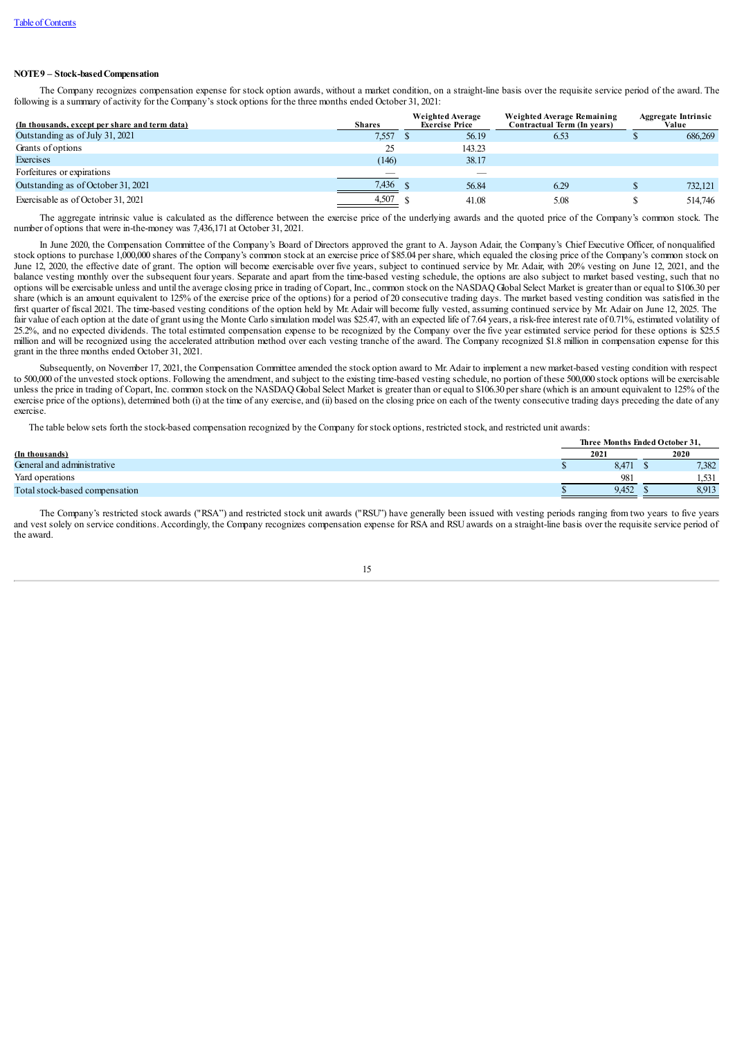### **NOTE9 – Stock-basedCompensation**

The Company recognizes compensation expense for stock option awards, without a market condition, on a straight-line basis over the requisite service period of the award. The following is a summary ofactivity for the Company's stock options for the three months ended October 31, 2021:

| (In thousands, except per share and term data) | <b>Shares</b> |  | Weighted Average<br>Weighted Average Remaining<br>Contractual Term (In years)<br><b>Exercise Price</b> |      | Aggregate Intrinsic<br>Value |
|------------------------------------------------|---------------|--|--------------------------------------------------------------------------------------------------------|------|------------------------------|
| Outstanding as of July 31, 2021                | 7.557         |  | 56.19                                                                                                  | 6.53 | 686.269                      |
| Grants of options                              | 25            |  | 143.23                                                                                                 |      |                              |
| Exercises                                      | (146)         |  | 38.17                                                                                                  |      |                              |
| Forfeitures or expirations                     |               |  |                                                                                                        |      |                              |
| Outstanding as of October 31, 2021             | 7,436         |  | 56.84                                                                                                  | 6.29 | 732.121                      |
| Exercisable as of October 31, 2021             | 4,507         |  | 41.08                                                                                                  | 5.08 | 514,746                      |

The aggregate intrinsic value is calculated as the difference between the exercise price of the underlying awards and the quoted price of the Company's common stock. The number of options that were in-the-money was 7,436,171 at October 31, 2021.

In June 2020, the Compensation Committee of the Company's Board of Directors approved the grant to A. Jayson Adair, the Company's Chief Executive Officer, of nonqualified stock options to purchase 1,000,000 shares of the Company's common stock at an exercise price of \$85.04 per share, which equaled the closing price of the Company's common stock on June 12, 2020, the effective date of grant. The option will become exercisable over five years, subject to continued service by Mr. Adair, with 20% vesting on June 12, 2021, and the balance vesting monthly over the subsequent four years. Separate and apart fromthe time-based vesting schedule, the options are also subject to market based vesting, such that no options will be exercisable unless and until the average closing price in trading of Copart, Inc.,common stock on the NASDAQGlobal Select Market is greater than orequal to \$106.30 per share (which is an amount equivalent to 125% of the exercise price of the options) for a period of 20 consecutive trading days. The market based vesting condition was satisfied in the first quarter of fiscal 2021. The time-based vesting conditions of the option held by Mr. Adair will become fully vested, assuming continued service by Mr. Adair on June 12, 2025. The fair value of each option at the date of grant using the Monte Carlo simulation model was \$25.47, with an expected life of 7.64 years, a risk-free interest rate of 0.71%, estimated volatility of 25.2%, and no expected dividends. The total estimated compensation expense to be recognized by the Company over the five year estimated service period for these options is \$25.5 million and will be recognized using the accelerated attribution method over each vesting tranche of the award. The Company recognized \$1.8 million in compensation expense for this grant in the three months ended October 31, 2021.

Subsequently, on November 17, 2021, the Compensation Committee amended the stock option award to Mr. Adair to implement a new market-based vesting condition with respect to 500,000 of the unvested stock options. Following the amendment, and subject to the existing time-based vesting schedule, no portion of these 500,000 stock options will be exercisable unless the price in trading of Copart, Inc. common stock on the NASDAQ Global Select Market is greater than or equal to \$106.30 per share (which is an amount equivalent to 125% of the exercise price of the options), determined both (i) at the time of any exercise, and (ii) based on the closing price on each of the twenty consecutive trading days preceding the date of any exercise.

The table belowsets forth the stock-based compensation recognized by the Company forstock options, restricted stock,and restricted unit awards:

|                                | Three Months Ended October 31. |      |       |  |
|--------------------------------|--------------------------------|------|-------|--|
| (In thousands)                 | 2021                           | 2020 |       |  |
| General and administrative     | 8.471                          |      | 7,382 |  |
| Yard operations                | 981                            |      | 1,531 |  |
| Total stock-based compensation | 9.452                          |      | 8.913 |  |

The Company's restricted stock awards ("RSA") and restricted stock unit awards ("RSU") have generally been issued with vesting periods ranging from two years to five years and vest solely on service conditions. Accordingly, the Company recognizes compensation expense for RSA and RSU awards on a straight-line basis over the requisite service period of the award.

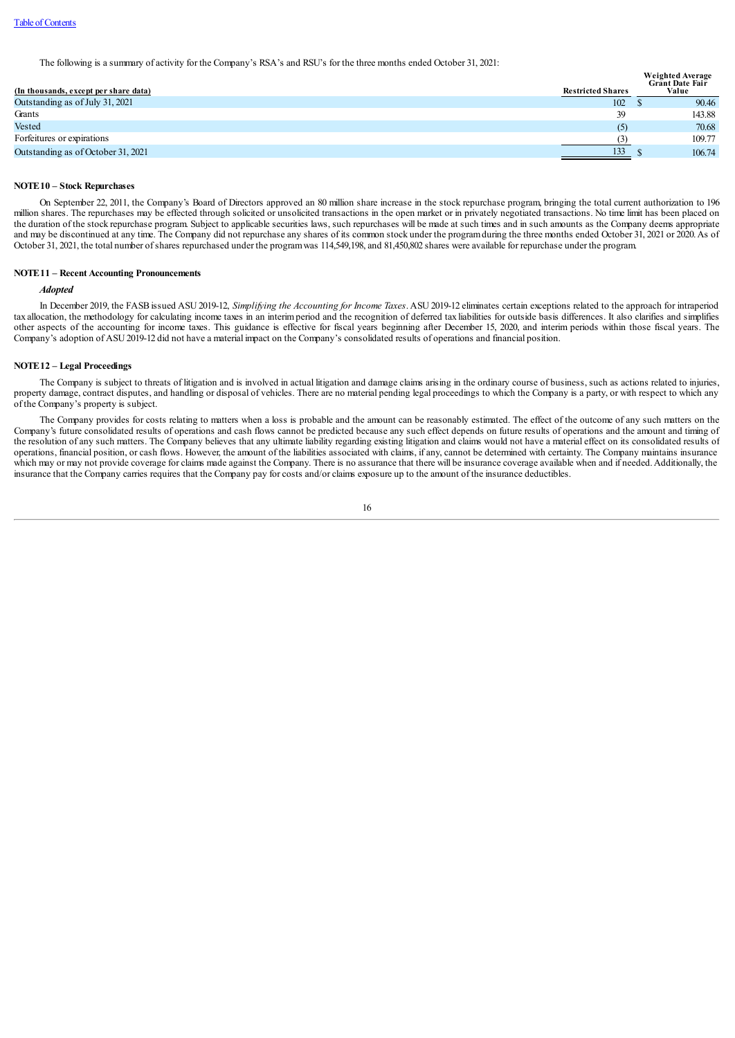The following is a summary of activity for the Company's RSA's and RSU's for the three months ended October 31, 2021:

| (In thousands, except per share data) | <b>Restricted Shares</b> | <b>Weighted Average</b><br><b>Grant Date Fair</b><br>Value |
|---------------------------------------|--------------------------|------------------------------------------------------------|
| Outstanding as of July 31, 2021       | 102                      | 90.46                                                      |
| Grants                                | 39                       | 143.88                                                     |
| Vested                                | (5)                      | 70.68                                                      |
| Forfeitures or expirations            | (3)                      | 109.77                                                     |
| Outstanding as of October 31, 2021    | 133                      | 106.74                                                     |

### **NOTE10 – Stock Repurchases**

On September 22, 2011, the Company's Board of Directors approved an 80 million share increase in the stock repurchase program, bringing the total current authorization to 196 million shares. The repurchases may be effected through solicited or unsolicited transactions in the open market or in privately negotiated transactions. No time limit has been placed on the duration of the stock repurchase program. Subject to applicable securities laws, such repurchases will be made at such times and in such amounts as the Company deems appropriate and may be discontinued at any time. The Company did not repurchase any shares of its common stock under the program during the three months ended October 31, 2021 or 2020. As of October 31, 2021, the total number ofshares repurchased under the programwas 114,549,198,and 81,450,802 shares were available for repurchase under the program.

#### **NOTE11 – Recent Accounting Pronouncements**

### *Adopted*

In December 2019, the FASBissued ASU2019-12, *Simplifying the Accounting for Income Taxes*.ASU 2019-12 eliminates certain exceptions related to the approach for intraperiod tax allocation, the methodology for calculating income taxes in an interimperiod and the recognition of deferred tax liabilities for outside basis differences. It also clarifies and simplifies other aspects of the accounting for income taxes. This guidance is effective for fiscal years beginning after December 15, 2020, and interim periods within those fiscal years. The Company's adoption of ASU2019-12 did not have a material impact on the Company's consolidated results of operations and financial position.

#### <span id="page-15-0"></span>**NOTE12 – Legal Proceedings**

The Company is subject to threats of litigation and is involved in actual litigation and damage claims arising in the ordinary course of business, such as actions related to injuries, property damage, contract disputes, and handling or disposal of vehicles. There are no material pending legal proceedings to which the Company is a party, or with respect to which any of the Company's property is subject.

The Company provides for costs relating to matters when a loss is probable and the amount can be reasonably estimated. The effect of the outcome of any such matters on the Company's future consolidated results of operations and cash flows cannot be predicted because any such effect depends on future results of operations and the amount and timing of the resolution of any such matters. The Company believes that any ultimate liability regarding existing litigation and claims would not have a material effect on its consolidated results of operations, financial position, orcash flows. However, the amount of the liabilities associated with claims, ifany,cannot be determined with certainty. The Company maintains insurance which may or may not provide coverage for claims made against the Company. There is no assurance that there will be insurance coverage available when and if needed. Additionally, the insurance that the Company carries requires that the Company pay forcosts and/orclaims exposure up to the amount of the insurance deductibles.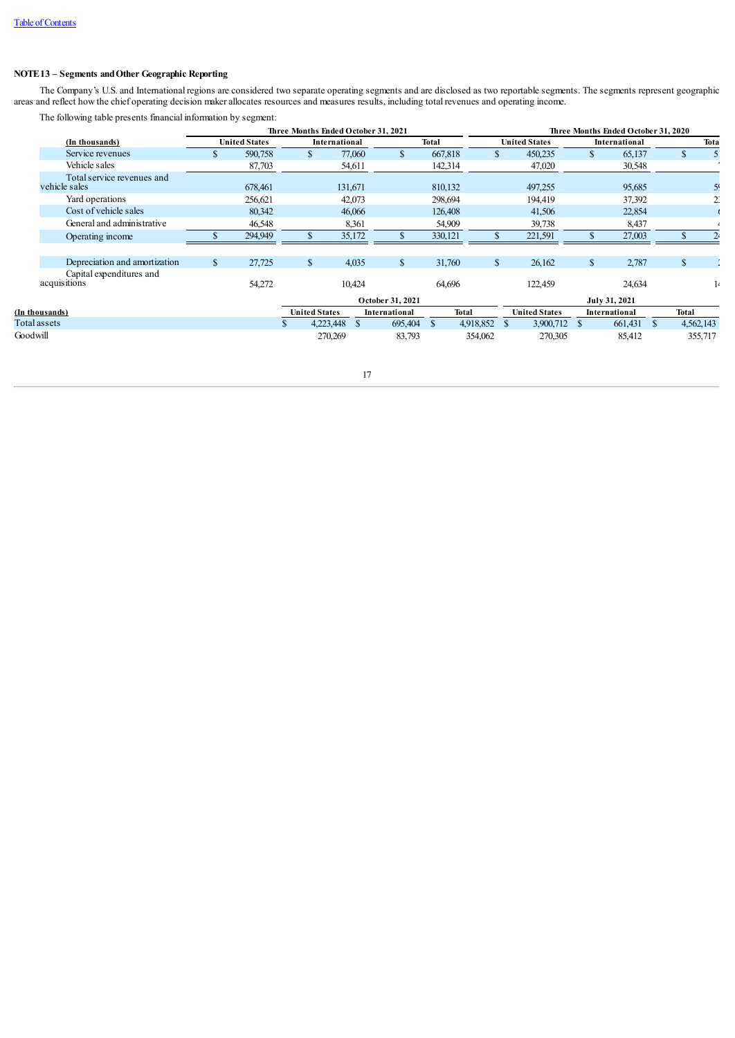### **NOTE13 – Segments andOther Geographic Reporting**

The Company's U.S. and International regions are considered two separate operating segments and are disclosed as two reportable segments. The segments represent geographic areas and reflect howthe chief operating decision makerallocates resources and measures results, including total revenues and operating income.

The following table presents financial information by segment:

<span id="page-16-0"></span>

|                                             |              |                      | Three Months Ended October 31, 2021 |         |                  |              |              |                      |              | Three Months Ended October 31, 2020 |      |           |                |
|---------------------------------------------|--------------|----------------------|-------------------------------------|---------|------------------|--------------|--------------|----------------------|--------------|-------------------------------------|------|-----------|----------------|
| (In thousands)                              |              | <b>United States</b> | International                       |         |                  | <b>Total</b> |              | <b>United States</b> |              | International                       |      |           | Tota           |
| Service revenues                            | \$           | 590,758              | $\mathcal{S}$                       | 77,060  | \$               | 667,818      | \$.          | 450,235              |              | \$<br>65,137                        |      | \$        | 5.             |
| Vehicle sales                               |              | 87,703               |                                     | 54,611  |                  | 142,314      |              |                      | 47,020       | 30,548                              |      |           |                |
| Total service revenues and<br>vehicle sales |              | 678,461              |                                     | 131,671 |                  | 810,132      |              | 497,255              |              | 95,685                              |      |           | 5 <sup>0</sup> |
| Yard operations                             |              | 256,621              |                                     | 42,073  |                  | 298,694      |              | 194,419              |              | 37,392                              |      |           | $\gamma'$      |
| Cost of vehicle sales                       |              | 80,342               |                                     | 46,066  |                  | 126,408      |              |                      | 41,506       | 22,854                              |      |           |                |
| General and administrative                  |              | 46,548               |                                     | 8,361   |                  | 54,909       |              |                      | 39,738       | 8,437                               |      |           |                |
| Operating income                            |              | 294,949              |                                     | 35,172  |                  | 330,121      |              | 221,591              |              | 27,003                              |      |           |                |
| Depreciation and amortization               | $\mathbb{S}$ | 27,725               | \$                                  | 4,035   | $\mathbb{S}$     | 31,760       | $\mathbb{S}$ |                      | 26,162       | \$<br>2,787                         |      | \$        |                |
| Capital expenditures and<br>acquisitions    |              | 54,272               |                                     | 10,424  |                  | 64,696       |              | 122,459              |              | 24,634                              |      |           | 14             |
|                                             |              |                      |                                     |         | October 31, 2021 |              |              |                      |              | July 31, 2021                       |      |           |                |
| (In thousands)                              |              |                      | United States                       |         | International    |              | <b>Total</b> | <b>United States</b> |              | International                       |      | Total     |                |
| Total assets                                |              |                      | 4,223,448                           | \$      | 695,404 \$       |              | 4,918,852    | -S                   | 3,900,712 \$ | 661,431                             | - \$ | 4,562,143 |                |
| Goodwill                                    |              |                      | 270,269                             |         | 83,793           |              | 354,062      |                      | 270,305      | 85,412                              |      |           | 355,717        |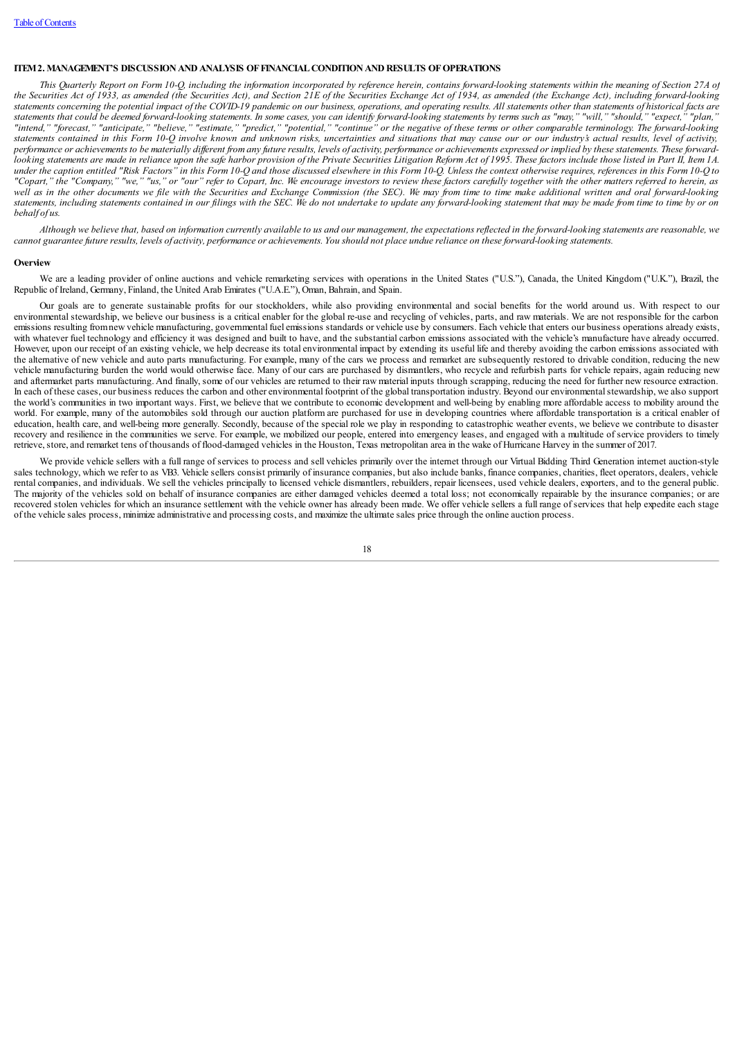### **ITEM2. MANAGEMENT'S DISCUSSIONANDANALYSIS OFFINANCIALCONDITIONANDRESULTS OFOPERATIONS**

This Quarterly Report on Form 10-Q, including the information incorporated by reference herein, contains forward-looking statements within the meaning of Section 27A of the Securities Act of 1933, as amended (the Securities Act), and Section 21E of the Securities Exchange Act of 1934, as amended (the Exchange Act), including forward-looking statements concerning the potential impact of the COVID-19 pandemic on our business, operations, and operating results. All statements other than statements of historical facts are statements that could be deemed forward-looking statements. In some cases, you can identify forward-looking statements by terms such as "may," "will," "should," "expect," "plan," "intend," "forecast," "anticipate," "believe," "estimate," "predict," "potential," "continue" or the negative of these terms or other comparable terminology. The forward-looking statements contained in this Form 10-Q involve known and unknown risks, uncertainties and situations that may cause our or our industry's actual results, level of activity, performance or achievements to be materially different from any future results, levels of activity, performance or achievements expressed or implied by these statements. These forward-Looking statements are made in reliance upon the safe harbor provision of the Private Securities Litigation Reform Act of 1995. These factors include those listed in Part II, Item 1A. under the caption entitled "Risk Factors" in this Form 10-O and those discussed elsewhere in this Form 10-O. Unless the context otherwise requires, references in this Form 10-O to "Copart," the "Company," "we," "us," or "our" refer to Copart, Inc. We encourage investors to review these factors carefully together with the other matters referred to herein, as well as in the other documents we file with the Securities and Exchange Commission (the SEC). We may from time to time make additional written and oral forward-looking statements, including statements contained in our filings with the SEC. We do not undertake to update any forward-looking statement that may be made from time to time by or on *behalf of us.*

Although we believe that, based on information currently available to us and our management, the expectations reflected in the forward-looking statements are reasonable, we cannot guarantee future results, levels of activity, performance or achievements. You should not place undue reliance on these forward-looking statements.

### <span id="page-17-0"></span>**Overview**

We are a leading provider of online auctions and vehicle remarketing services with operations in the United States ("U.S."), Canada, the United Kingdom ("U.K."), Brazil, the Republic of Ireland, Germany, Finland, the United Arab Emirates ("U.A.E."), Oman, Bahrain, and Spain.

Our goals are to generate sustainable profits for our stockholders, while also providing environmental and social benefits for the world around us. With respect to our environmental stewardship, we believe our business is a critical enabler for the global re-use and recycling of vehicles, parts, and raw materials. We are not responsible for the carbon emissions resulting fromnewvehicle manufacturing, governmental fuelemissions standards or vehicle use by consumers. Each vehicle that enters our business operations already exists, with whatever fuel technology and efficiency it was designed and built to have, and the substantial carbon emissions associated with the vehicle's manufacture have already occurred. However, upon our receipt of an existing vehicle, we help decrease its total environmental impact by extending its useful life and thereby avoiding the carbon emissions associated with the alternative of new vehicle and auto parts manufacturing. For example, many of the cars we process and remarket are subsequently restored to drivable condition, reducing the new vehicle manufacturing burden the world would otherwise face. Many of our cars are purchased by dismantlers, who recycle and refurbish parts for vehicle repairs, again reducing new and aftermarket parts manufacturing. And finally, some of our vehicles are returned to their raw material inputs through scrapping, reducing the need for further new resource extraction. In each of these cases, our business reduces the carbon and other environmental footprint of the global transportation industry. Beyond our environmental stewardship, we also support the world's communities in two important ways. First, we believe that we contribute to economic development and well-being by enabling more affordable access to mobility around the world. For example, many of the automobiles sold through our auction platform are purchased for use in developing countries where affordable transportation is a critical enabler of education, health care, and well-being more generally. Secondly, because of the special role we play in responding to catastrophic weather events, we believe we contribute to disaster recovery and resilience in the communities we serve. For example, we mobilized our people, entered into emergency leases, and engaged with a multitude of service providers to timely retrieve, store,and remarket tens of thousands of flood-damaged vehicles in the Houston, Texas metropolitan area in the wake of Hurricane Harvey in the summer of 2017.

We provide vehicle sellers with a full range of services to process and sell vehicles primarily over the internet through our Virtual Bidding Third Generation internet auction-style sales technology, which we refer to as VB3. Vehicle sellers consist primarily of insurance companies, but also include banks, finance companies, charities, fleet operators, dealers, vehicle rental companies, and individuals. We sell the vehicles principally to licensed vehicle dismantlers, rebuilders, repair licensees, used vehicle dealers, exporters, and to the general public. The majority of the vehicles sold on behalf of insurance companies are either damaged vehicles deemed a total loss; not economically repairable by the insurance companies; or are recovered stolen vehicles for which an insurance settlement with the vehicle owner has already been made. We offer vehicle sellers a full range of services that help expedite each stage of the vehicle sales process, minimize administrative and processing costs,and maximize the ultimate sales price through the online auction process.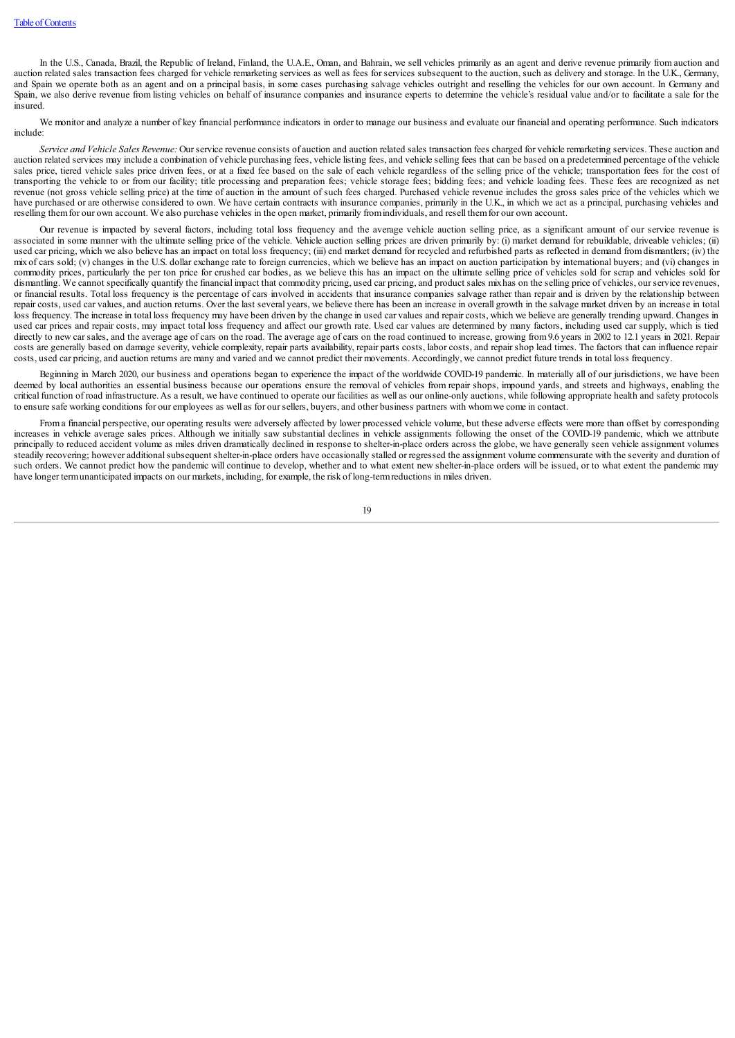In the U.S., Canada, Brazil, the Republic of Ireland, Finland, the U.A.E., Oman, and Bahrain, we sell vehicles primarily as an agent and derive revenue primarily from auction and auction related sales transaction fees charged for vehicle remarketing services as well as fees for services subsequent to the auction, such as delivery and storage. In the U.K., Germany, and Spain we operate both as an agent and on a principal basis, in some cases purchasing salvage vehicles outright and reselling the vehicles for our own account. In Germany and Spain, we also derive revenue from listing vehicles on behalf of insurance companies and insurance experts to determine the vehicle's residual value and/or to facilitate a sale for the insured.

We monitor and analyze a number of key financial performance indicators in order to manage our business and evaluate our financial and operating performance. Such indicators include:

*Service and Vehicle Sales Revenue:* Ourservice revenue consists ofauction and auction related sales transaction fees charged for vehicle remarketing services. These auction and auction related services may include a combination of vehicle purchasing fees, vehicle listing fees, and vehicle selling fees that can be based on a predetermined percentage of the vehicle sales price, tiered vehicle sales price driven fees, or at a fixed fee based on the sale of each vehicle regardless of the selling price of the vehicle; transportation fees for the cost of transporting the vehicle to or from our facility; title processing and preparation fees; vehicle storage fees; bidding fees; and vehicle loading fees. These fees are recognized as net revenue (not gross vehicle selling price) at the time of auction in the amount of such fees charged. Purchased vehicle revenue includes the gross sales price of the vehicles which we have purchased or are otherwise considered to own. We have certain contracts with insurance companies, primarily in the U.K., in which we act as a principal, purchasing vehicles and reselling themfor our own account. We also purchase vehicles in the open market, primarily fromindividuals,and resell themfor our own account.

Our revenue is impacted by several factors, including total loss frequency and the average vehicle auction selling price, as a significant amount of our service revenue is associated in some manner with the ultimate selling price of the vehicle. Vehicle auction selling prices are driven primarily by: (i) market demand for rebuildable, driveable vehicles; (ii) used car pricing, which we also believe has an impact on total loss frequency; (iii) end market demand for recycled and refurbished parts as reflected in demand from dismantlers; (iv) the mix of cars sold; (v) changes in the U.S. dollar exchange rate to foreign currencies, which we believe has an impact on auction participation by international buyers; and (vi) changes in commodity prices, particularly the per ton price for crushed car bodies, as we believe this has an impact on the ultimate selling price of vehicles sold for scrap and vehicles sold for dismantling. We cannot specifically quantify the financial impact that commodity pricing, used car pricing, and product sales mixhas on the selling price of vehicles, our service revenues, or financial results. Total loss frequency is the percentage of cars involved in accidents that insurance companies salvage rather than repair and is driven by the relationship between repair costs, used car values, and auction returns. Over the last several years, we believe there has been an increase in overall growth in the salvage market driven by an increase in total loss frequency. The increase in total loss frequency may have been driven by the change in used car values and repair costs, which we believe are generally trending upward. Changes in used car prices and repair costs, may impact total loss frequency and affect our growth rate. Used car values are determined by many factors, including used car supply, which is tied directly to new car sales, and the average age of cars on the road. The average age of cars on the road continued to increase, growing from 9.6 years in 2002 to 12.1 years in 2021. Repair costs are generally based on damage severity, vehicle complexity, repair parts availability, repair parts costs, laborcosts, and repair shop lead times. The factors that can influence repair costs, used car pricing,and auction returns are many and varied and we cannot predict theirmovements. Accordingly, we cannot predict future trends in total loss frequency.

Beginning in March 2020, our business and operations began to experience the impact of the worldwide COVID-19 pandemic. In materially all of our jurisdictions, we have been deemed by local authorities an essential business because our operations ensure the removal of vehicles from repair shops, impound vards, and streets and highways, enabling the critical function of road infrastructure. As a result, we have continued to operate our facilities as well as our online-only auctions, while following appropriate health and safety protocols to ensure safe working conditions for ouremployees as wellas for oursellers, buyers,and other business partners with whomwe come in contact.

From a financial perspective, our operating results were adversely affected by lower processed vehicle volume, but these adverse effects were more than offset by corresponding increases in vehicle average sales prices. Although we initially saw substantial declines in vehicle assignments following the onset of the COVID-19 pandemic, which we attribute principally to reduced accident volume as miles driven dramatically declined in response to shelter-in-place orders across the globe, we have generally seen vehicle assignment volumes steadily recovering; however additional subsequent shelter-in-place orders have occasionally stalled or regressed the assignment volume commensurate with the severity and duration of such orders. We cannot predict how the pandemic will continue to develop, whether and to what extent new shelter-in-place orders will be issued, or to what extent the pandemic may have longer termunanticipated impacts on ourmarkets, including, forexample, the risk of long-termreductions in miles driven.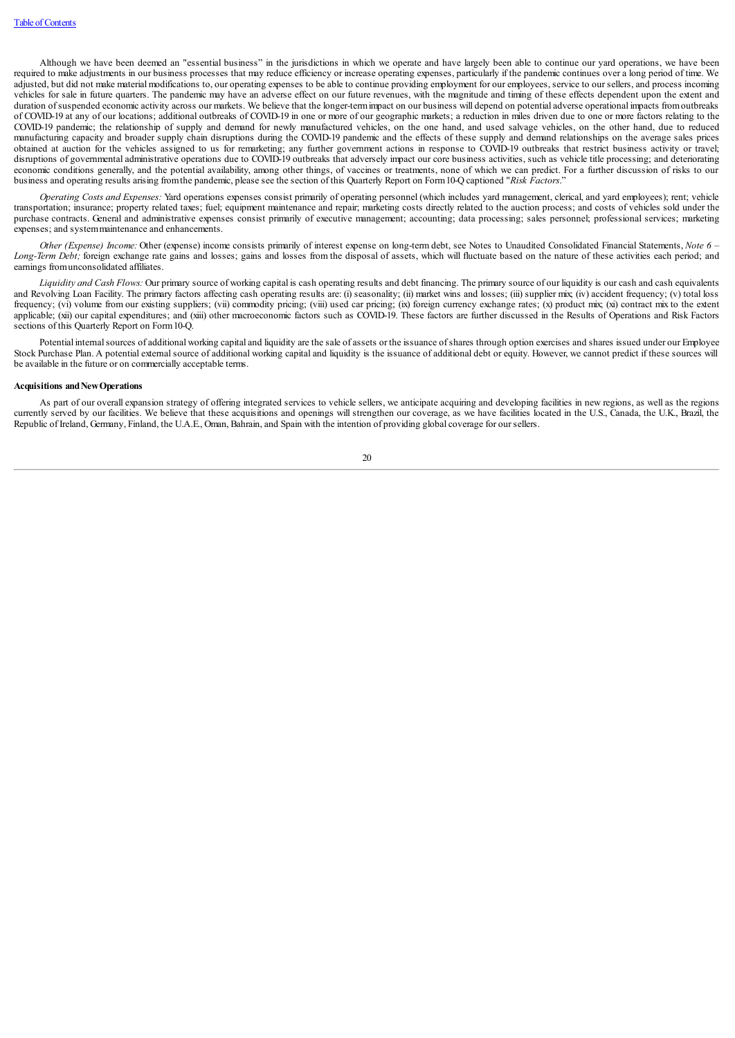Although we have been deemed an "essential business" in the jurisdictions in which we operate and have largely been able to continue our yard operations, we have been required to make adjustments in our business processes that may reduce efficiency or increase operating expenses, particularly if the pandemic continues overa long period of time. We adjusted, but did not make material modifications to, our operating expenses to be able to continue providing employment for our employees, service to our sellers, and process incoming vehicles for sale in future quarters. The pandemic may have an adverse effect on our future revenues, with the magnitude and timing of these effects dependent upon the extent and duration of suspended economic activity across our markets. We believe that the longer-term impact on our business will depend on potential adverse operational impacts from outbreaks of COVID-19 at any of our locations; additional outbreaks of COVID-19 in one or more of our geographic markets; a reduction in miles driven due to one or more factors relating to the COVID-19 pandemic; the relationship of supply and demand for newly manufactured vehicles, on the one hand, and used salvage vehicles, on the other hand, due to reduced manufacturing capacity and broader supply chain disruptions during the COVID-19 pandemic and the effects of these supply and demand relationships on the average sales prices obtained at auction for the vehicles assigned to us for remarketing; any further government actions in response to COVID-19 outbreaks that restrict business activity or travel; disruptions of governmental administrative operations due to COVID-19 outbreaks that adversely impact our core business activities, such as vehicle title processing; and deteriorating economic conditions generally, and the potential availability, among other things, of vaccines or treatments, none of which we can predict. For a further discussion of risks to our business and operating results arising from the pandemic, please see the section of this Quarterly Report on Form 10-Q captioned "*Risk Factors*."

*Operating Costs and Expenses:* Yard operations expenses consist primarily of operating personnel (which includes yard management, clerical, and yard employees); rent; vehicle transportation; insurance; property related taxes; fuel; equipment maintenance and repair; marketing costs directly related to the auction process; and costs of vehicles sold under the purchase contracts. General and administrative expenses consist primarily of executive management; accounting; data processing; sales personnel; professional services; marketing expenses; and system maintenance and enhancements.

*Other (Expense) Income:* Other (expense) income consists primarily of interest expense on long-termdebt, see Notes to Unaudited Consolidated Financial Statements, *Note 6 – Long-Term Debt;* foreign exchange rate gains and losses; gains and losses from the disposal of assets, which will fluctuate based on the nature of these activities each period; and earnings fromunconsolidated affiliates.

*Liquidity and Cash Flows:* Our primary source of working capital is cash operating results and debt financing. The primary source of our liquidity is ourcash and cash equivalents and Revolving Loan Facility. The primary factors affecting cash operating results are: (i) seasonality; (ii) market wins and losses; (iii) supplier mix; (iv) accident frequency; (v) total loss frequency; (vi) volume from our existing suppliers; (vii) commodity pricing; (viii) used car pricing; (ix) foreign currency exchange rates; (x) product mix; (xi) contract mix to the extent applicable; (xii) our capital expenditures; and (xiii) other macroeconomic factors such as COVID-19. These factors are further discussed in the Results of Operations and Risk Factors sections of this Quarterly Report on Form10-Q.

Potential internal sources of additional working capital and liquidity are the sale of assets or the issuance of shares through option exercises and shares issued under our Employee Stock Purchase Plan. A potential external source of additional working capital and liquidity is the issuance of additional debt or equity. However, we cannot predict if these sources will be available in the future or on commercially acceptable terms.

#### **Acquisitions andNewOperations**

As part of our overall expansion strategy of offering integrated services to vehicle sellers, we anticipate acquiring and developing facilities in new regions, as well as the regions currently served by our facilities. We believe that these acquisitions and openings will strengthen our coverage, as we have facilities located in the U.S., Canada, the U.K., Brazil, the Republic of Ireland, Germany, Finland, the U.A.E., Oman, Bahrain, and Spain with the intention of providing global coverage for our sellers.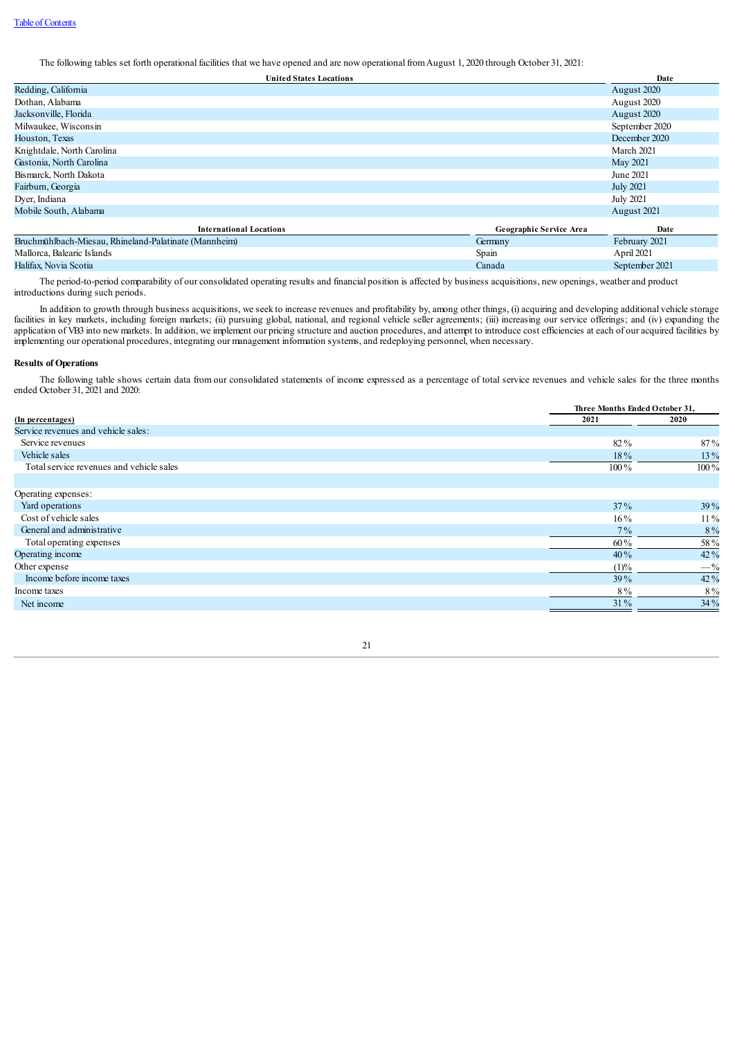The following tables set forth operational facilities that we have opened and are nowoperational fromAugust 1, 2020 through October 31, 2021:

| <b>United States Locations</b>                        |                         | Date             |
|-------------------------------------------------------|-------------------------|------------------|
| Redding, California                                   |                         | August 2020      |
| Dothan, Alabama                                       |                         | August 2020      |
| Jacksonville, Florida                                 |                         | August 2020      |
| Milwaukee, Wisconsin                                  |                         | September 2020   |
| Houston, Texas                                        |                         | December 2020    |
| Knightdale, North Carolina                            |                         | March 2021       |
| Gastonia, North Carolina                              |                         | May 2021         |
| Bismarck, North Dakota                                |                         | June 2021        |
| Fairburn, Georgia                                     |                         | <b>July 2021</b> |
| Dyer, Indiana                                         |                         | <b>July 2021</b> |
| Mobile South, Alabama                                 |                         | August 2021      |
| <b>International Locations</b>                        | Geographic Service Area | Date             |
| Bruchmühlbach-Miesau, Rhineland-Palatinate (Mannheim) | Germany                 | February 2021    |
| Mallorca, Balearic Islands                            | Spain                   | April 2021       |

Halifax, Novia Scotia Canada September 2021 The period-to-period comparability of our consolidated operating results and financial position is affected by business acquisitions, new openings, weather and product introductions during such periods.

In addition to growth through business acquisitions, we seek to increase revenues and profitability by, among other things, (i) acquiring and developing additional vehicle storage facilities in key markets, including foreign markets; (ii) pursuing global, national, and regional vehicle seller agreements; (iii) increasing our service offerings; and (iv) expanding the application of VB3 into new markets. In addition, we implement our pricing structure and auction procedures, and attempt to introduce cost efficiencies at each of our acquired facilities by implementing our operational procedures, integrating ourmanagement information systems,and redeploying personnel, when necessary.

### <span id="page-20-0"></span>**Results** of Operations

The following table shows certain data from our consolidated statements of income expressed as a percentage of total service revenues and vehicle sales for the three months ended October 31, 2021 and 2020:

|                                          | Three Months Ended October 31, |        |
|------------------------------------------|--------------------------------|--------|
| (In percentages)                         | 2021                           | 2020   |
| Service revenues and vehicle sales:      |                                |        |
| Service revenues                         | 82 %                           | $87\%$ |
| Vehicle sales                            | 18%                            | 13 %   |
| Total service revenues and vehicle sales | $100\%$                        | 100 %  |
|                                          |                                |        |
| Operating expenses:                      |                                |        |
| Yard operations                          | $37\%$                         | 39 %   |
| Cost of vehicle sales                    | $16\%$                         | $11\%$ |
| General and administrative               | $7\%$                          | 8%     |
| Total operating expenses                 | $60\%$                         | 58 %   |
| Operating income                         | $40\%$                         | 42 %   |
| Other expense                            | (1)%                           | $-$ %  |
| Income before income taxes               | $39\%$                         | 42 %   |
| Income taxes                             | 8%                             | $8\%$  |
| Net income                               | $31\%$                         | 34 %   |
|                                          |                                |        |

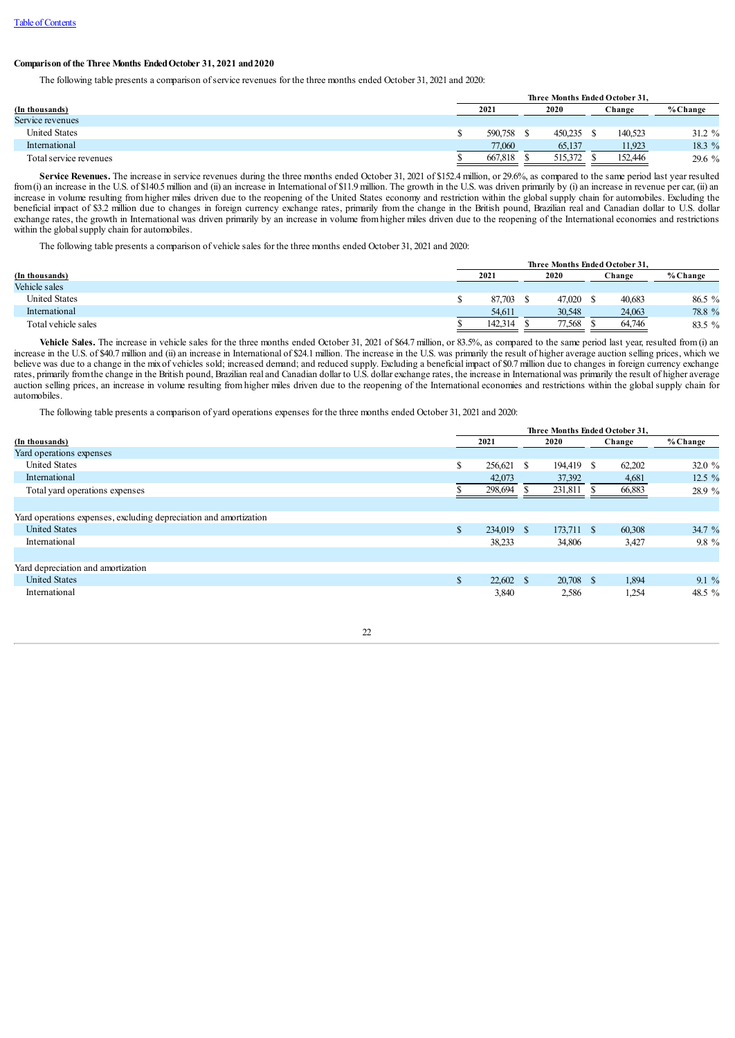### **Comparison of the Three Months EndedOctober 31, 2021 and2020**

The following table presents a comparison of service revenues for the three months ended October 31, 2021 and 2020:

|                        | Three Months Ended October 31. |  |         |  |         |            |
|------------------------|--------------------------------|--|---------|--|---------|------------|
| (In thousands)         | 2021                           |  | 2020    |  | Change  | $% Change$ |
| Service revenues       |                                |  |         |  |         |            |
| <b>United States</b>   | 590,758                        |  | 450.235 |  | 140.523 | $31.2 \%$  |
| International          | 77,060                         |  | 65,137  |  | 11.923  | 18.3 $%$   |
| Total service revenues | 667,818                        |  | 515.372 |  | 152,446 | 29.6 %     |

Service Revenues. The increase in service revenues during the three months ended October 31, 2021 of \$152.4 million, or 29.6%, as compared to the same period last year resulted from (i) an increase in the U.S. of \$140.5 million and (ii) an increase in International of \$11.9 million. The growth in the U.S. was driven primarily by (i) an increase in revenue per car, (ii) an increase in volume resulting from higher miles driven due to the reopening of the United States economy and restriction within the global supply chain for automobiles. Excluding the beneficial impact of \$3.2 million due to changes in foreign currency exchange rates, primarily from the change in the British pound, Brazilian real and Canadian dollar to U.S. dollar exchange rates, the growth in International was driven primarily by an increase in volume from higher miles driven due to the reopening of the International economies and restrictions within the global supply chain for automobiles.

The following table presents a comparison of vehicle sales for the three months ended October 31, 2021 and 2020:

|                      | Three Months Ended October 31. |  |        |  |        |          |
|----------------------|--------------------------------|--|--------|--|--------|----------|
| (In thousands)       | 2021                           |  | 2020   |  | Change | % Change |
| Vehicle sales        |                                |  |        |  |        |          |
| <b>United States</b> | 87.703                         |  | 47,020 |  | 40,683 | 86.5 %   |
| International        | 54.611                         |  | 30,548 |  | 24,063 | 78.8 %   |
| Total vehicle sales  | 142.314                        |  | 77.568 |  | 64.746 | 83.5 %   |

Vehicle Sales. The increase in vehicle sales for the three months ended October 31, 2021 of \$64.7 million, or 83.5%, as compared to the same period last year, resulted from (i) an increase in the U.S. of \$40.7 million and (ii) an increase in International of \$24.1 million. The increase in the U.S. was primarily the result of higher average auction selling prices, which we believe was due to a change in the mix of vehicles sold; increased demand; and reduced supply. Excluding a beneficial impact of \$0.7 million due to changes in foreign currency exchange rates, primarily fromthe change in the British pound, Brazilian realand Canadian dollar to U.S. dollarexchange rates, the increase in Internationalwas primarily the result of higheraverage auction selling prices, an increase in volume resulting from higher miles driven due to the reopening of the International economies and restrictions within the global supply chain for automobiles.

The following table presents a comparison of yard operations expenses for the three months ended October 31, 2021 and 2020:

|                                                                   | Three Months Ended October 31. |             |  |              |  |        |            |
|-------------------------------------------------------------------|--------------------------------|-------------|--|--------------|--|--------|------------|
| (In thousands)                                                    |                                | 2021        |  | 2020         |  | Change | $%$ Change |
| Yard operations expenses                                          |                                |             |  |              |  |        |            |
| <b>United States</b>                                              | \$                             | 256,621 \$  |  | 194,419 \$   |  | 62,202 | 32.0 $%$   |
| International                                                     |                                | 42,073      |  | 37,392       |  | 4,681  | 12.5 $%$   |
| Total yard operations expenses                                    |                                | 298,694     |  | 231,811      |  | 66,883 | 28.9 %     |
|                                                                   |                                |             |  |              |  |        |            |
| Yard operations expenses, excluding depreciation and amortization |                                |             |  |              |  |        |            |
| <b>United States</b>                                              | \$                             | 234,019 \$  |  | $173,711$ \$ |  | 60,308 | 34.7 %     |
| International                                                     |                                | 38,233      |  | 34,806       |  | 3,427  | $9.8\%$    |
|                                                                   |                                |             |  |              |  |        |            |
| Yard depreciation and amortization                                |                                |             |  |              |  |        |            |
| <b>United States</b>                                              | \$                             | $22,602$ \$ |  | 20,708 \$    |  | 1,894  | $9.1\%$    |
| International                                                     |                                | 3,840       |  | 2,586        |  | 1,254  | 48.5 $\%$  |
|                                                                   |                                |             |  |              |  |        |            |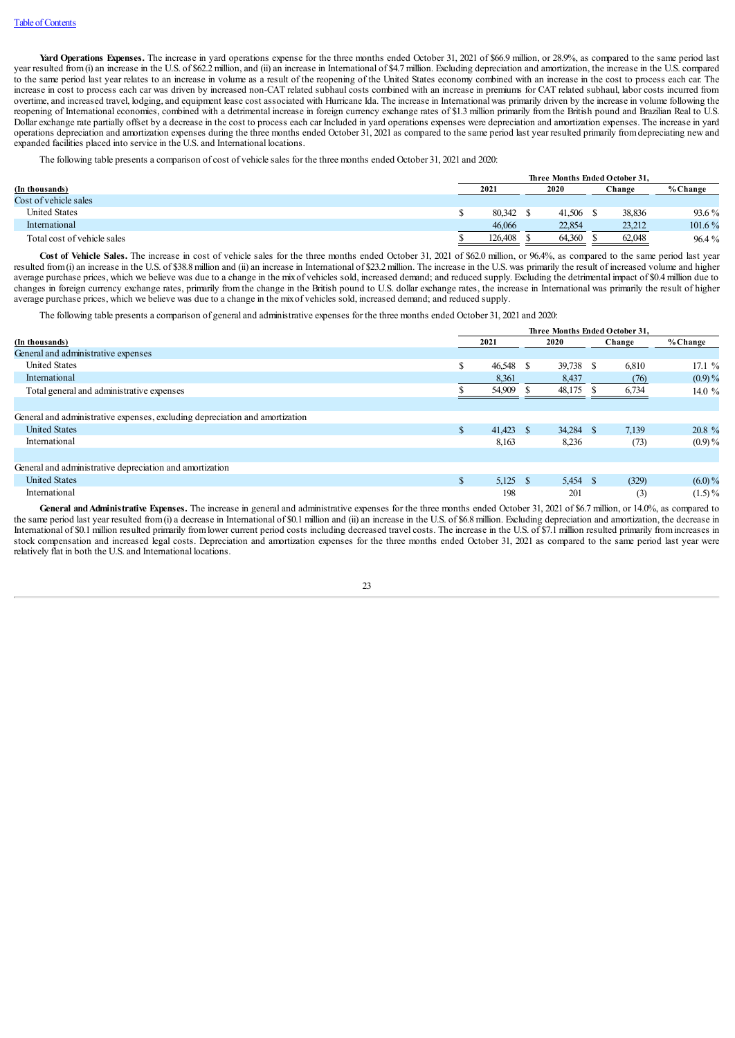Yard Operations Expenses. The increase in yard operations expense for the three months ended October 31, 2021 of \$66.9 million, or 28.9%, as compared to the same period last year resulted from (i) an increase in the U.S. of \$62.2 million, and (ii) an increase in International of \$4.7 million. Excluding depreciation and amortization, the increase in the U.S. compared to the same period last year relates to an increase in volume as a result of the reopening of the United States economy combined with an increase in the cost to process each car. The increase in cost to process each car was driven by increased non-CAT related subhaulcosts combined with an increase in premiums for CAT related subhaul, labor costs incurred from overtime,and increased travel, lodging,and equipment lease cost associated with Hurricane Ida. The increase in Internationalwas primarily driven by the increase in volume following the reopening of International economies, combined with a detrimental increase in foreign currency exchange rates of \$1.3 million primarily from the British pound and Brazilian Real to U.S. Dollarexchange rate partially offset by a decrease in the cost to process each car Included in yard operations expenses were depreciation and amortization expenses. The increase in yard operations depreciation and amortization expenses during the three months ended October 31, 2021 as compared to the same period last year resulted primarily fromdepreciating new and expanded facilities placed into service in the U.S.and International locations.

The following table presents a comparison of cost of vehicle sales for the three months ended October 31, 2021 and 2020:

|                             | Three Months Ended October 31. |  |        |  |        |            |
|-----------------------------|--------------------------------|--|--------|--|--------|------------|
| (In thousands)              | 2021                           |  | 2020   |  | Change | $%$ Change |
| Cost of vehicle sales       |                                |  |        |  |        |            |
| <b>United States</b>        | 80.342                         |  | 41.506 |  | 38,836 | $93.6\%$   |
| International               | 46,066                         |  | 22,854 |  | 23,212 | $101.6\%$  |
| Total cost of vehicle sales | 126.408                        |  | 64.360 |  | 62,048 | $96.4\%$   |

Cost of Vehicle Sales. The increase in cost of vehicle sales for the three months ended October 31, 2021 of \$62.0 million, or 96.4%, as compared to the same period last year resulted from (i) an increase in the U.S. of \$38.8 million and (ii) an increase in International of \$23.2 million. The increase in the U.S. was primarily the result of increased volume and higher average purchase prices, which we believe was due to a change in the mixof vehicles sold, increased demand; and reduced supply. Excluding the detrimental impact of \$0.4million due to changes in foreign currency exchange rates, primarily from the change in the British pound to U.S. dollar exchange rates, the increase in International was primarily the result of higher average purchase prices, which we believe was due to a change in the mixof vehicles sold, increased demand; and reduced supply.

The following table presents a comparison of generaland administrative expenses for the three months ended October 31, 2021 and 2020:

|                                                                              | Three Months Ended October 31. |             |  |          |    |        |           |
|------------------------------------------------------------------------------|--------------------------------|-------------|--|----------|----|--------|-----------|
| (In thousands)                                                               |                                | 2021        |  | 2020     |    | Change | % Change  |
| General and administrative expenses                                          |                                |             |  |          |    |        |           |
| <b>United States</b>                                                         | ъ                              | 46,548 \$   |  | 39,738   | -S | 6,810  | 17.1%     |
| International                                                                |                                | 8,361       |  | 8,437    |    | (76)   | $(0.9)\%$ |
| Total general and administrative expenses                                    |                                | 54,909      |  | 48,175   |    | 6,734  | 14.0 $%$  |
|                                                                              |                                |             |  |          |    |        |           |
| General and administrative expenses, excluding depreciation and amortization |                                |             |  |          |    |        |           |
| <b>United States</b>                                                         | S.                             | $41,423$ \$ |  | 34,284   | -S | 7,139  | 20.8 %    |
| International                                                                |                                | 8,163       |  | 8,236    |    | (73)   | $(0.9)\%$ |
|                                                                              |                                |             |  |          |    |        |           |
| General and administrative depreciation and amortization                     |                                |             |  |          |    |        |           |
| <b>United States</b>                                                         | \$                             | $5,125$ \$  |  | 5,454 \$ |    | (329)  | $(6.0)\%$ |
| International                                                                |                                | 198         |  | 201      |    | (3)    | $(1.5)\%$ |

General and Administrative Expenses. The increase in general and administrative expenses for the three months ended October 31, 2021 of \$6.7 million, or 14.0%, as compared to the same period last year resulted from (i) a decrease in International of \$0.1 million and (ii) an increase in the U.S. of \$6.8 million. Excluding depreciation and amortization, the decrease in International of \$0.1 million resulted primarily from lower current period costs including decreased travel costs. The increase in the U.S. of \$7.1 million resulted primarily from increases in stock compensation and increased legal costs. Depreciation and amortization expenses for the three months ended October 31, 2021 as compared to the same period last year were relatively flat in both the U.S.and International locations.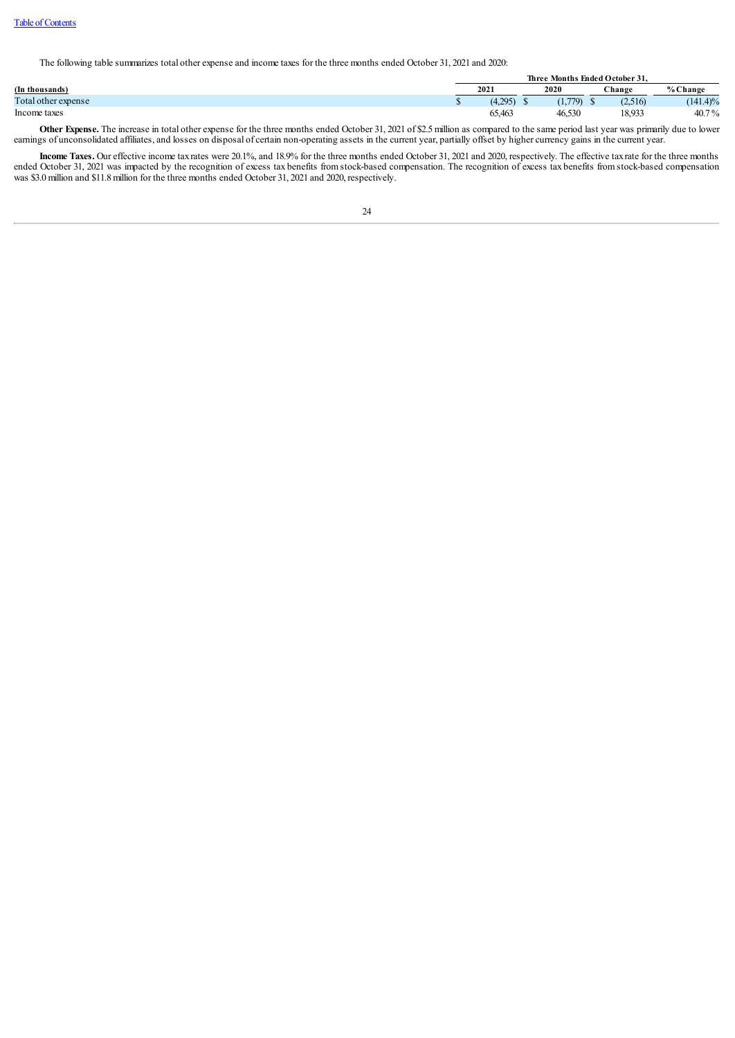The following table summarizes total otherexpense and income taxes for the three months ended October 31, 2021 and 2020:

|                     | Three Months Ended October 31. |         |  |         |  |               |             |  |  |
|---------------------|--------------------------------|---------|--|---------|--|---------------|-------------|--|--|
| (In thousands)      |                                | 2021    |  | 2020    |  | <b>Change</b> | % Change    |  |  |
| Total other expense |                                | (4.295) |  | (1,779) |  | (2,516)       | $(141.4)\%$ |  |  |
| Income taxes        |                                | 65,463  |  | 46,530  |  | 18,933        | $40.7\%$    |  |  |

Other Expense. The increase in total other expense for the three months ended October 31, 2021 of \$2.5 million as compared to the same period last year was primarily due to lower earnings of unconsolidated affiliates, and losses on disposal of certain non-operating assets in the current year, partially offset by higher currency gains in the current year.

<span id="page-23-0"></span>**Income Taxes.** Oureffective income taxrates were 20.1%,and 18.9% for the three months ended October 31, 2021 and 2020, respectively. The effective taxrate for the three months ended October 31, 2021 was impacted by the recognition of excess tax benefits from stock-based compensation. The recognition of excess tax benefits from stock-based compensation was \$3.0 million and \$11.8 million for the three months ended October 31, 2021 and 2020, respectively.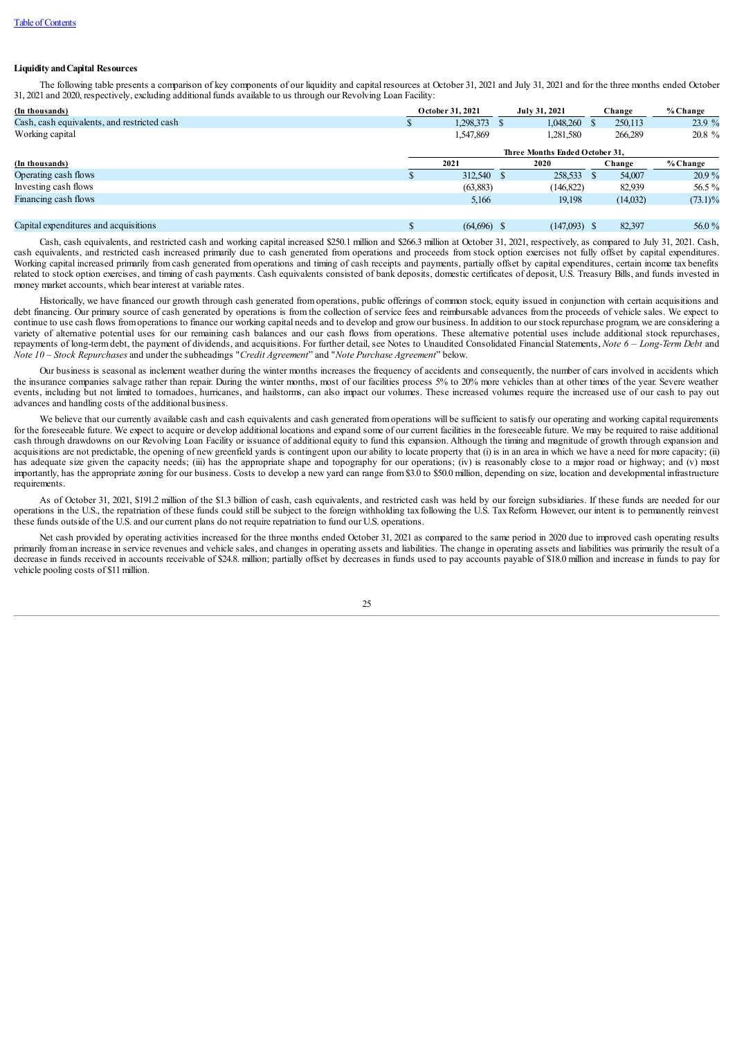### **Liquidity andCapital Resources**

The following table presents a comparison of key components of our liquidity and capital resources at October 31, 2021 and July 31, 2021 and for the three months ended October 31, 2021 and 2020, respectively,excluding additional funds available to us through our Revolving Loan Facility:

| (In thousands)                              |                                | October 31, 2021 |  | July 31, 2021  |  | Change   | % Change   |
|---------------------------------------------|--------------------------------|------------------|--|----------------|--|----------|------------|
| Cash, cash equivalents, and restricted cash |                                | 1,298,373        |  | 1,048,260      |  | 250,113  | 23.9 %     |
| Working capital                             |                                | 1,547,869        |  | 1.281.580      |  | 266,289  | 20.8 %     |
|                                             | Three Months Ended October 31. |                  |  |                |  |          |            |
| (In thousands)                              |                                | 2021             |  | 2020           |  | Change   | % Change   |
| Operating cash flows                        |                                | 312,540 \$       |  | 258,533        |  | 54,007   | $20.9\%$   |
| Investing cash flows                        |                                | (63, 883)        |  | (146, 822)     |  | 82,939   | 56.5 %     |
| Financing cash flows                        |                                | 5,166            |  | 19.198         |  | (14,032) | $(73.1)\%$ |
|                                             |                                |                  |  |                |  |          |            |
| Capital expenditures and acquisitions       |                                | (64,696)         |  | $(147,093)$ \$ |  | 82.397   | 56.0 $\%$  |

### Cash, cash equivalents, and restricted cash and working capital increased \$250.1 million and \$266.3 million at October 31, 2021, respectively, as compared to July 31, 2021. Cash, cash equivalents, and restricted cash increased primarily due to cash generated from operations and proceeds from stock option exercises not fully offset by capital expenditures. Working capital increased primarily from cash generated from operations and timing of cash receipts and payments, partially offset by capital expenditures, certain income tax benefits related to stock option exercises, and timing of cash payments. Cash equivalents consisted of bank deposits, domestic certificates of deposit, U.S. Treasury Bills, and funds invested in money market accounts, which bear interest at variable rates.

Historically, we have financed our growth through cash generated fromoperations, public offerings of common stock, equity issued in conjunction with certain acquisitions and debt financing. Our primary source of cash generated by operations is from the collection of service fees and reimbursable advances from the proceeds of vehicle sales. We expect to continue to use cash flows fromoperations to finance our working capital needs and to develop and growour business. In addition to ourstock repurchase program, we are considering a variety of alternative potential uses for our remaining cash balances and our cash flows from operations. These alternative potential uses include additional stock repurchases, repayments of long-termdebt, the payment of dividends, and acquisitions. For further detail, see Notes to Unaudited Consolidated Financial Statements, *Note 6 – Long-Term Debt* and *Note 10 – Stock Repurchases*and under the subheadings "*Credit Agreement*" and "*Note Purchase Agreement*" below.

Our business is seasonal as inclement weather during the winter months increases the frequency of accidents and consequently, the number of cars involved in accidents which the insurance companies salvage rather than repair. During the winter months, most of our facilities process 5% to 20% more vehicles than at other times of the year. Severe weather events, including but not limited to tornadoes, hurricanes, and hailstorms, can also impact our volumes. These increased volumes require the increased use of our cash to pay out advances and handling costs of the additional business.

We believe that our currently available cash and cash equivalents and cash generated from operations will be sufficient to satisfy our operating and working capital requirements for the foreseeable future. We expect to acquire or develop additional locations and expand some of our current facilities in the foreseeable future. We may be required to raise additional cash through drawdowns on our Revolving Loan Facility or issuance of additional equity to fund this expansion. Although the timing and magnitude of growth through expansion and acquisitions are not predictable, the opening of new greenfield yards is contingent upon our ability to locate property that (i) is in an area in which we have a need for more capacity; (ii) has adequate size given the capacity needs; (iii) has the appropriate shape and topography for our operations; (iv) is reasonably close to a major road or highway; and (v) most importantly, has the appropriate zoning for our business. Costs to develop a new yard can range from\$3.0 to \$50.0 million, depending on size, location and developmental infrastructure requirements.

As of October 31, 2021, \$191.2 million of the \$1.3 billion of cash, cash equivalents, and restricted cash was held by our foreign subsidiaries. If these funds are needed for our operations in the U.S., the repatriation of these funds could still be subject to the foreign withholding tax following the U.S. TaxReform. However, our intent is to permanently reinvest these funds outside of the U.S. and our current plans do not require repatriation to fund our U.S. operations.

Net cash provided by operating activities increased for the three months ended October 31, 2021 as compared to the same period in 2020 due to improved cash operating results primarily from an increase in service revenues and vehicle sales, and changes in operating assets and liabilities. The change in operating assets and liabilities was primarily the result of a decrease in funds received in accounts receivable of \$24.8. million; partially offset by decreases in funds used to pay accounts payable of \$18.0 million and increase in funds to pay for vehicle pooling costs of \$11 million.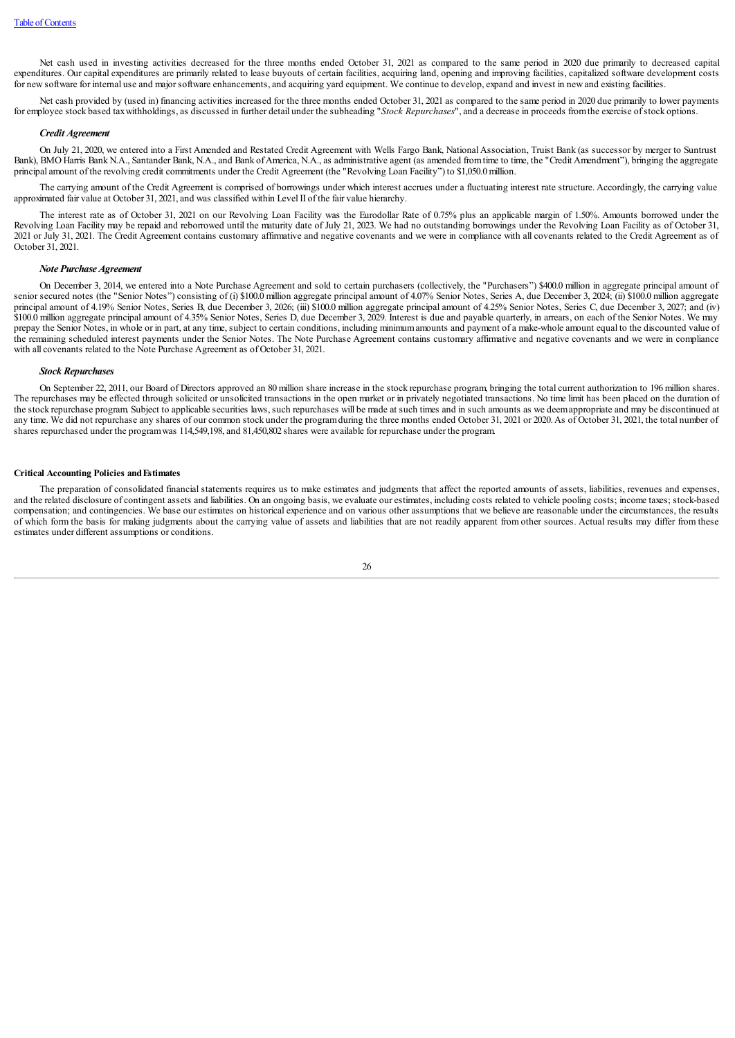Net cash used in investing activities decreased for the three months ended October 31, 2021 as compared to the same period in 2020 due primarily to decreased capital expenditures. Our capitalexpenditures are primarily related to lease buyouts of certain facilities, acquiring land, opening and improving facilities, capitalized software development costs for new software for internal use and major software enhancements, and acquiring yard equipment. We continue to develop, expand and invest in new and existing facilities.

Net cash provided by (used in) financing activities increased for the three months ended October 31, 2021 as compared to the same period in 2020 due primarily to lower payments foremployee stock based taxwithholdings,as discussed in further detail under the subheading "*Stock Repurchases*",and a decrease in proceeds fromthe exercise ofstock options.

#### *Credit Agreement*

On July 21, 2020, we entered into a First Amended and Restated Credit Agreement with Wells Fargo Bank, National Association, Truist Bank (as successor by merger to Suntrust Bank), BMO Harris Bank N.A., Santander Bank, N.A., and Bank of America, N.A., as administrative agent (as amended from time to time, the "Credit Amendment"), bringing the aggregate principalamount of the revolving credit commitments under the Credit Agreement (the "Revolving Loan Facility") to \$1,050.0million.

The carrying amount of the Credit Agreement is comprised of borrowings under which interest accrues under a fluctuating interest rate structure. Accordingly, the carrying value approximated fair value at October 31, 2021, and was classified within Level II of the fair value hierarchy.

The interest rate as of October 31, 2021 on our Revolving Loan Facility was the Eurodollar Rate of 0.75% plus an applicable margin of 1.50%. Amounts borrowed under the Revolving Loan Facility may be repaid and reborrowed until the maturity date of July 21, 2023. We had no outstanding borrowings under the Revolving Loan Facility as of October 31, 2021 or July 31, 2021. The Credit Agreement contains customary affirmative and negative covenants and we were in compliance with allcovenants related to the Credit Agreement as of October 31, 2021.

#### *Note Purchase Agreement*

On December 3, 2014, we entered into a Note Purchase Agreement and sold to certain purchasers (collectively, the "Purchasers") \$400.0 million in aggregate principal amount of senior secured notes (the "Senior Notes") consisting of (i) \$100.0 million aggregate principal amount of 4.07% Senior Notes, Series A, due December 3, 2024; (ii) \$100.0 million aggregate principal amount of 4.19% Senior Notes, Series B, due December 3, 2026; (iii) \$100.0 million aggregate principal amount of 4.25% Senior Notes, Series C, due December 3, 2027; and (iv) \$100.0 million aggregate principal amount of 4.35% Senior Notes, Series D, due December 3, 2029. Interest is due and payable quarterly, in arrears, on each of the Senior Notes. We may prepay the Senior Notes, in whole or in part, at any time, subject to certain conditions, including minimum amounts and payment of a make-whole amount equal to the discounted value of the remaining scheduled interest payments under the Senior Notes. The Note Purchase Agreement contains customary affirmative and negative covenants and we were in compliance with all covenants related to the Note Purchase Agreement as of October 31, 2021.

### *Stock Repurchases*

On September 22, 2011, our Board of Directors approved an 80million share increase in the stock repurchase program, bringing the totalcurrent authorization to 196million shares. The repurchases may be effected through solicited or unsolicited transactions in the open market or in privately negotiated transactions. No time limit has been placed on the duration of the stock repurchase program. Subject to applicable securities laws, such repurchases will be made at such times and in such amounts as we deem appropriate and may be discontinued at any time. We did not repurchase any shares of our common stock under the program during the three months ended October 31, 2021 or 2020. As of October 31, 2021, the total number of shares repurchased under the program was 114,549,198, and 81,450,802 shares were available for repurchase under the program.

#### <span id="page-25-0"></span>**Critical Accounting Policies andEstimates**

The preparation of consolidated financial statements requires us to make estimates and judgments that affect the reported amounts of assets, liabilities, revenues and expenses, and the related disclosure of contingent assets and liabilities. On an ongoing basis, we evaluate our estimates, including costs related to vehicle pooling costs; income taxes; stock-based compensation; and contingencies. We base our estimates on historical experience and on various other assumptions that we believe are reasonable under the circumstances, the results of which form the basis for making judgments about the carrying value of assets and liabilities that are not readily apparent from other sources. Actual results may differ from these estimates under different assumptions orconditions.

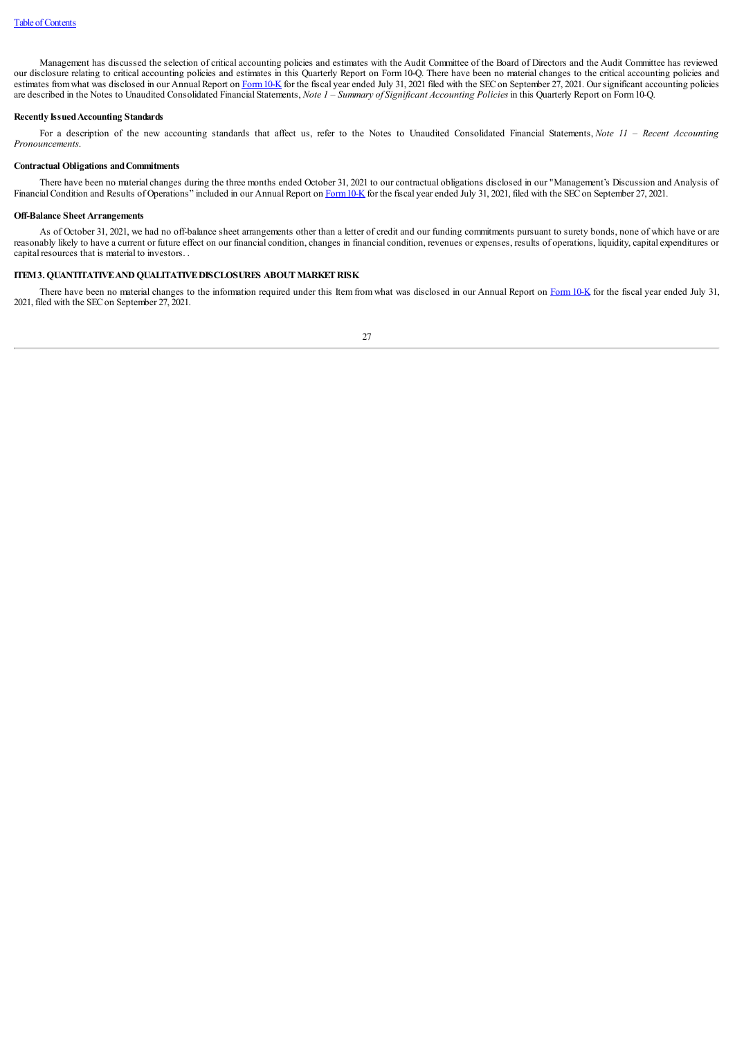Management has discussed the selection of criticalaccounting policies and estimates with the Audit Committee of the Board of Directors and the Audit Committee has reviewed our disclosure relating to critical accounting policies and estimates in this Quarterly Report on Form 10-Q. There have been no material changes to the critical accounting policies and estimates from what was disclosed in our Annual Report on Form 10-K for the fiscal year ended July 31, 2021 filed with the SEC on September 27, 2021. Our significant accounting policies are described in the Notes to Unaudited Consolidated Financial Statements, *Note 1 – Summary of Significant Accounting Policies* in this Quarterly Report on Form10-Q.

### <span id="page-26-0"></span>**Recently IssuedAccounting Standards**

For a description of the new accounting standards that affect us, refer to the Notes to Unaudited Consolidated Financial Statements, *Note 11 – Recent Accounting Pronouncements*.

### <span id="page-26-1"></span>**Contractual Obligations andCommitments**

There have been no material changes during the three months ended October 31, 2021 to our contractual obligations disclosed in our "Management's Discussion and Analysis of Financial Condition and Results of Operations" included in our Annual Report on Form 10-K for the fiscal year ended July 31, 2021, filed with the SEC on September 27, 2021.

### **Off-Balance Sheet Arrangements**

As of October 31, 2021, we had no off-balance sheet arrangements other than a letter of credit and our funding commitments pursuant to surety bonds, none of which have or are reasonably likely to have a current or future effect on our financial condition, changes in financial condition, revenues or expenses, results of operations, liquidity, capital expenditures or capital resources that is material to investors. .

### <span id="page-26-2"></span>**ITEM3. QUANTITATIVEANDQUALITATIVEDISCLOSURES ABOUTMARKETRISK**

<span id="page-26-3"></span>There have been no material changes to the information required under this Item from what was disclosed in our Annual Report on Form 10-K for the fiscal year ended July 31, 2021, filed with the SEC on September 27, 2021.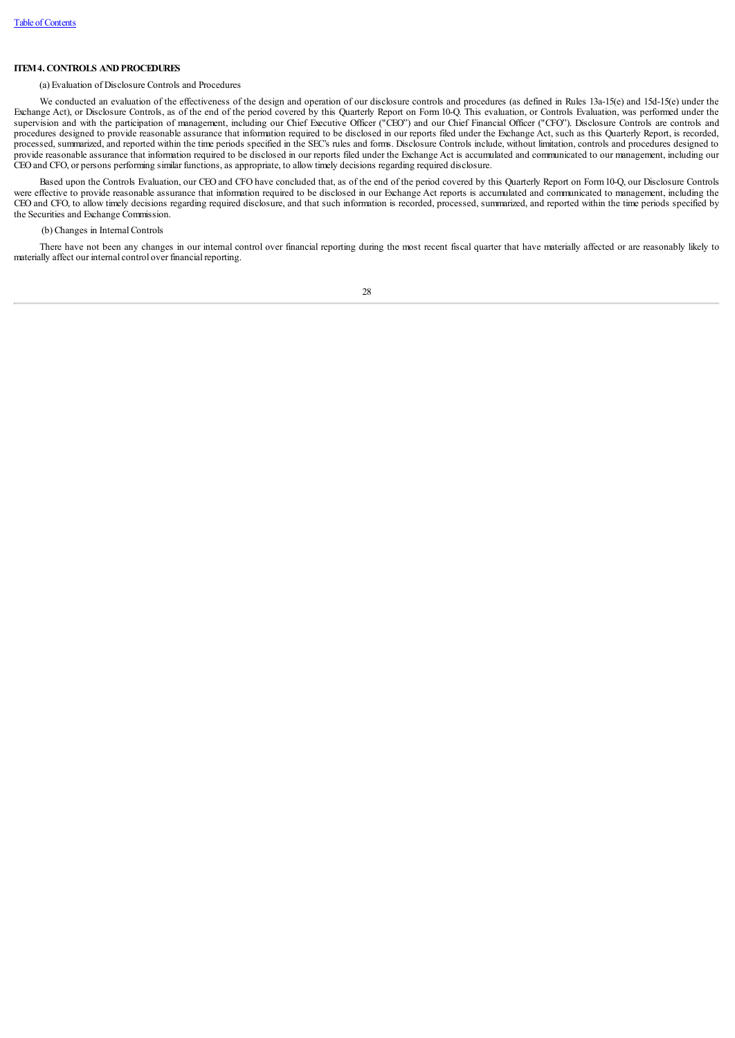### **ITEM4. CONTROLS AND PROCEDURES**

### (a) Evaluation of Disclosure Controls and Procedures

<span id="page-27-0"></span>We conducted an evaluation of the effectiveness of the design and operation of our disclosure controls and procedures (as defined in Rules 13a-15(e) and 15d-15(e) under the Exchange Act), or Disclosure Controls, as of the end of the period covered by this Quarterly Report on Form 10-Q. This evaluation, or Controls Evaluation, was performed under the supervision and with the participation of management, including our Chief Executive Officer ("CEO") and our Chief Financial Officer ("CFO"). Disclosure Controls are controls and procedures designed to provide reasonable assurance that information required to be disclosed in our reports filed under the Exchange Act, such as this Quarterly Report, is recorded, processed, summarized, and reported within the time periods specified in the SEC's rules and forms. Disclosure Controls include, without limitation, controls and procedures designed to provide reasonable assurance that information required to be disclosed in our reports filed under the Exchange Act is accumulated and communicated to our management, including our CEO and CFO, or persons performing similar functions, as appropriate, to allow timely decisions regarding required disclosure.

Based upon the Controls Evaluation, our CEO and CFO have concluded that, as of the end of the period covered by this Quarterly Report on Form10-Q, our Disclosure Controls were effective to provide reasonable assurance that information required to be disclosed in our Exchange Act reports is accumulated and communicated to management, including the CEO and CFO, to allow timely decisions regarding required disclosure, and that such information is recorded, processed, summarized, and reported within the time periods specified by the Securities and Exchange Commission.

#### (b) Changes in Internal Controls

<span id="page-27-1"></span>There have not been any changes in our internal control over financial reporting during the most recent fiscal quarter that have materially affected or are reasonably likely to materially affect our internal control over financial reporting.

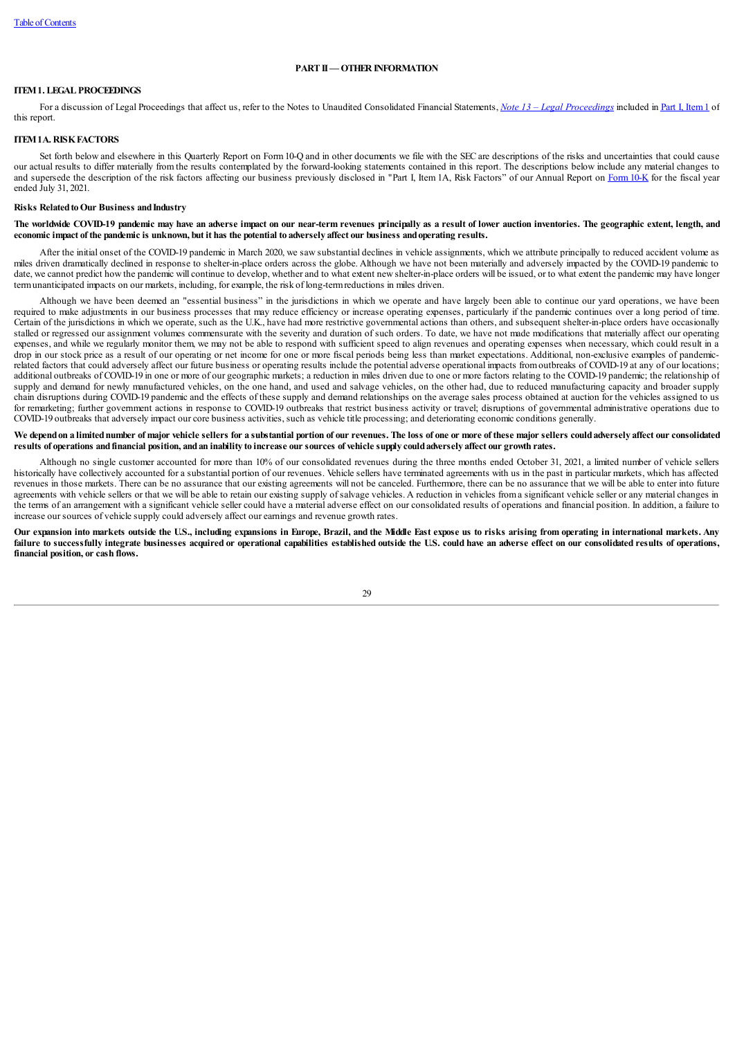### **PART II — OTHER INFORMATION**

### <span id="page-28-0"></span>**ITEM1. LEGALPROCEEDINGS**

Fora discussion of Legal Proceedings that affect us, refer to the Notes to Unaudited Consolidated Financial Statements, *Note 13 – Legal [Proceedings](#page-15-0)* included in Part I, [Item1](#page-15-0) of this report.

### <span id="page-28-1"></span>**ITEM1A. RISKFACTORS**

Set forth below and elsewhere in this Quarterly Report on Form 10-Q and in other documents we file with the SEC are descriptions of the risks and uncertainties that could cause our actual results to differ materially fromthe results contemplated by the forward-looking statements contained in this report. The descriptions below include any material changes to and supersede the description of the risk factors affecting our business previously disclosed in "Part I, Item 1A, Risk Factors" of our Annual Report on Form 10-K for the fiscal year ended July 31, 2021.

### **Risks RelatedtoOur Business andIndustry**

The worldwide COVID-19 pandemic may have an adverse impact on our near-term revenues principally as a result of lower auction inventories. The geographic extent, length, and economic impact of the pandemic is unknown, but it has the potential to adversely affect our business and operating results.

After the initial onset of the COVID-19 pandemic in March 2020, we saw substantial declines in vehicle assignments, which we attribute principally to reduced accident volume as miles driven dramatically declined in response to shelter-in-place orders across the globe. Although we have not been materially and adversely impacted by the COVID-19 pandemic to date, we cannot predict how the pandemic will continue to develop, whether and to what extent new shelter-in-place orders will be issued, or to what extent the pandemic may have longer termunanticipated impacts on ourmarkets, including, forexample, the risk of long-termreductions in miles driven.

Although we have been deemed an "essential business" in the jurisdictions in which we operate and have largely been able to continue our yard operations, we have been required to make adjustments in our business processes that may reduce efficiency or increase operating expenses, particularly if the pandemic continues over a long period of time. Certain of the jurisdictions in which we operate, such as the U.K., have had more restrictive governmental actions than others, and subsequent shelter-in-place orders have occasionally stalled or regressed our assignment volumes commensurate with the severity and duration of such orders. To date, we have not made modifications that materially affect our operating expenses, and while we regularly monitor them, we may not be able to respond with sufficient speed to align revenues and operating expenses when necessary, which could result in a drop in our stock price as a result of our operating or net income for one or more fiscal periods being less than market expectations. Additional, non-exclusive examples of pandemicrelated factors that could adversely affect our future business or operating results include the potential adverse operational impacts from outbreaks of COVID-19 at any of our locations; additional outbreaks of COVID-19 in one or more of our geographic markets; a reduction in miles driven due to one or more factors relating to the COVID-19 pandemic; the relationship of supply and demand for newly manufactured vehicles, on the one hand, and used and salvage vehicles, on the other had, due to reduced manufacturing capacity and broader supply chain disruptions during COVID-19 pandemic and the effects of these supply and demand relationships on the average sales process obtained at auction for the vehicles assigned to us for remarketing; further government actions in response to COVID-19 outbreaks that restrict business activity or travel; disruptions of governmental administrative operations due to COVID-19 outbreaks that adversely impact ourcore business activities, such as vehicle title processing; and deteriorating economic conditions generally.

We depend on a limited number of major vehicle sellers for a substantial portion of our revenues. The loss of one or more of these major sellers could adversely affect our consolidated results of operations and financial position, and an inability to increase our sources of vehicle supply could adversely affect our growth rates.

Although no single customer accounted for more than 10% of our consolidated revenues during the three months ended October 31, 2021, a limited number of vehicle sellers historically have collectively accounted for a substantial portion of our revenues. Vehicle sellers have terminated agreements with us in the past in particular markets, which has affected revenues in those markets. There can be no assurance that our existing agreements will not be canceled. Furthermore, there can be no assurance that we will be able to enter into future agreements with vehicle sellers or that we will be able to retain our existing supply of salvage vehicles. A reduction in vehicles from a significant vehicle seller or any material changes in the terms of an arrangement with a significant vehicle seller could have a material adverse effect on our consolidated results of operations and financial position. In addition, a failure to increase oursources of vehicle supply could adversely affect ourearnings and revenue growth rates.

Our expansion into markets outside the U.S., including expansions in Europe, Brazil, and the Middle East expose us to risks arising from operating in international markets. Any failure to successfully integrate businesses acquired or operational capabilities established outside the U.S. could have an adverse effect on our consolidated results of operations, **financial position, or cash flows.**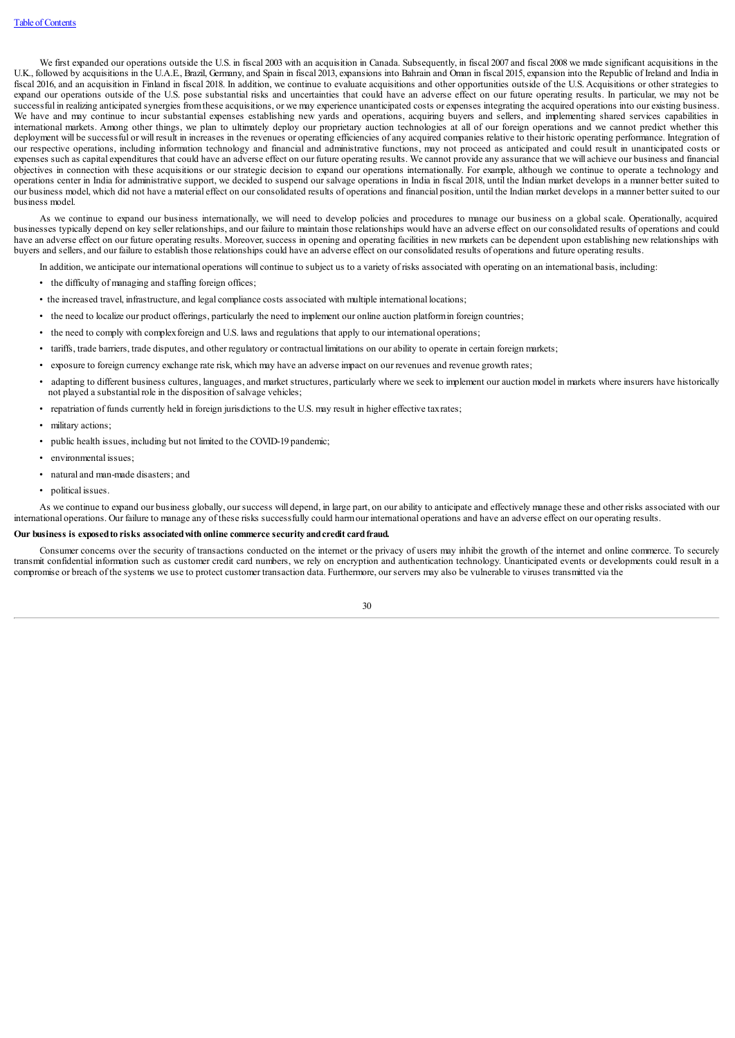We first expanded our operations outside the U.S. in fiscal 2003 with an acquisition in Canada. Subsequently, in fiscal 2007 and fiscal 2008 we made significant acquisitions in the U.K., followed by acquisitions in the U.A.E., Brazil, Germany, and Spain in fiscal 2013, expansions into Bahrain and Oman in fiscal 2015, expansion into the Republic of Ireland and India in fiscal 2016, and an acquisition in Finland in fiscal 2018. In addition, we continue to evaluate acquisitions and other opportunities outside of the U.S. Acquisitions or other strategies to expand our operations outside of the U.S. pose substantial risks and uncertainties that could have an adverse effect on our future operating results. In particular, we may not be successful in realizing anticipated synergies from these acquisitions, or we may experience unanticipated costs or expenses integrating the acquired operations into our existing business.<br>We have and may continue to incur international markets. Among other things, we plan to ultimately deploy our proprietary auction technologies at all of our foreign operations and we cannot predict whether this deployment will be successful or will result in increases in the revenues or operating efficiencies of any acquired companies relative to their historic operating performance. Integration of our respective operations, including information technology and financial and administrative functions, may not proceed as anticipated and could result in unanticipated costs or expenses such as capital expenditures that could have an adverse effect on our future operating results. We cannot provide any assurance that we will achieve our business and financial objectives in connection with these acquisitions or our strategic decision to expand our operations internationally. For example, although we continue to operate a technology and operations center in India for administrative support, we decided to suspend our salvage operations in India in fiscal 2018, until the Indian market develops in a manner better suited to our business model, which did not have a materialeffect on ourconsolidated results of operations and financial position, until the Indian market develops in a manner better suited to our business model.

As we continue to expand our business internationally, we will need to develop policies and procedures to manage our business on a global scale. Operationally, acquired businesses typically depend on key seller relationships, and our failure to maintain those relationships would have an adverse effect on our consolidated results of operations and could have an adverse effect on our future operating results. Moreover, success in opening and operating facilities in new markets can be dependent upon establishing new relationships with buyers and sellers, and our failure to establish those relationships could have an adverse effect on our consolidated results of operations and future operating results.

In addition, we anticipate our international operations will continue to subject us to a variety of risks associated with operating on an international basis, including:

- the difficulty of managing and staffing foreign offices;
- the increased travel, infrastructure, and legal compliance costs associated with multiple international locations;
- the need to localize our product offerings, particularly the need to implement our online auction platformin foreign countries;
- the need to comply with complexforeign and U.S. laws and regulations that apply to our international operations;
- tariffs, trade barriers, trade disputes, and other regulatory or contractual limitations on our ability to operate in certain foreign markets;
- exposure to foreign currency exchange rate risk, which may have an adverse impact on our revenues and revenue growth rates;
- adapting to different business cultures, languages, and market structures, particularly where we seek to implement our auction model in markets where insurers have historically not played a substantial role in the disposition of salvage vehicles;
- repatriation of funds currently held in foreign jurisdictions to the U.S. may result in highereffective taxrates;
- military actions;
- public health issues, including but not limited to the COVID-19 pandemic;
- environmental issues;
- natural and man-made disasters; and
- political issues.

As we continue to expand our business globally, our success will depend, in large part, on our ability to anticipate and effectively manage these and other risks associated with our international operations. Our failure to manage any of these risks successfully could harmour international operations and have an adverse effect on our operating results.

#### **Our business is exposedto risks associatedwith online commerce security andcreditcardfraud.**

Consumer concerns over the security of transactions conducted on the internet or the privacy of users may inhibit the growth of the internet and online commerce. To securely transmit confidential information such as customer credit card numbers, we rely on encryption and authentication technology. Unanticipated events or developments could result in a compromise or breach of the systems we use to protect customer transaction data. Furthermore, ourservers may also be vulnerable to viruses transmitted via the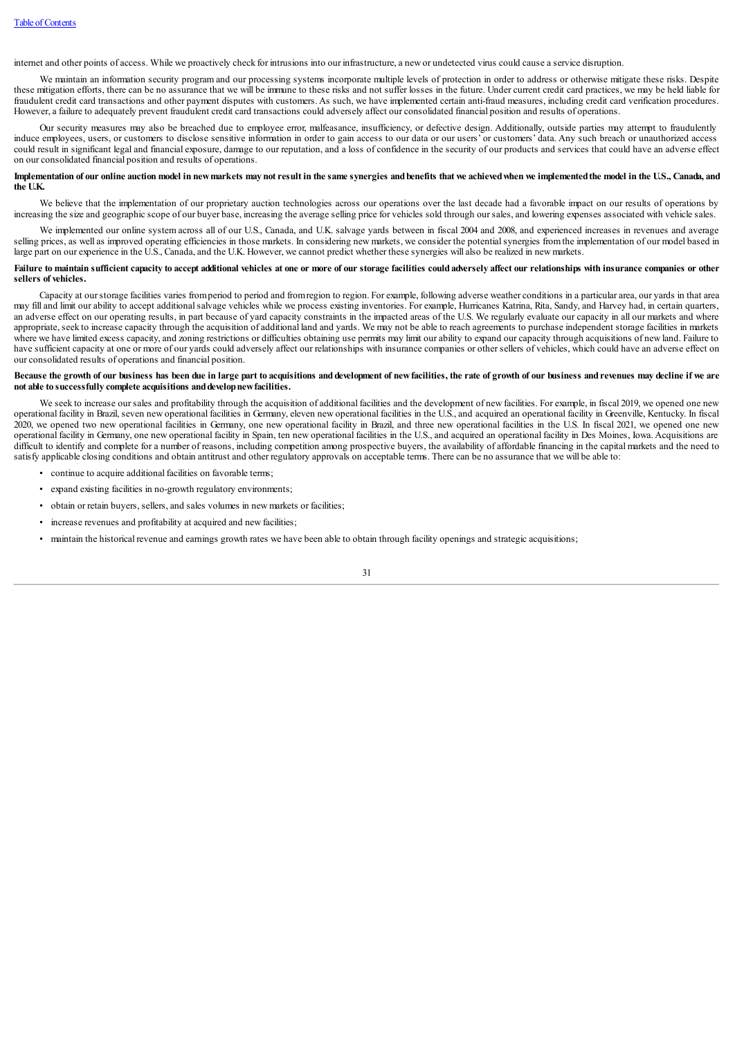internet and other points of access. While we proactively check for intrusions into our infrastructure, a new or undetected virus could cause a service disruption.

We maintain an information security program and our processing systems incorporate multiple levels of protection in order to address or otherwise mitigate these risks. Despite these mitigation efforts, there can be no assurance that we will be immune to these risks and not suffer losses in the future. Under current credit card practices, we may be held liable for fraudulent credit card transactions and other payment disputes with customers. As such, we have implemented certain anti-fraud measures, including credit card verification procedures. However, a failure to adequately prevent fraudulent credit card transactions could adversely affect our consolidated financial position and results of operations.

Our security measures may also be breached due to employee error, malfeasance, insufficiency, or defective design. Additionally, outside parties may attempt to fraudulently induce employees, users, or customers to disclose sensitive information in order to gain access to our data or our users' or customers' data. Any such breach or unauthorized access could result in significant legaland financialexposure, damage to our reputation, and a loss ofconfidence in the security of our products and services that could have an adverse effect on ourconsolidated financial position and results of operations.

### Implementation of our online auction model in new markets may not result in the same synergies and benefits that we achieved when we implemented the model in the U.S., Canada, and **the U.K.**

We believe that the implementation of our proprietary auction technologies across our operations over the last decade had a favorable impact on our results of operations by increasing the size and geographic scope of our buyer base, increasing the average selling price for vehicles sold through our sales, and lowering expenses associated with vehicle sales.

We implemented our online system across all of our U.S., Canada, and U.K. salvage yards between in fiscal 2004 and 2008, and experienced increases in revenues and average selling prices, as well as improved operating efficiencies in those markets. In considering new markets, we consider the potential synergies from the implementation of our model based in large part on ourexperience in the U.S., Canada,and the U.K. However, we cannot predict whether these synergies willalso be realized in newmarkets.

### Failure to maintain sufficient capacity to accept additional vehicles at one or more of our storage facilities could adversely affect our relationships with insurance companies or other **sellers of vehicles.**

Capacity at our storage facilities varies fromperiod to period and fromregion to region. For example, following adverse weather conditions in a particular area, our yards in that area may filland limit ourability to accept additionalsalvage vehicles while we process existing inventories. Forexample, Hurricanes Katrina, Rita, Sandy,and Harvey had, in certain quarters, an adverse effect on our operating results, in part because of yard capacity constraints in the impacted areas of the U.S. We regularly evaluate our capacity in all our markets and where appropriate, seek to increase capacity through the acquisition of additional land and yards. We may not be able to reach agreements to purchase independent storage facilities in markets where we have limited excess capacity, and zoning restrictions or difficulties obtaining use permits may limit our ability to expand our capacity through acquisitions of new land. Failure to have sufficient capacity at one or more of our yards could adversely affect our relationships with insurance companies or other sellers of vehicles, which could have an adverse effect on our consolidated results of operations and financial position.

### Because the growth of our business has been due in large part to acquisitions and development of new facilities, the rate of growth of our business and revenues may decline if we are **not able to successfully complete acquisitions anddevelopnewfacilities.**

We seek to increase our sales and profitability through the acquisition of additional facilities and the development of new facilities. For example, in fiscal 2019, we opened one new operational facility in Brazil, seven new operational facilities in Germany,eleven new operational facilities in the U.S.,and acquired an operational facility in Greenville, Kentucky. In fiscal 2020, we opened two new operational facilities in Germany, one new operational facility in Brazil, and three new operational facilities in the U.S. In fiscal 2021, we opened one new operational facility in Germany, one new operational facility in Spain, ten new operational facilities in the U.S., and acquired an operational facility in Des Moines, Iowa.Acquisitions are difficult to identify and complete fora number of reasons, including competition among prospective buyers, the availability ofaffordable financing in the capital markets and the need to satisfy applicable closing conditions and obtain antitrust and other regulatory approvals on acceptable terms. There can be no assurance that we will be able to:

- continue to acquire additional facilities on favorable terms;
- expand existing facilities in no-growth regulatory environments;
- obtain or retain buyers, sellers, and sales volumes in new markets or facilities;
- increase revenues and profitability at acquired and new facilities;
- maintain the historical revenue and earnings growth rates we have been able to obtain through facility openings and strategic acquisitions;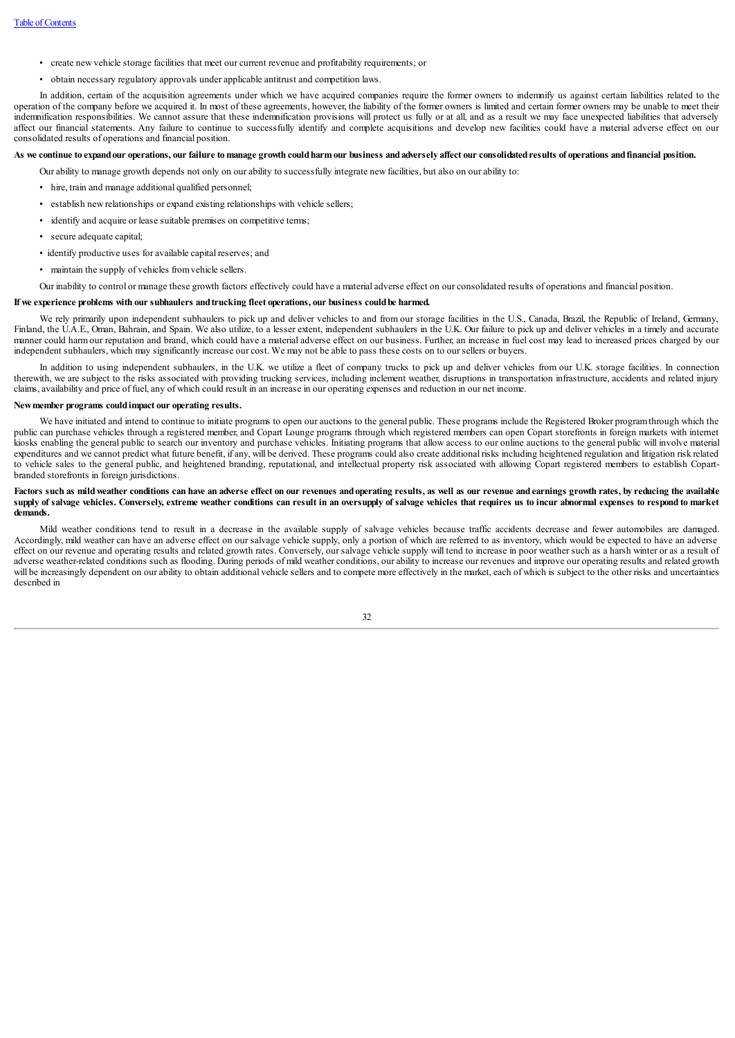- create new vehicle storage facilities that meet our current revenue and profitability requirements; or
- obtain necessary regulatory approvals underapplicable antitrust and competition laws.

In addition, certain of the acquisition agreements under which we have acquired companies require the former owners to indemnify us against certain liabilities related to the operation of the company before we acquired it. In most of these agreements, however, the liability of the former owners is limited and certain former owners may be unable to meet their indemnification responsibilities. We cannot assure that these indemnification provisions will protect us fully or at all, and as a result we may face unexpected liabilities that adversely affect our financial statements. Any failure to continue to successfully identify and complete acquisitions and develop new facilities could have a material adverse effect on our consolidated results of operations and financial position.

### As we continue to expand our operations, our failure to manage growth could harm our business and adversely affect our consolidated results of operations and financial position.

Ourability to manage growth depends not only on ourability to successfully integrate newfacilities, but also on ourability to:

- hire, train and manage additional qualified personnel;
- establish newrelationships orexpand existing relationships with vehicle sellers;
- identify and acquire or lease suitable premises on competitive terms;
- secure adequate capital;
- identify productive uses foravailable capital reserves; and
- maintain the supply of vehicles fromvehicle sellers.

Our inability to control ormanage these growth factors effectively could have a materialadverse effect on ourconsolidated results of operations and financial position.

### **If we experience problems with our subhaulers andtrucking fleet operations, our business couldbe harmed.**

We rely primarily upon independent subhaulers to pick up and deliver vehicles to and from our storage facilities in the U.S., Canada, Brazil, the Republic of Ireland, Germany, Finland, the U.A.E., Oman, Bahrain, and Spain. We also utilize, to a lesser extent, independent subhaulers in the U.K. Our failure to pick up and deliver vehicles in a timely and accurate manner could harmour reputation and brand, which could have a material adverse effect on our business. Further, an increase in fuel cost may lead to increased prices charged by our independent subhaulers, which may significantly increase ourcost. We may not be able to pass these costs on to oursellers or buyers.

In addition to using independent subhaulers, in the U.K. we utilize a fleet of company trucks to pick up and deliver vehicles from our U.K. storage facilities. In connection therewith, we are subject to the risks associated with providing trucking services, including inclement weather, disruptions in transportation infrastructure, accidents and related injury claims, availability and price of fuel, any of which could result in an increase in our operating expenses and reduction in our net income.

### **Newmember programs couldimpact our operating results.**

We have initiated and intend to continue to initiate programs to open our auctions to the general public. These programs include the Registered Broker program through which the public can purchase vehicles through a registered member, and Copart Lounge programs through which registered members can open Copart storefronts in foreign markets with internet kiosks enabling the general public to search our inventory and purchase vehicles. Initiating programs that allow access to our online auctions to the general public will involve material expenditures and we cannot predict what future benefit, ifany, will be derived. These programs could also create additional risks including heightened regulation and litigation risk related to vehicle sales to the general public, and heightened branding, reputational, and intellectual property risk associated with allowing Copart registered members to establish Copartbranded storefronts in foreign jurisdictions.

### Factors such as mild weather conditions can have an adverse effect on our revenues and operating results, as well as our revenue and earnings growth rates, by reducing the available supply of salvage vehicles. Conversely, extreme weather conditions can result in an oversupply of salvage vehicles that requires us to incur abnormal expenses to respond to market **demands.**

Mild weather conditions tend to result in a decrease in the available supply of salvage vehicles because traffic accidents decrease and fewer automobiles are damaged. Accordingly, mild weather can have an adverse effect on our salvage vehicle supply, only a portion of which are referred to as inventory, which would be expected to have an adverse effect on our revenue and operating results and related growth rates. Conversely, our salvage vehicle supply will tend to increase in poor weather such as a harsh winter or as a result of adverse weather-related conditions such as flooding. During periods of mild weather conditions, our ability to increase our revenues and improve our operating results and related growth will be increasingly dependent on our ability to obtain additional vehicle sellers and to compete more effectively in the market, each of which is subject to the other risks and uncertainties described in

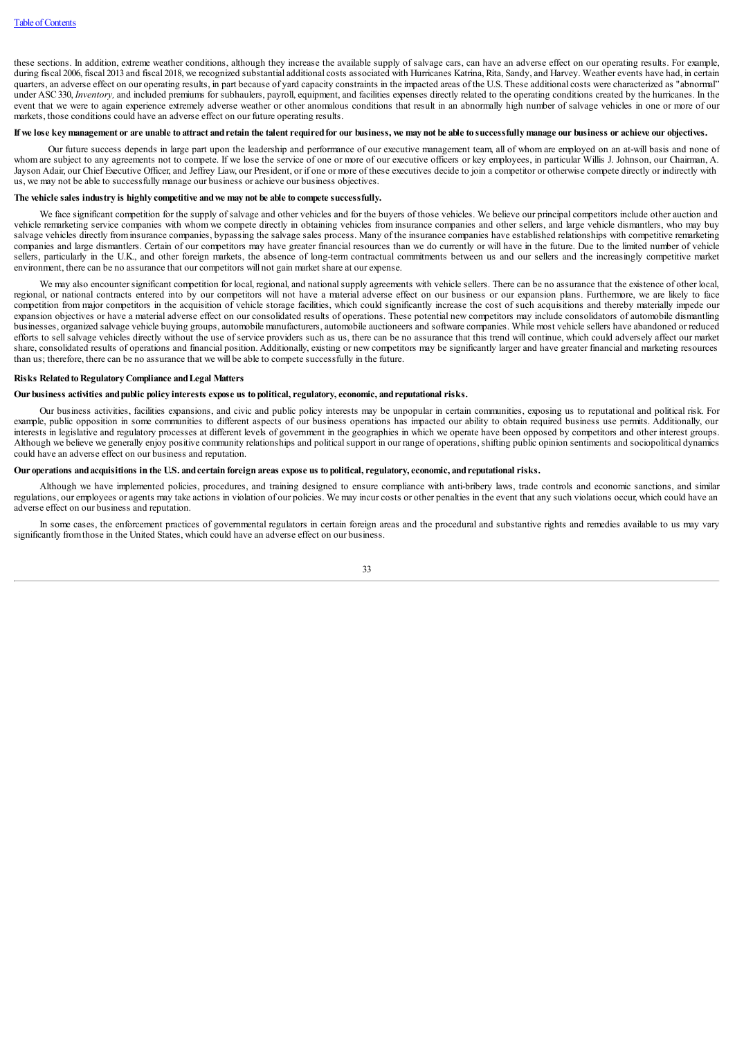these sections. In addition, extreme weather conditions, although they increase the available supply of salvage cars, can have an adverse effect on our operating results. For example, during fiscal 2006, fiscal 2013 and fiscal 2018, we recognized substantial additional costs associated with Hurricanes Katrina, Rita, Sandy, and Harvey. Weather events have had, in certain quarters,an adverse effect on our operating results, in part because of yard capacity constraints in the impacted areas of the U.S. These additionalcosts were characterized as "abnormal" under ASC 330, *Inventory*, and included premiums for subhaulers, payroll, equipment, and facilities expenses directly related to the operating conditions created by the hurricanes. In the event that we were to again experience extremely adverse weather or other anomalous conditions that result in an abnormally high number of salvage vehicles in one or more of our markets, those conditions could have an adverse effect on our future operating results.

### If we lose key management or are unable to attract and retain the talent required for our business, we may not be able to successfully manage our business or achieve our objectives.

Our future success depends in large part upon the leadership and performance of our executive management team, all of whom are employed on an at-will basis and none of whom are subject to any agreements not to compete. If we lose the service of one or more of our executive officers or key employees, in particular Willis J. Johnson, our Chairman, A. Jayson Adair, our Chief Executive Officer, and Jeffrey Liaw, our President, or if one or more of these executives decide to join a competitor or otherwise compete directly or indirectly with us, we may not be able to successfully manage our business orachieve our business objectives.

### **The vehicle sales industry is highly competitive andwe may not be able to compete successfully.**

We face significant competition for the supply of salvage and other vehicles and for the buyers of those vehicles. We believe our principal competitors include other auction and vehicle remarketing service companies with whom we compete directly in obtaining vehicles from insurance companies and other sellers, and large vehicle dismantlers, who may buy salvage vehicles directly from insurance companies, bypassing the salvage sales process. Many of the insurance companies have established relationships with competitive remarketing companies and large dismantlers. Certain of our competitors may have greater financial resources than we do currently or will have in the future. Due to the limited number of vehicle sellers, particularly in the U.K., and other foreign markets, the absence of long-term contractual commitments between us and our sellers and the increasingly competitive market environment, there can be no assurance that our competitors will not gain market share at our expense.

We may also encounter significant competition for local, regional, and national supply agreements with vehicle sellers. There can be no assurance that the existence of other local, regional, or national contracts entered into by our competitors will not have a material adverse effect on our business or our expansion plans. Furthermore, we are likely to face competition from major competitors in the acquisition of vehicle storage facilities, which could significantly increase the cost of such acquisitions and thereby materially impede our expansion objectives or have a materialadverse effect on our consolidated results of operations. These potential new competitors may include consolidators of automobile dismantling businesses, organized salvage vehicle buying groups, automobile manufacturers, automobile auctioneers and software companies. While most vehicle sellers have abandoned or reduced efforts to sell salvage vehicles directly without the use of service providers such as us, there can be no assurance that this trend willcontinue, which could adversely affect our market share, consolidated results of operations and financial position. Additionally, existing or new competitors may be significantly larger and have greater financial and marketing resources than us; therefore, there can be no assurance that we will be able to compete successfully in the future.

### **Risks Related to Regulatory Compliance and Legal Matters**

### **Our business activities andpublic policy interests expose us to political,regulatory,economic, andreputational risks.**

Our business activities, facilities expansions, and civic and public policy interests may be unpopular in certain communities, exposing us to reputational and political risk. For example, public opposition in some communities to different aspects of our business operations has impacted our ability to obtain required business use permits. Additionally, our interests in legislative and regulatory processes at different levels of government in the geographies in which we operate have been opposed by competitors and other interest groups. Although we believe we generally enjoy positive community relationships and politicalsupport in our range of operations, shifting public opinion sentiments and sociopolitical dynamics could have an adverse effect on our business and reputation.

### Our operations and acquisitions in the U.S. and certain foreign areas expose us to political, regulatory, economic, and reputational risks.

Although we have implemented policies, procedures, and training designed to ensure compliance with anti-bribery laws, trade controls and economic sanctions, and similar regulations, our employees or agents may take actions in violation of our policies. We may incur costs or other penalties in the event that any such violations occur, which could have an adverse effect on our business and reputation.

In some cases, the enforcement practices of governmental regulators in certain foreign areas and the procedural and substantive rights and remedies available to us may vary significantly fromthose in the United States, which could have an adverse effect on our business.

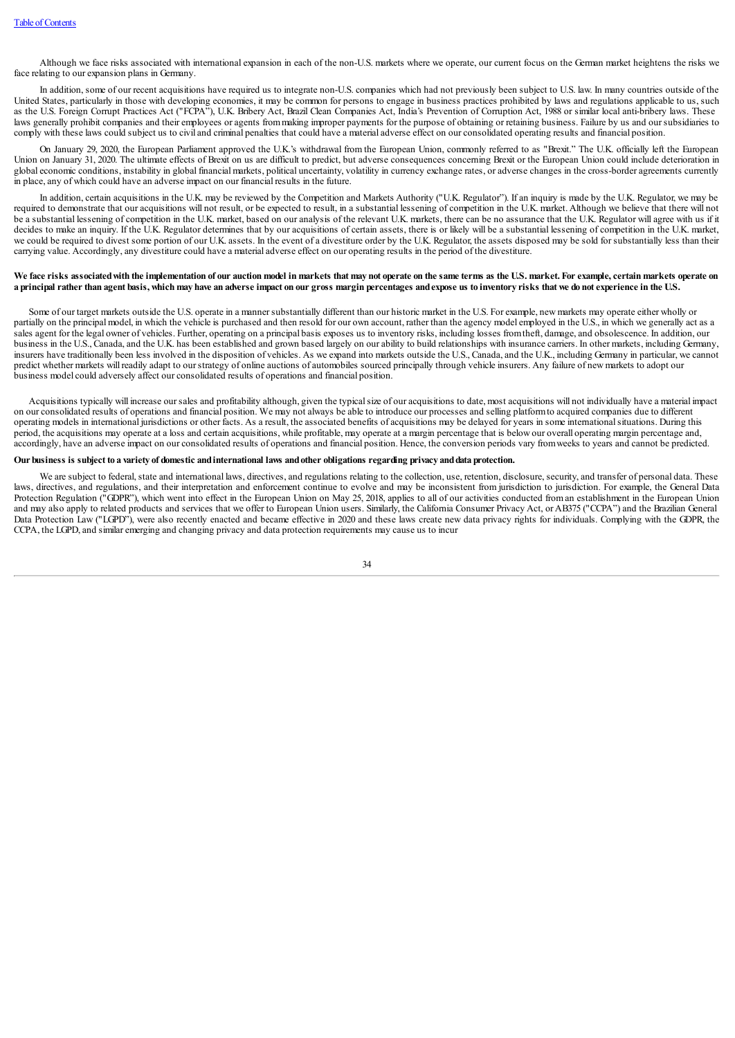Although we face risks associated with international expansion in each of the non-U.S. markets where we operate, our current focus on the German market heightens the risks we face relating to our expansion plans in Germany.

In addition, some of our recent acquisitions have required us to integrate non-U.S. companies which had not previously been subject to U.S. law. In many countries outside of the United States, particularly in those with developing economies, it may be common for persons to engage in business practices prohibited by laws and regulations applicable to us, such as the U.S. Foreign Corrupt Practices Act ("FCPA"), U.K. Bribery Act, Brazil Clean Companies Act, India's Prevention of Corruption Act, 1988 or similar local anti-bribery laws. These laws generally prohibit companies and their employees or agents from making improper payments for the purpose of obtaining or retaining business. Failure by us and our subsidiaries to comply with these laws could subject us to civiland criminal penalties that could have a materialadverse effect on ourconsolidated operating results and financial position.

On January 29, 2020, the European Parliament approved the U.K.'s withdrawal from the European Union, commonly referred to as "Brexit." The U.K. officially left the European Union on January 31, 2020. The ultimate effects of Brexit on us are difficult to predict, but adverse consequences concerning Brexit or the European Union could include deterioration in global economic conditions, instability in global financial markets, political uncertainty, volatility in currency exchange rates, or adverse changes in the cross-border agreements currently in place,any of which could have an adverse impact on our financial results in the future.

In addition, certain acquisitions in the U.K. may be reviewed by the Competition and Markets Authority ("U.K. Regulator"). If an inquiry is made by the U.K. Regulator, we may be required to demonstrate that our acquisitions will not result, or be expected to result, in a substantial lessening of competition in the U.K. market. Although we believe that there will not be a substantial lessening of conpetition in the U.K. market, based on our analysis of the relevant U.K. markets, there can be no assurance that the U.K. Regulator will agree with us if it decides to make an inquiry. If the U.K. Regulator determines that by our acquisitions of certain assets, there is or likely will be a substantial lessening of competition in the U.K. market, we could be required to divest some portion of our U.K. assets. In the event of a divestiture order by the U.K. Regulator, the assets disposed may be sold for substantially less than their carrying value. Accordingly,any divestiture could have a materialadverse effect on our operating results in the period of the divestiture.

### We face risks associated with the implementation of our auction model in markets that may not operate on the same terms as the U.S. market. For example, certain markets operate on a principal rather than agent basis, which may have an adverse impact on our gross margin percentages and expose us to inventory risks that we do not experience in the U.S.

Some of our target markets outside the U.S. operate in a manner substantially different than our historic market in the U.S. For example, new markets may operate either wholly or partially on the principal model, in which the vehicle is purchased and then resold for our own account, rather than the agency model employed in the U.S., in which we generally act as a sales agent for the legal owner of vehicles. Further, operating on a principal basis exposes us to inventory risks, including losses fromtheft, damage,and obsolescence. In addition, our business in the U.S., Canada,and the U.K. has been established and grown based largely on ourability to build relationships with insurance carriers. In othermarkets, including Germany, insurers have traditionally been less involved in the disposition of vehicles. As we expand into markets outside the U.S., Canada,and the U.K., including Germany in particular, we cannot predict whether markets will readily adapt to our strategy of online auctions of automobiles sourced principally through vehicle insurers. Any failure of new markets to adopt our business model could adversely affect our consolidated results of operations and financial position.

Acquisitions typically will increase oursales and profitability although, given the typicalsize of ouracquisitions to date, most acquisitions will not individually have a material impact on ourconsolidated results of operations and financial position. We may not always be able to introduce our processes and selling platformto acquired companies due to different operating models in international jurisdictions or other facts. As a result, the associated benefits of acquisitions may be delayed for years in some international situations. During this period, the acquisitions may operate at a loss and certain acquisitions, while profitable, may operate at a margin percentage that is below our overall operating margin percentage and, accordingly, have an adverse impact on ourconsolidated results of operations and financial position. Hence, the conversion periods vary fromweeks to years and cannot be predicted.

### Our business is subject to a variety of domestic and international laws and other obligations regarding privacy and data protection.

We are subject to federal, state and international laws, directives, and regulations relating to the collection, use, retention, disclosure, security, and transfer of personal data. These laws, directives, and regulations, and their interpretation and enforcement continue to evolve and may be inconsistent from jurisdiction to jurisdiction. For example, the General Data Protection Regulation ("GDPR"), which went into effect in the European Union on May 25, 2018, applies to all of our activities conducted from an establishment in the European Union and may also apply to related products and services that we offer to European Union users. Similarly, the California Consumer Privacy Act, or AB375 ("CCPA") and the Brazilian General Data Protection Law ("LGPD"), were also recently enacted and became effective in 2020 and these laws create new data privacy rights for individuals. Complying with the GDPR, the CCPA, the LGPD,and similaremerging and changing privacy and data protection requirements may cause us to incur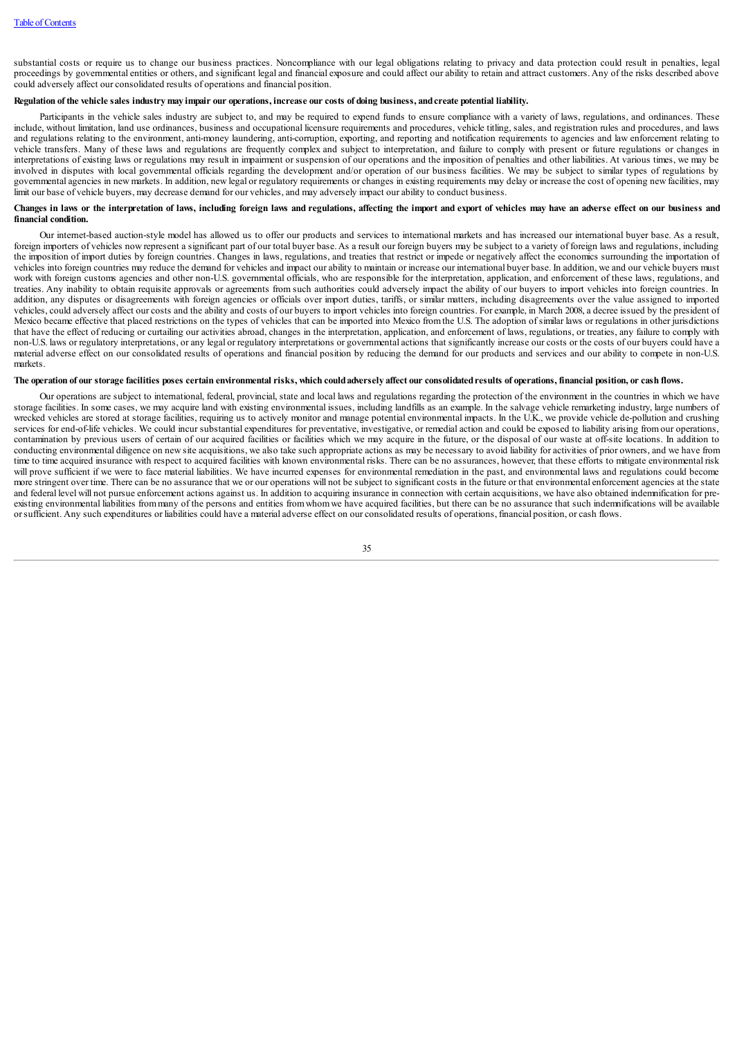substantial costs or require us to change our business practices. Noncompliance with our legal obligations relating to privacy and data protection could result in penalties, legal proceedings by governmental entities or others, and significant legal and financial exposure and could affect our ability to retain and attract customers. Any of the risks described above could adversely affect ourconsolidated results of operations and financial position.

### Regulation of the vehicle sales industry may impair our operations, increase our costs of doing business, and create potential liability.

Participants in the vehicle sales industry are subject to, and may be required to expend funds to ensure compliance with a variety of laws, regulations, and ordinances. These include, without limitation, land use ordinances, business and occupational licensure requirements and procedures, vehicle titling, sales, and registration rules and procedures, and laws and regulations relating to the environment, anti-money laundering, anti-corruption, exporting, and reporting and notification requirements to agencies and law enforcement relating to vehicle transfers. Many of these laws and regulations are frequently complex and subject to interpretation, and failure to comply with present or future regulations or changes in interpretations of existing laws or regulations may result in impairment or suspension of our operations and the imposition of penalties and other liabilities. At various times, we may be involved in disputes with local governmental officials regarding the development and/or operation of our business facilities. We may be subject to similar types of regulations by governmental agencies in new markets. In addition, new legal or regulatory requirements or changes in existing requirements may delay or increase the cost of opening new facilities, may limit our base of vehicle buyers, may decrease demand for our vehicles, and may adversely impact our ability to conduct business.

### Changes in laws or the interpretation of laws, including foreign laws and regulations, affecting the import and export of vehicles may have an adverse effect on our business and **financial condition.**

Our internet-based auction-style model has allowed us to offer our products and services to international markets and has increased our international buyer base. As a result, foreign importers of vehicles now represent a significant part of our total buyer base. As a result our foreign buyers may be subject to a variety of foreign laws and regulations, including the imposition of import duties by foreign countries. Changes in laws, regulations, and treaties that restrict or impede or negatively affect the economics surrounding the importation of vehicles into foreign countries may reduce the demand for vehicles and impact ourability to maintain or increase our international buyer base. In addition, we and our vehicle buyers must work with foreign customs agencies and other non-U.S. governmental officials, who are responsible for the interpretation, application, and enforcement of these laws, regulations, and treaties. Any inability to obtain requisite approvals or agreements from such authorities could adversely impact the ability of our buyers to import vehicles into foreign countries. In addition, any disputes or disagreements with foreign agencies or officials over import duties, tariffs, or similar matters, including disagreements over the value assigned to imported vehicles, could adversely affect our costs and the ability and costs of our buyers to import vehicles into foreign countries. For example, in March 2008, a decree issued by the president of Mexico became effective that placed restrictions on the types of vehicles that can be imported into Mexico from the U.S. The adoption of similar laws or regulations in other jurisdictions that have the effect of reducing or curtailing our activities abroad, changes in the interpretation, application, and enforcement of laws, regulations, or treaties, any failure to comply with non-U.S. laws or regulatory interpretations, orany legal or regulatory interpretations or governmentalactions that significantly increase ourcosts or the costs of our buyers could have a material adverse effect on our consolidated results of operations and financial position by reducing the demand for our products and services and our ability to compete in non-U.S. markets.

### The operation of our storage facilities poses certain environmental risks, which could adversely affect our consolidated results of operations, financial position, or cash flows.

Our operations are subject to international, federal, provincial, state and local laws and regulations regarding the protection of the environment in the countries in which we have storage facilities. In some cases, we may acquire land with existing environmental issues, including landfills as an example. In the salvage vehicle remarketing industry, large numbers of wrecked vehicles are stored at storage facilities, requiring us to actively monitor and manage potential environmental impacts. In the U.K., we provide vehicle de-pollution and crushing services for end-of-life vehicles. We could incur substantial expenditures for preventative, investigative, or remedial action and could be exposed to liability arising from our operations, contamination by previous users of certain of our acquired facilities or facilities which we may acquire in the future, or the disposal of our waste at off-site locations. In addition to conducting environmental diligence on new site acquisitions, we also take such appropriate actions as may be necessary to avoid liability for activities of prior owners, and we have from time to time acquired insurance with respect to acquired facilities with known environmental risks. There can be no assurances, however, that these efforts to mitigate environmental risk will prove sufficient if we were to face material liabilities. We have incurred expenses for environmental remediation in the past, and environmental laws and regulations could become more stringent over time. There can be no assurance that we or our operations will not be subject to significant costs in the future or that environmental enforcement agencies at the state and federal level will not pursue enforcement actions against us. In addition to acquiring insurance in connection with certain acquisitions, we have also obtained indemnification for preexisting environmental liabilities frommany of the persons and entities fromwhomwe have acquired facilities, but there can be no assurance that such indemnifications will be available orsufficient. Any such expenditures or liabilities could have a materialadverse effect on ourconsolidated results of operations, financial position, orcash flows.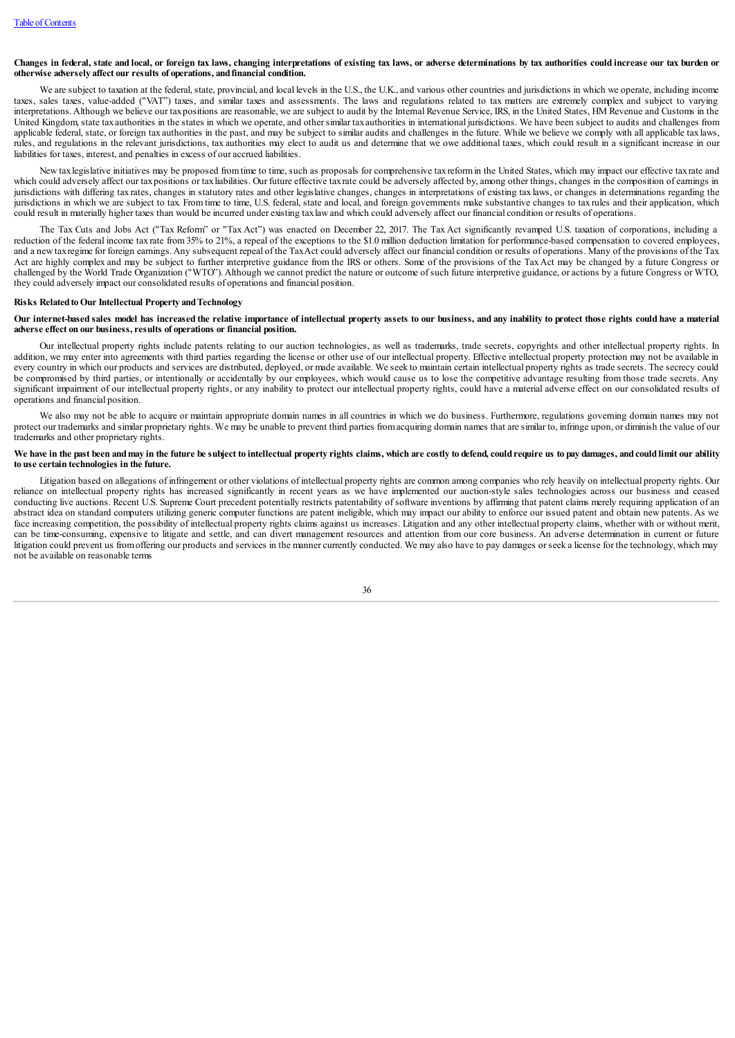### Changes in federal, state and local, or foreign tax laws, changing interpretations of existing tax laws, or adverse determinations by tax authorities could increase our tax burden or **otherwise adversely affect our results of operations, andfinancial condition.**

We are subject to taxation at the federal, state, provincial, and local levels in the U.S., the U.K., and various other countries and jurisdictions in which we operate, including income taxes, sales taxes, value-added ("VAT") taxes, and similar taxes and assessments. The laws and regulations related to tax matters are extremely complex and subject to varying interpretations. Although we believe our tax positions are reasonable, we are subject to audit by the Internal Revenue Service, IRS, in the United States, HM Revenue and Customs in the United Kingdom, state tax authorities in the states in which we operate, and other similar tax authorities in international jurisdictions. We have been subject to audits and challenges from applicable federal, state, or foreign tax authorities in the past, and may be subject to similar audits and challenges in the future. While we believe we comply with all applicable tax laws, rules, and regulations in the relevant jurisdictions, tax authorities may elect to audit us and determine that we owe additional taxes, which could result in a significant increase in our liabilities for taxes, interest,and penalties in excess of ouraccrued liabilities.

New tax legislative initiatives may be proposed from time to time, such as proposals for comprehensive tax reform in the United States, which may impact our effective tax rate and which could adversely affect our taxpositions or tax liabilities. Our future effective tax rate could be adversely affected by, among other things, changes in the composition of earnings in jurisdictions with differing tax rates, changes in statutory rates and other legislative changes, changes in interpretations of existing tax laws, or changes in determinations regarding the jurisdictions in which we are subject to tax. From time to time, U.S. federal, state and local, and foreign governments make substantive changes to tax rules and their application, which could result in materially higher taxes than would be incurred underexisting taxlawand which could adversely affect our financialcondition or results of operations.

The Tax Cuts and Jobs Act ("Tax Reform" or "Tax Act") was enacted on December 22, 2017. The Tax Act significantly revamped U.S. taxation of corporations, including a reduction of the federal income tax rate from 35% to 21%, a repeal of the exceptions to the \$1.0 million deduction limitation for performance-based compensation to covered employees, and a new tax regime for foreign earnings. Any subsequent repeal of the TaxAct could adversely affect our financial condition or results of operations. Many of the provisions of the Tax Act are highly complex and may be subject to further interpretive guidance from the IRS or others. Some of the provisions of the TaxAct may be changed by a future Congress or challenged by the World Trade Organization ("WTO").Although we cannot predict the nature or outcome of such future interpretive guidance, oractions by a future Congress or WTO, they could adversely impact ourconsolidated results of operations and financial position.

#### **Risks RelatedtoOur Intellectual Property andTechnology**

### Our internet-based sales model has increased the relative importance of intellectual property assets to our business, and any inability to protect those rights could have a material **adverse effect on our business,results of operations or financial position.**

Our intellectual property rights include patents relating to our auction technologies, as well as trademarks, trade secrets, copyrights and other intellectual property rights. In addition, we may enter into agreements with third parties regarding the license or other use of our intellectual property. Effective intellectual property protection may not be available in every country in which our products and services are distributed, deployed, or made available. We seek to maintain certain intellectual property rights as trade secrets. The secrecy could be compromised by third parties, or intentionally or accidentally by our employees, which would cause us to lose the competitive advantage resulting from those trade secrets. Any significant impairment of our intellectual property rights, or any inability to protect our intellectual property rights, could have a material adverse effect on our consolidated results of operations and financial position.

We also may not be able to acquire or maintain appropriate domain names in all countries in which we do business. Furthermore, regulations governing domain names may not protect our trademarks and similar proprietary rights. We may be unable to prevent third parties from acquiring domain names that are similar to, infringe upon, or diminish the value of our trademarks and other proprietary rights.

### We have in the past been and may in the future be subject to intellectual property rights claims, which are costly to defend, could require us to pay damages, and could limit our ability **to use certain technologies in the future.**

Litigation based on allegations of infringement or other violations of intellectual property rights are common among companies who rely heavily on intellectual property rights. Our reliance on intellectual property rights has increased significantly in recent years as we have implemented our auction-style sales technologies across our business and ceased conducting live auctions. Recent U.S. Supreme Court precedent potentially restricts patentability of software inventions by affirming that patent claims merely requiring application ofan abstract idea on standard computers utilizing generic computer functions are patent ineligible, which may impact our ability to enforce our issued patent and obtain new patents.As we face increasing competition, the possibility of intellectual property rights claims against us increases. Litigation and any other intellectual property claims, whether with or without merit, can be time-consuming, expensive to litigate and settle, and can divert management resources and attention from our core business. An adverse determination in current or future litigation could prevent us from offering our products and services in the manner currently conducted. We may also have to pay damages or seek a license for the technology, which may not be available on reasonable terms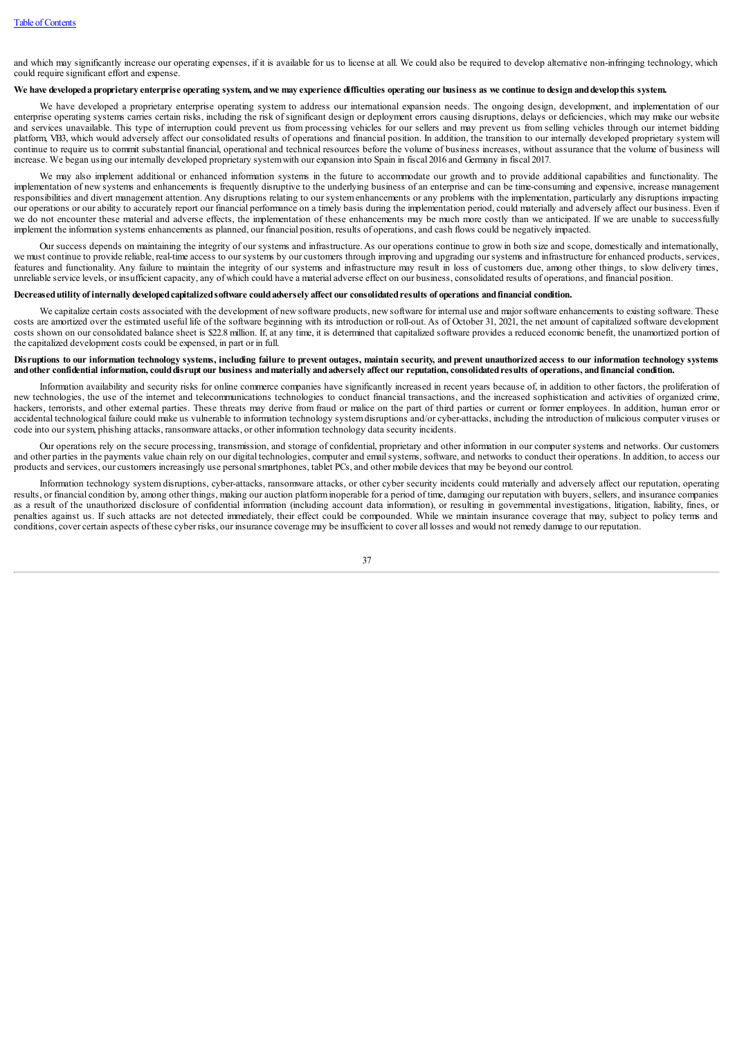and which may significantly increase our operating expenses, if it is available for us to license at all. We could also be required to develop alternative non-infringing technology, which could require significant effort and expense.

### We have developed a proprietary enterprise operating system, and we may experience difficulties operating our business as we continue to design and develop this system.

We have developed a proprietary enterprise operating system to address our international expansion needs. The ongoing design, development, and implementation of our enterprise operating systems carries certain risks, including the risk of significant design or deployment errors causing disruptions, delays or deficiencies, which may make our website and services unavailable. This type of interruption could prevent us from processing vehicles for our sellers and may prevent us from selling vehicles through our internet bidding platform, VB3, which would adversely affect our consolidated results of operations and financial position. In addition, the transition to our internally developed proprietary system will continue to require us to commit substantial financial, operational and technical resources before the volume of business increases, without assurance that the volume of business will increase. We began using our internally developed proprietary systemwith ourexpansion into Spain in fiscal 2016 and Germany in fiscal 2017.

We may also implement additional or enhanced information systems in the future to accommodate our growth and to provide additional capabilities and functionality. The implementation of new systems and enhancements is frequently disruptive to the underlying business of an enterprise and can be time-consuming and expensive, increase management responsibilities and divert management attention.Any disruptions relating to our systemenhancements or any problems with the implementation, particularly any disruptions impacting our operations or ourability to accurately report our financial performance on a timely basis during the implementation period,could materially and adversely affect our business. Even if we do not encounter these material and adverse effects, the implementation of these enhancements may be much more costly than we anticipated. If we are unable to successfully implement the information systems enhancements as planned, our financial position, results of operations,and cash flows could be negatively impacted.

Our success depends on maintaining the integrity of our systems and infrastructure. As our operations continue to grow in both size and scope, domestically and internationally, we must continue to provide reliable, real-time access to our systems by our customers through improving and upgrading our systems and infrastructure for enhanced products, services, features and functionality. Any failure to maintain the integrity of our systems and infrastructure may result in loss of customers due, among other things, to slow delivery times, unreliable service levels, or insufficient capacity,any of which could have a materialadverse effect on our business,consolidated results of operations,and financial position.

### Decreased utility of internally developed capitalized software could adversely affect our consolidated results of operations and financial condition.

We capitalize certain costs associated with the development of new software products, new software for internal use and major software enhancements to existing software. These costs are amortized over the estimated useful life of the software beginning with its introduction or roll-out. As of October 31, 2021, the net amount of capitalized software development costs shown on our consolidated balance sheet is \$22.8 million. If, at any time, it is determined that capitalized software provides a reduced economic benefit, the unamortized portion of the capitalized development costs could be expensed, in part or in full.

### Disruptions to our information technology systems, including failure to prevent outages, maintain security, and prevent unauthorized access to our information technology systems and other confidential information, could disrupt our business and materially and adversely affect our reputation, consolidated results of operations, and financial condition.

Information availability and security risks for online commerce companies have significantly increased in recent years because of, in addition to other factors, the proliferation of new technologies, the use of the internet and telecommunications technologies to conduct financial transactions, and the increased sophistication and activities of organized crime, hackers, terrorists, and other external parties. These threats may derive from fraud or malice on the part of third parties or current or former employees. In addition, human error or accidental technological failure could make us vulnerable to information technology system disruptions and/or cyber-attacks, including the introduction of malicious computer viruses or code into oursystem, phishing attacks, ransomware attacks, or other information technology data security incidents.

Our operations rely on the secure processing, transmission, and storage of confidential, proprietary and other information in our computer systems and networks. Our customers and other parties in the payments value chain rely on our digital technologies, computer and email systems, software, and networks to conduct their operations. In addition, to access our products and services, ourcustomers increasingly use personalsmartphones, tablet PCs,and othermobile devices that may be beyond ourcontrol.

Information technology systemdisruptions, cyber-attacks, ransomware attacks, or other cyber security incidents could materially and adversely affect our reputation, operating results, or financial condition by, among other things, making our auction platform inoperable for a period of time, damaging our reputation with buyers, sellers, and insurance companies as a result of the unauthorized disclosure of confidential information (including account data information), or resulting in governmental investigations, litigation, liability, fines, or penalties against us. If such attacks are not detected immediately, their effect could be compounded. While we maintain insurance coverage that may, subject to policy terms and conditions, cover certain aspects of these cyber risks, our insurance coverage may be insufficient to cover all losses and would not remedy damage to our reputation.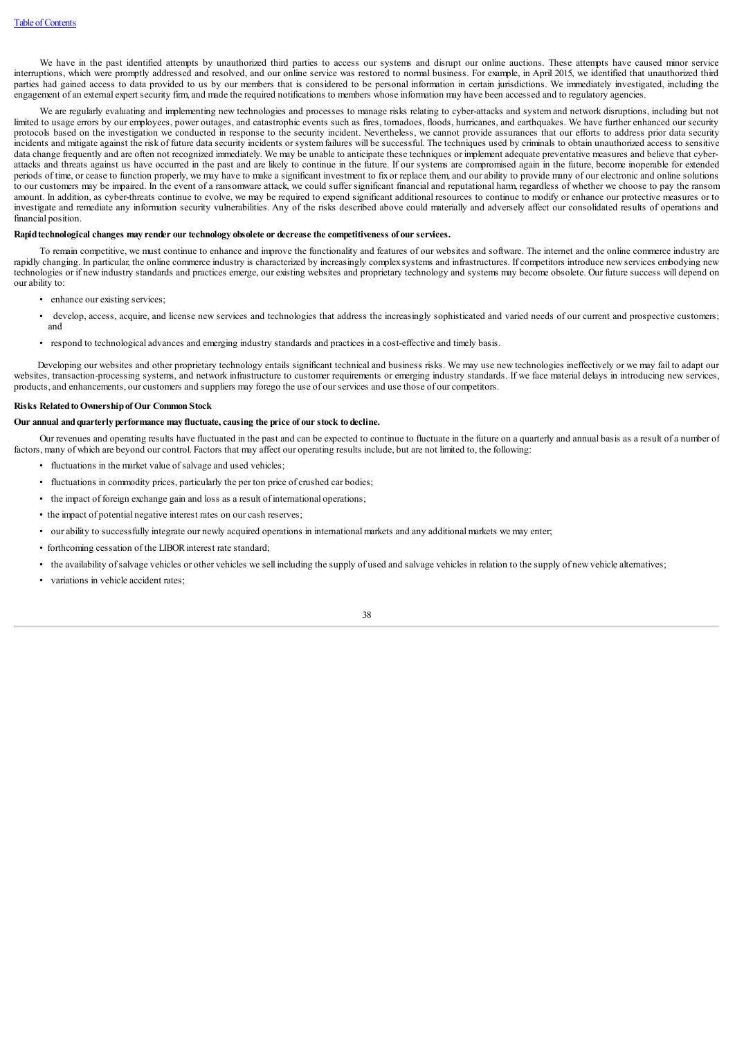We have in the past identified attempts by unauthorized third parties to access our systems and disrupt our online auctions. These attempts have caused minor service interruptions, which were promptly addressed and resolved, and our online service was restored to normal business. For example, in April 2015, we identified that unauthorized third parties had gained access to data provided to us by our members that is considered to be personal information in certain jurisdictions. We immediately investigated, including the engagement ofan externalexpert security firm,and made the required notifications to members whose information may have been accessed and to regulatory agencies.

We are regularly evaluating and implementing new technologies and processes to manage risks relating to cyber-attacks and system and network disruptions, including but not limited to usage errors by our employees, power outages, and catastrophic events such as fires, tornadoes, floods, hurricanes, and earthquakes. We have further enhanced our security protocols based on the investigation we conducted in response to the security incident. Nevertheless, we cannot provide assurances that our efforts to address prior data security incidents and mitigate against the risk of future data security incidents or systemfailures will be successful. The techniques used by criminals to obtain unauthorized access to sensitive data change frequently and are often not recognized immediately. We may be unable to anticipate these techniques or implement adequate preventative measures and believe that cyberattacks and threats against us have occurred in the past and are likely to continue in the future. If our systems are compromised again in the future, become inoperable for extended periods of time, or cease to function properly, we may have to make a significant investment to fix or replace them, and our ability to provide many of our electronic and online solutions to our customers may be impaired. In the event of a ransomware attack, we could suffer significant financialand reputational harm, regardless of whether we choose to pay the ransom amount. In addition, as cyber-threats continue to evolve, we may be required to expend significant additional resources to continue to modify or enhance our protective measures or to investigate and remediate any information security vulnerabilities. Any of the risks described above could materially and adversely affect our consolidated results of operations and financial position.

### **Rapidtechnological changes may render our technology obsolete or decrease the competitiveness of our services.**

To remain competitive, we must continue to enhance and improve the functionality and features of our websites and software. The internet and the online commerce industry are rapidly changing. In particular, the online commerce industry is characterized by increasingly complexsystems and infrastructures. Ifcompetitors introduce new services embodying new technologies or if new industry standards and practices emerge, ourexisting websites and proprietary technology and systems may become obsolete. Our future success will depend on ourability to:

- enhance our existing services;
- develop, access, acquire, and license new services and technologies that address the increasingly sophisticated and varied needs of our current and prospective customers; and
- respond to technologicaladvances and emerging industry standards and practices in a cost-effective and timely basis.

Developing our websites and other proprietary technology entails significant technicaland business risks. We may use new technologies ineffectively or we may fail to adapt our websites, transaction-processing systems, and network infrastructure to customer requirements or emerging industry standards. If we face material delays in introducing new services, products, and enhancements, our customers and suppliers may forego the use of our services and use those of our competitors.

### **Risks RelatedtoOwnershipofOur Common Stock**

### **Our annual andquarterly performance may fluctuate,causing the price of our stock to decline.**

Our revenues and operating results have fluctuated in the past and can be expected to continue to fluctuate in the future on a quarterly and annual basis as a result ofa number of factors, many of which are beyond ourcontrol. Factors that may affect our operating results include, but are not limited to, the following:

- fluctuations in the market value of salvage and used vehicles;
- fluctuations in commodity prices, particularly the per ton price of crushed car bodies;
- the impact of foreign exchange gain and loss as a result of international operations;
- the impact of potential negative interest rates on ourcash reserves;
- ourability to successfully integrate our newly acquired operations in internationalmarkets and any additionalmarkets we may enter;
- forthcoming cessation of the LIBOR interest rate standard;
- the availability ofsalvage vehicles or other vehicles we sell including the supply of used and salvage vehicles in relation to the supply of newvehicle alternatives;
- variations in vehicle accident rates:

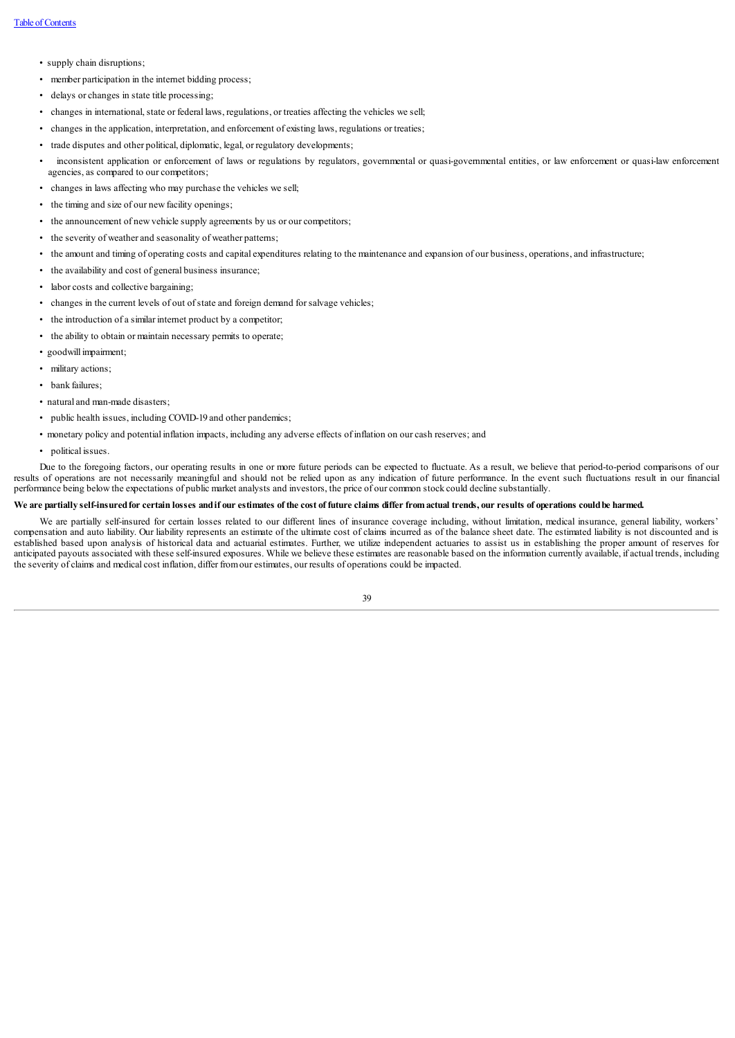- supply chain disruptions;
- member participation in the internet bidding process;
- delays or changes in state title processing;
- changes in international, state or federal laws, regulations, or treaties affecting the vehicles we sell;
- changes in the application, interpretation, and enforcement of existing laws, regulations or treaties;
- trade disputes and other political, diplomatic, legal, or regulatory developments;
- inconsistent application or enforcement of laws or regulations by regulators, governmental or quasi-governmental entities, or law enforcement or quasi-law enforcement agencies, as compared to our competitors;
- changes in laws affecting who may purchase the vehicles we sell;
- the timing and size of our new facility openings;
- the announcement of new vehicle supply agreements by us or our competitors;
- the severity of weather and seasonality of weather patterns;
- the amount and timing of operating costs and capital expenditures relating to the maintenance and expansion of our business, operations, and infrastructure;
- the availability and cost of general business insurance;
- laborcosts and collective bargaining;
- changes in the current levels of out of state and foreign demand for salvage vehicles;
- the introduction of a similar internet product by a competitor:
- the ability to obtain or maintain necessary permits to operate;
- goodwill impairment;
- military actions;
- bank failures;
- natural and man-made disasters;
- public health issues, including COVID-19 and other pandemics;
- monetary policy and potential inflation impacts, including any adverse effects of inflation on ourcash reserves; and
- political issues.

Due to the foregoing factors, our operating results in one or more future periods can be expected to fluctuate. As a result, we believe that period-to-period comparisons of our results of operations are not necessarily meaningful and should not be relied upon as any indication of future performance. In the event such fluctuations result in our financial performance being belowthe expectations of public market analysts and investors, the price of ourcommon stock could decline substantially.

### We are partially self-insured for certain losses and if our estimates of the cost of future claims differ from actual trends, our results of operations could be harmed.

We are partially self-insured for certain losses related to our different lines of insurance coverage including, without limitation, medical insurance, general liability, workers' compensation and auto liability. Our liability represents an estimate of the ultimate cost of claims incurred as of the balance sheet date. The estimated liability is not discounted and is established based upon analysis of historical data and actuarial estimates. Further, we utilize independent actuaries to assist us in establishing the proper amount of reserves for anticipated payouts associated with these self-insured exposures. While we believe these estimates are reasonable based on the information currently available, if actual trends, including the severity of claims and medical cost inflation, differ from our estimates, our results of operations could be impacted.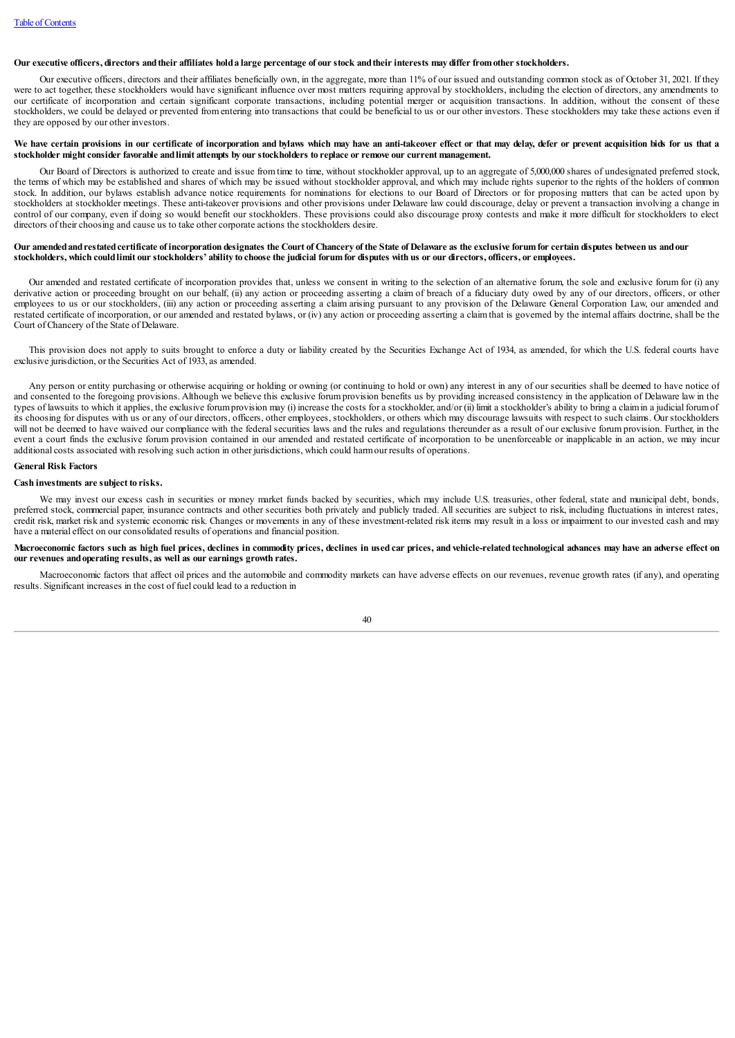### Our executive officers, directors and their affiliates hold a large percentage of our stock and their interests may differ from other stockholders.

Our executive officers, directors and their affiliates beneficially own, in the aggregate, more than 11% of our issued and outstanding common stock as of October 31, 2021. If they were to act together, these stockholders would have significant influence over most matters requiring approval by stockholders, including the election of directors, any amendments to our certificate of incorporation and certain significant corporate transactions, including potential merger or acquisition transactions. In addition, without the consent of these stockholders, we could be delayed or prevented from entering into transactions that could be beneficial to us or our other investors. These stockholders may take these actions even if they are opposed by our other investors.

### We have certain provisions in our certificate of incorporation and bylaws which may have an anti-takeover effect or that may delay, defer or prevent acquisition bids for us that a **stockholder mightconsider favorable andlimit attempts by our stockholders to replace or remove our current management.**

Our Board of Directors is authorized to create and issue fromtime to time, without stockholder approval, up to an aggregate of 5,000,000 shares of undesignated preferred stock, the terms of which may be established and shares of which may be issued without stockholder approval, and which may include rights superior to the rights of the holders of common stock. In addition, our bylaws establish advance notice requirements for nominations for elections to our Board of Directors or for proposing matters that can be acted upon by stockholders at stockholder meetings. These anti-takeover provisions and other provisions under Delaware law could discourage, delay or prevent a transaction involving a change in control of our company, even if doing so would benefit our stockholders. These provisions could also discourage proxy contests and make it more difficult for stockholders to elect directors of their choosing and cause us to take other corporate actions the stockholders desire.

### Our amended and restated certificate of incorporation designates the Court of Chancery of the State of Delaware as the exclusive forum for certain disputes between us and our stockholders, which could limit our stockholders' ability to choose the judicial forum for disputes with us or our directors, officers, or employees.

Our amended and restated certificate of incorporation provides that, unless we consent in writing to the selection of an alternative forum, the sole and exclusive forum for (i) any derivative action or proceeding brought on our behalf, (ii) any action or proceeding asserting a claim of breach of a fiduciary duty owed by any of our directors, officers, or other employees to us or our stockholders, (iii) any action or proceeding asserting a claim arising pursuant to any provision of the Delaware General Corporation Law, our amended and restated certificate of incorporation, or our amended and restated bylaws, or (iv) any action or proceeding asserting a claim that is governed by the internal affairs doctrine, shall be the Court of Chancery of the State of Delaware.

This provision does not apply to suits brought to enforce a duty or liability created by the Securities Exchange Act of 1934, as amended, for which the U.S. federal courts have exclusive jurisdiction, or the Securities Act of 1933, as amended.

Any person or entity purchasing or otherwise acquiring or holding or owning (or continuing to hold or own) any interest in any of our securities shall be deemed to have notice of and consented to the foregoing provisions.Although we believe this exclusive forumprovision benefits us by providing increased consistency in the application of Delaware law in the types of lawsuits to which it applies, the exclusive forum provision may (i) increase the costs for a stockholder, and/or (ii) limit a stockholder's ability to bring a claim in a judicial forum of its choosing for disputes with us orany of our directors, officers, otheremployees, stockholders, or others which may discourage lawsuits with respect to such claims. Our stockholders will not be deemed to have waived our compliance with the federal securities laws and the rules and regulations thereunder as a result of our exclusive forum provision. Further, in the event a court finds the exclusive forum provision contained in our amended and restated certificate of incorporation to be unenforceable or inapplicable in an action, we may incur additional costs associated with resolving such action in other jurisdictions, which could harmour results of operations.

### **General Risk Factors**

#### **Cash investments are subject to risks.**

We may invest our excess cash in securities or money market funds backed by securities, which may include U.S. treasuries, other federal, state and municipal debt, bonds, preferred stock, commercial paper, insurance contracts and other securities both privately and publicly traded. All securities are subject to risk, including fluctuations in interest rates, credit risk, market risk and systemic economic risk. Changes or movements in any of these investment-related risk items may result in a loss or impairment to our invested cash and may have a material effect on our consolidated results of operations and financial position.

### Macroeconomic factors such as high fuel prices, declines in commodity prices, declines in used car prices, and vehicle-related technological advances may have an adverse effect on **our revenues andoperating results, as well as our earnings growth rates.**

Macroeconomic factors that affect oil prices and the automobile and commodity markets can have adverse effects on our revenues, revenue growth rates (if any), and operating results. Significant increases in the cost of fuel could lead to a reduction in

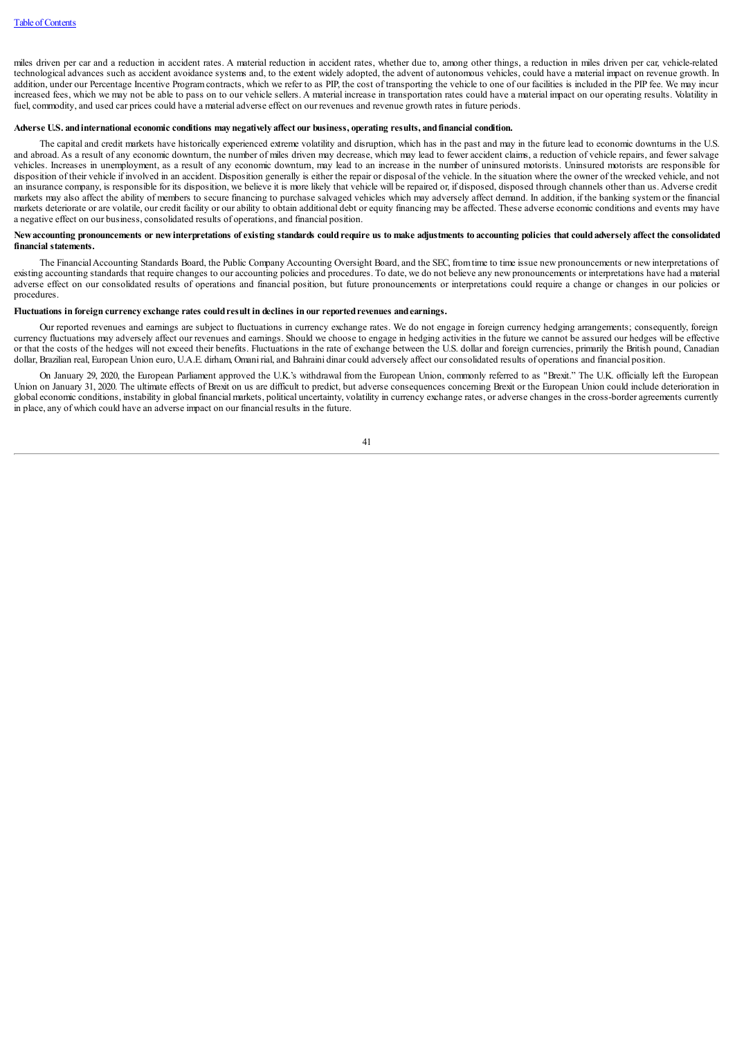miles driven per car and a reduction in accident rates. A material reduction in accident rates, whether due to, among other things, a reduction in miles driven per car, vehicle-related technological advances such as accident avoidance systems and, to the extent widely adopted, the advent of autonomous vehicles, could have a material impact on revenue growth. In addition, under our Percentage Incentive Program contracts, which we refer to as PIP, the cost of transporting the vehicle to one of our facilities is included in the PIP fee. We may incur increased fees, which we may not be able to pass on to our vehicle sellers. A material increase in transportation rates could have a material impact on our operating results. Volatility in fuel, commodity, and used car prices could have a material adverse effect on our revenues and revenue growth rates in future periods.

### Adverse U.S. and international economic conditions may negatively affect our business, operating results, and financial condition.

The capitaland credit markets have historically experienced extreme volatility and disruption, which has in the past and may in the future lead to economic downturns in the U.S. and abroad. As a result of any economic downturn, the number of miles driven may decrease, which may lead to fewer accident claims, a reduction of vehicle repairs, and fewer salvage vehicles. Increases in unemployment, as a result of any economic downturn, may lead to an increase in the number of uninsured motorists. Uninsured motorists are responsible for disposition of their vehicle if involved in an accident. Disposition generally is either the repair or disposal of the vehicle. In the situation where the owner of the wrecked vehicle, and not an insurance company, is responsible for its disposition, we believe it is more likely that vehicle will be repaired or, if disposed, disposed through channels other than us. Adverse credit markets may also affect the ability of members to secure financing to purchase salvaged vehicles which may adversely affect demand. In addition, if the banking systemor the financial markets deteriorate orare volatile, ourcredit facility or ourability to obtain additional debt orequity financing may be affected. These adverse economic conditions and events may have a negative effect on our business, consolidated results of operations, and financial position.

### New accounting pronouncements or new interpretations of existing standards could require us to make adjustments to accounting policies that could adversely affect the consolidated **financial statements.**

The Financial Accounting Standards Board, the Public Company Accounting Oversight Board, and the SEC, from time to time issue new pronouncements or new interpretations of existing accounting standards that require changes to ouraccounting policies and procedures. To date, we do not believe any newpronouncements or interpretations have had a material adverse effect on our consolidated results of operations and financial position, but future pronouncements or interpretations could require a change or changes in our policies or procedures.

#### **Fluctuations in foreign currency exchange rates couldresult in declines in our reportedrevenues andearnings.**

Our reported revenues and earnings are subject to fluctuations in currency exchange rates. We do not engage in foreign currency hedging arrangements; consequently, foreign currency fluctuations may adversely affect our revenues and earnings. Should we choose to engage in hedging activities in the future we cannot be assured our hedges will be effective or that the costs of the hedges will not exceed their benefits. Fluctuations in the rate of exchange between the U.S. dollar and foreign currencies, primarily the British pound, Canadian dollar, Brazilian real, European Union euro, U.A.E. dirham, Omani rial,and Bahraini dinarcould adversely affect ourconsolidated results of operations and financial position.

On January 29, 2020, the European Parliament approved the U.K.'s withdrawal from the European Union, commonly referred to as "Brexit." The U.K. officially left the European Union on January 31, 2020. The ultimate effects of Brexit on us are difficult to predict, but adverse consequences concerning Brexit or the European Union could include deterioration in global economic conditions, instability in global financial markets, political uncertainty, volatility in currency exchange rates, or adverse changes in the cross-border agreements currently in place, any of which could have an adverse impact on our financial results in the future.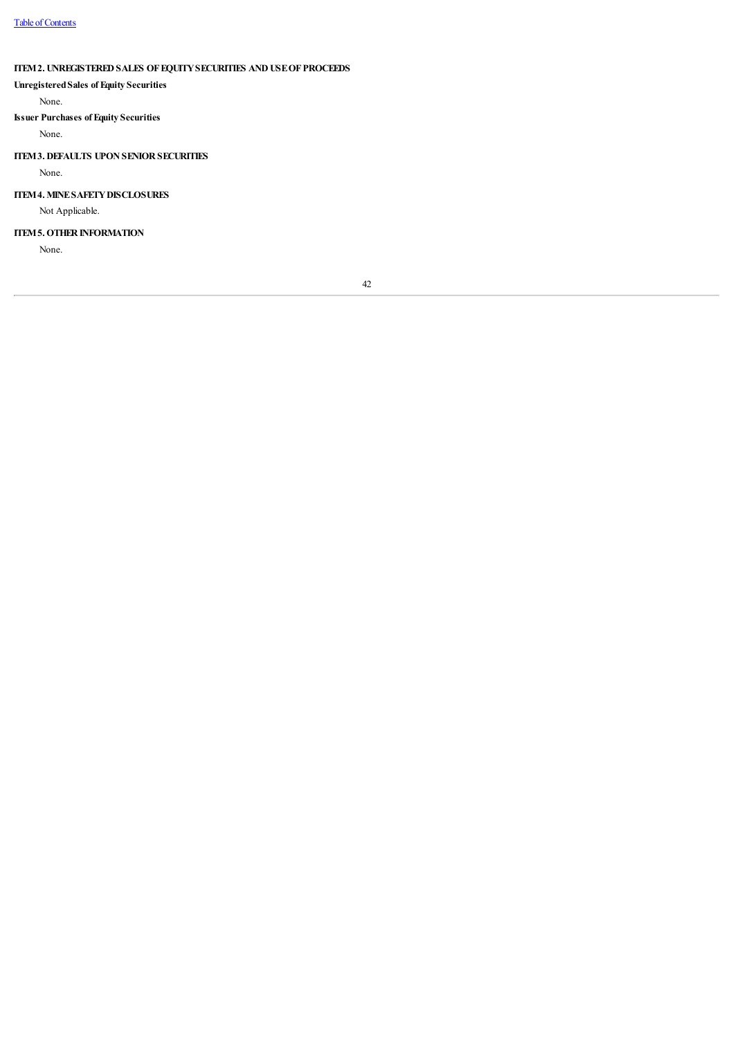## **ITEM2. UNREGISTEREDSALES OFEQUITYSECURITIES ANDUSEOFPROCEEDS**

## **UnregisteredSales of Equity Securities**

None.

### **Issuer Purchases of Equity Securities**

None.

### <span id="page-41-0"></span>**ITEM3. DEFAULTS UPONSENIORSECURITIES**

None.

### **ITEM4. MINESAFETYDISCLOSURES**

Not Applicable.

**ITEM5. OTHER INFORMATION** 

<span id="page-41-1"></span>None.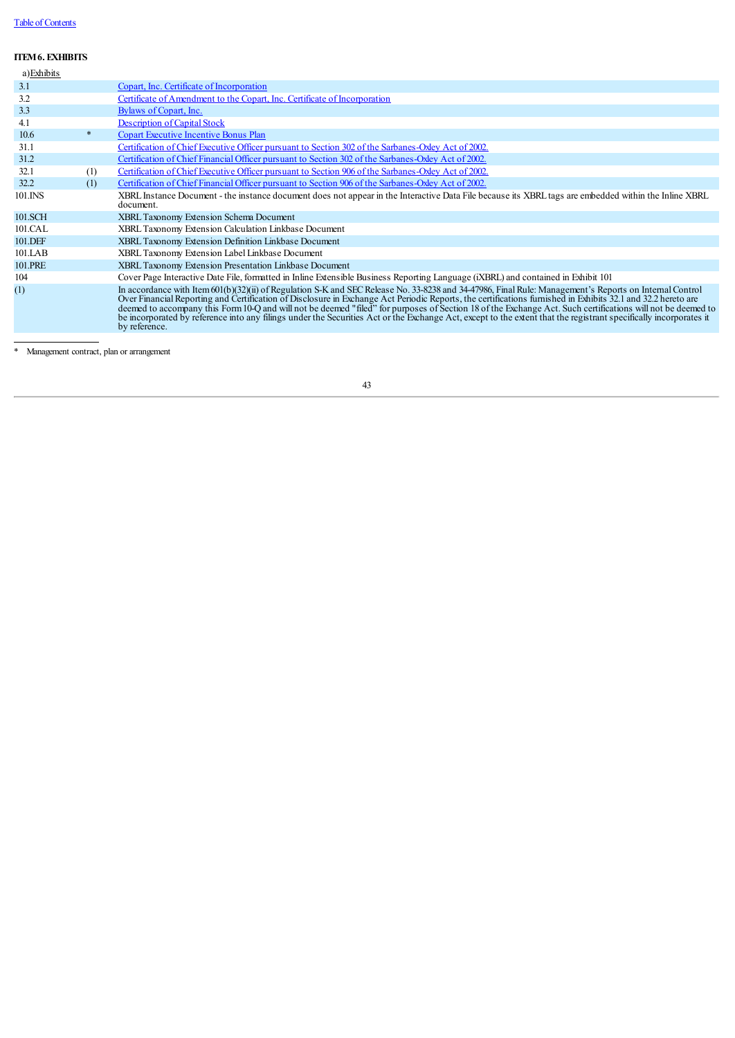### **ITEM6. EXHIBITS**

|        | Copart, Inc. Certificate of Incorporation                                                                                                                                                                                                                                                                                                                                                                                                                                                                                                                                                                                                                                    |
|--------|------------------------------------------------------------------------------------------------------------------------------------------------------------------------------------------------------------------------------------------------------------------------------------------------------------------------------------------------------------------------------------------------------------------------------------------------------------------------------------------------------------------------------------------------------------------------------------------------------------------------------------------------------------------------------|
|        | Certificate of Amendment to the Copart, Inc. Certificate of Incorporation                                                                                                                                                                                                                                                                                                                                                                                                                                                                                                                                                                                                    |
|        | Bylaws of Copart, Inc.                                                                                                                                                                                                                                                                                                                                                                                                                                                                                                                                                                                                                                                       |
|        | <b>Description of Capital Stock</b>                                                                                                                                                                                                                                                                                                                                                                                                                                                                                                                                                                                                                                          |
| $\ast$ | <b>Copart Executive Incentive Bonus Plan</b>                                                                                                                                                                                                                                                                                                                                                                                                                                                                                                                                                                                                                                 |
|        | Certification of Chief Executive Officer pursuant to Section 302 of the Sarbanes-Oxley Act of 2002.                                                                                                                                                                                                                                                                                                                                                                                                                                                                                                                                                                          |
|        | Certification of Chief Financial Officer pursuant to Section 302 of the Sarbanes-Oxley Act of 2002.                                                                                                                                                                                                                                                                                                                                                                                                                                                                                                                                                                          |
| (1)    | Certification of Chief Executive Officer pursuant to Section 906 of the Sarbanes-Oxley Act of 2002.                                                                                                                                                                                                                                                                                                                                                                                                                                                                                                                                                                          |
| (1)    | Certification of Chief Financial Officer pursuant to Section 906 of the Sarbanes-Oxley Act of 2002.                                                                                                                                                                                                                                                                                                                                                                                                                                                                                                                                                                          |
|        | XBRL Instance Document - the instance document does not appear in the Interactive Data File because its XBRL tags are embedded within the Inline XBRL<br>document.                                                                                                                                                                                                                                                                                                                                                                                                                                                                                                           |
|        | XBRL Taxonomy Extension Schema Document                                                                                                                                                                                                                                                                                                                                                                                                                                                                                                                                                                                                                                      |
|        | XBRL Taxonomy Extension Calculation Linkbase Document                                                                                                                                                                                                                                                                                                                                                                                                                                                                                                                                                                                                                        |
|        | XBRL Taxonomy Extension Definition Linkbase Document                                                                                                                                                                                                                                                                                                                                                                                                                                                                                                                                                                                                                         |
|        | XBRL Taxonomy Extension Label Linkbase Document                                                                                                                                                                                                                                                                                                                                                                                                                                                                                                                                                                                                                              |
|        | XBRL Taxonomy Extension Presentation Linkbase Document                                                                                                                                                                                                                                                                                                                                                                                                                                                                                                                                                                                                                       |
|        | Cover Page Interactive Date File, formatted in Inline Extensible Business Reporting Language (iXBRL) and contained in Exhibit 101                                                                                                                                                                                                                                                                                                                                                                                                                                                                                                                                            |
|        | In accordance with Item 601(b)(32)(ii) of Regulation S-K and SEC Release No. 33-8238 and 34-47986, Final Rule: Management's Reports on Internal Control<br>Over Financial Reporting and Certification of Disclosure in Exchange Act Periodic Reports, the certifications furnished in Exhibits 32.1 and 32.2 hereto are<br>deemed to accompany this Form 10-Q and will not be deemed "filed" for purposes of Section 18 of the Exchange Act. Such certifications will not be deemed to<br>be incorporated by reference into any filings under the Securities Act or the Exchange Act, except to the extent that the registrant specifically incorporates it<br>by reference. |
|        |                                                                                                                                                                                                                                                                                                                                                                                                                                                                                                                                                                                                                                                                              |

<span id="page-42-0"></span>\* Management contract, plan or arrangement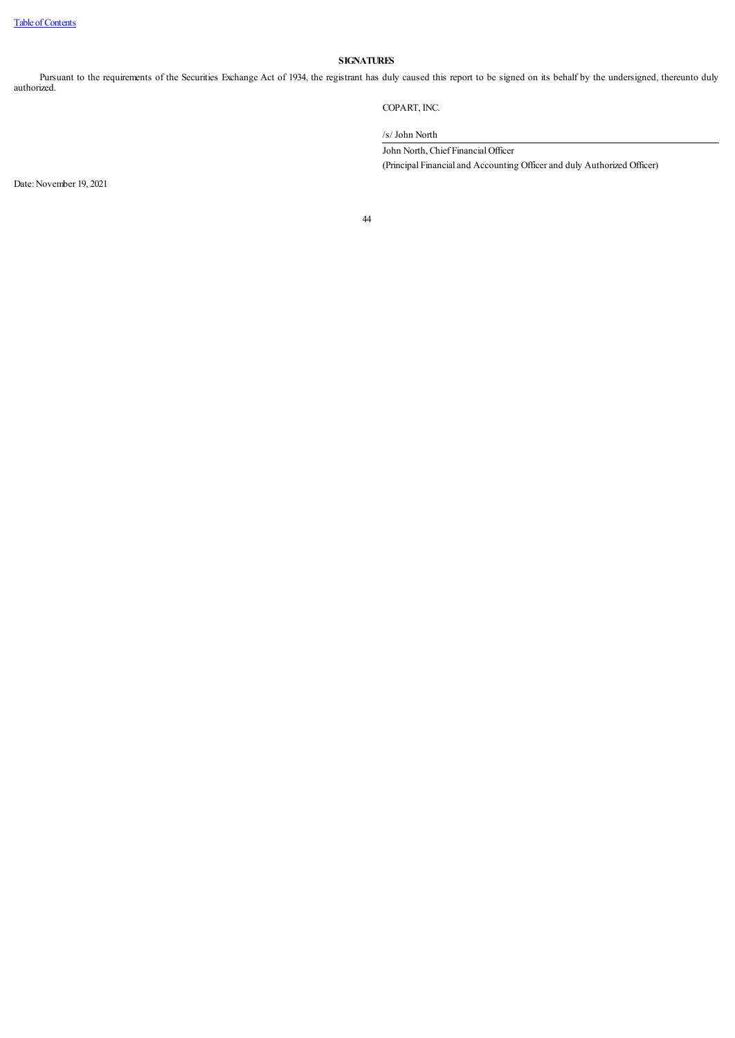**SIGNATURES**

Pursuant to the requirements of the Securities Exchange Act of 1934, the registrant has duly caused this report to be signed on its behalf by the undersigned, thereunto duly authorized.

### COPART, INC.

/s/ John North

John North, Chief FinancialOfficer

(Principal Financial and Accounting Officer and duly Authorized Officer)

<span id="page-43-0"></span>Date: November 19, 2021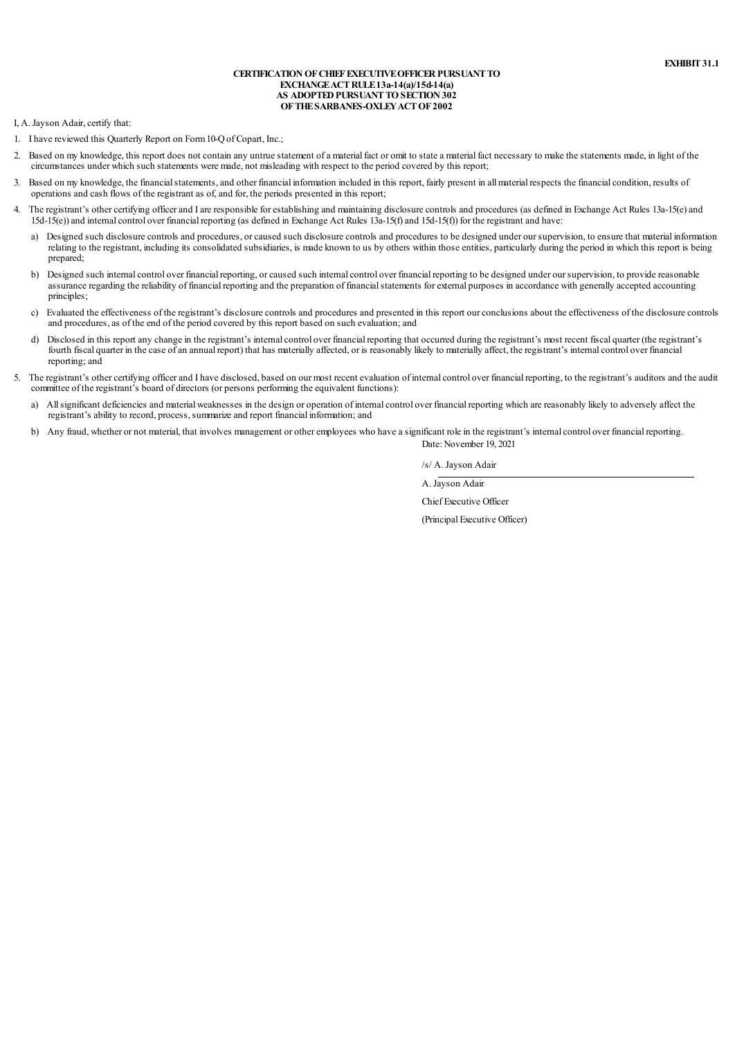### **CERTIFICATION OF CHIEF EXECUTIVE OFFICER PURSUANT TO EXCHANGEACTRULE13a-14(a)/15d-14(a) AS ADOPTED PURSUANT TO SECTION 302 OFTHESARBANES-OXLEYACTOF2002**

I, A. Jayson Adair, certify that:

- 1. I have reviewed this Quarterly Report on Form 10-Q of Copart, Inc.;
- 2. Based on my knowledge, this report does not contain any untrue statement ofa material fact or omit to state a material fact necessary to make the statements made, in light of the circumstances under which such statements were made, not misleading with respect to the period covered by this report;
- 3. Based on my knowledge, the financial statements, and other financial information included in this report, fairly present in all material respects the financial condition, results of operations and cash flows of the registrant as of, and for, the periods presented in this report;
- 4. The registrant's other certifying officer and I are responsible for establishing and maintaining disclosure controls and procedures (as defined in Exchange Act Rules 13a-15(e) and 15d-15(e)) and internal control over financial reporting (as defined in Exchange Act Rules 13a-15(f) and 15d-15(f)) for the registrant and have:
	- a) Designed such disclosure controls and procedures, orcaused such disclosure controls and procedures to be designed under oursupervision, to ensure that material information relating to the registrant, including its consolidated subsidiaries, is made known to us by others within those entities, particularly during the period in which this report is being prepared;
	- b) Designed such internalcontrol over financial reporting, orcaused such internalcontrol over financial reporting to be designed under oursupervision, to provide reasonable assurance regarding the reliability of financial reporting and the preparation of financial statements for external purposes in accordance with generally accepted accounting principles;
	- c) Evaluated the effectiveness of the registrant's disclosure controls and procedures and presented in this report ourconclusions about the effectiveness of the disclosure controls and procedures, as of the end of the period covered by this report based on such evaluation; and
	- d) Disclosed in this report any change in the registrant's internalcontrol over financial reporting that occurred during the registrant's most recent fiscal quarter (the registrant's fourth fiscal quarter in the case of an annual report) that has materially affected, or is reasonably likely to materially affect, the registrant's internal control over financial reporting; and
- <span id="page-44-0"></span>5. The registrant's other certifying officer and I have disclosed, based on our most recent evaluation of internal control over financial reporting, to the registrant's auditors and the audit committee of the registrant's board of directors (or persons performing the equivalent functions):
	- a) All significant deficiencies and material weaknesses in the design or operation of internal control over financial reporting which are reasonably likely to adversely affect the registrant's ability to record, process, summarize and report financial information; and
	- b) Any fraud, whether or not material, that involves management or other employees who have a significant role in the registrant's internal control over financial reporting. Date:November 19, 2021

/s/ A. Jayson Adair

A. Jayson Adair

Chief Executive Officer

(Principal Executive Officer)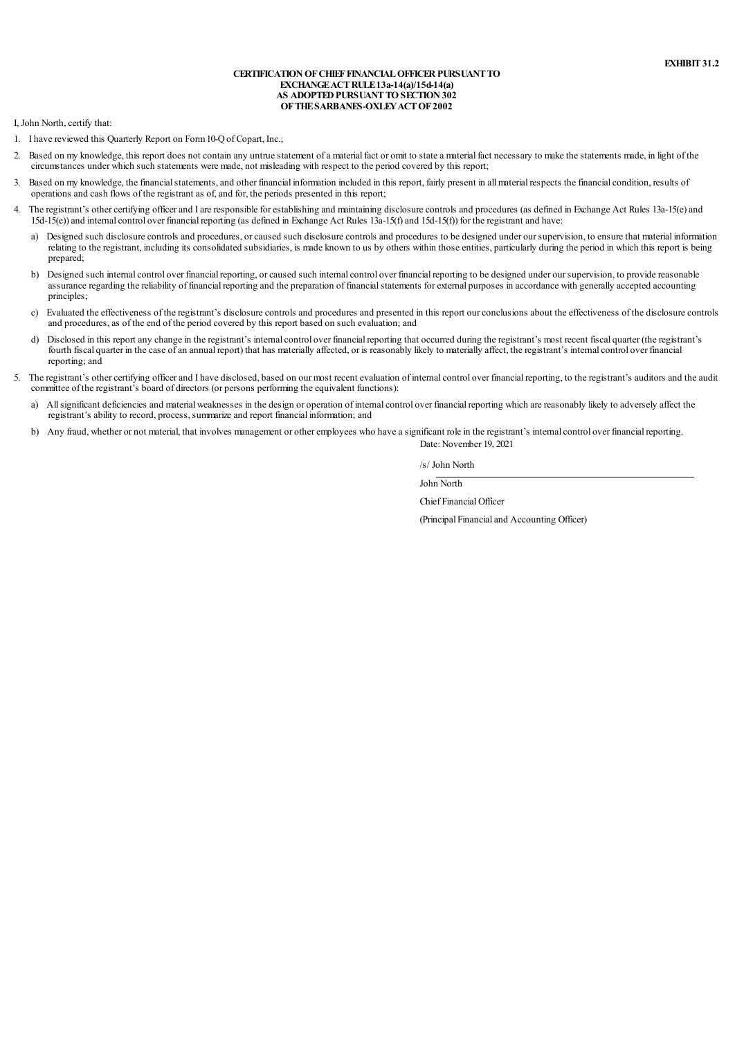### **CERTIFICATIONOFCHIEFFINANCIALOFFICERPURSUANTTO EXCHANGEACTRULE13a-14(a)/15d-14(a) AS ADOPTED PURSUANT TO SECTION 302 OFTHESARBANES-OXLEYACTOF2002**

I, John North, certify that:

- 1. I have reviewed this Quarterly Report on Form 10-Q of Copart, Inc.;
- 2. Based on my knowledge, this report does not contain any untrue statement ofa material fact or omit to state a material fact necessary to make the statements made, in light of the circumstances under which such statements were made, not misleading with respect to the period covered by this report;
- 3. Based on my knowledge, the financial statements, and other financial information included in this report, fairly present in all material respects the financial condition, results of operations and cash flows of the registrant as of, and for, the periods presented in this report;
- 4. The registrant's other certifying officer and I are responsible for establishing and maintaining disclosure controls and procedures (as defined in Exchange Act Rules 13a-15(e) and 15d-15(e)) and internal control over financial reporting (as defined in Exchange Act Rules 13a-15(f) and 15d-15(f)) for the registrant and have:
	- a) Designed such disclosure controls and procedures, orcaused such disclosure controls and procedures to be designed under oursupervision, to ensure that material information relating to the registrant, including its consolidated subsidiaries, is made known to us by others within those entities, particularly during the period in which this report is being prepared;
	- b) Designed such internalcontrol over financial reporting, orcaused such internalcontrol over financial reporting to be designed under oursupervision, to provide reasonable assurance regarding the reliability of financial reporting and the preparation of financial statements for external purposes in accordance with generally accepted accounting principles;
	- c) Evaluated the effectiveness of the registrant's disclosure controls and procedures and presented in this report ourconclusions about the effectiveness of the disclosure controls and procedures, as of the end of the period covered by this report based on such evaluation; and
	- d) Disclosed in this report any change in the registrant's internalcontrol over financial reporting that occurred during the registrant's most recent fiscal quarter (the registrant's fourth fiscal quarter in the case of an annual report) that has materially affected, or is reasonably likely to materially affect, the registrant's internal control over financial reporting; and
- <span id="page-45-0"></span>5. The registrant's other certifying officer and I have disclosed, based on our most recent evaluation of internal control over financial reporting, to the registrant's auditors and the audit committee of the registrant's board of directors (or persons performing the equivalent functions):
	- a) All significant deficiencies and material weaknesses in the design or operation of internal control over financial reporting which are reasonably likely to adversely affect the registrant's ability to record, process, summarize and report financial information; and
	- b) Any fraud, whether or not material, that involves management or other employees who have a significant role in the registrant's internal control over financial reporting.

/s/ John North

John North

Chief FinancialOfficer

Date: November 19, 2021

(Principal Financialand Accounting Officer)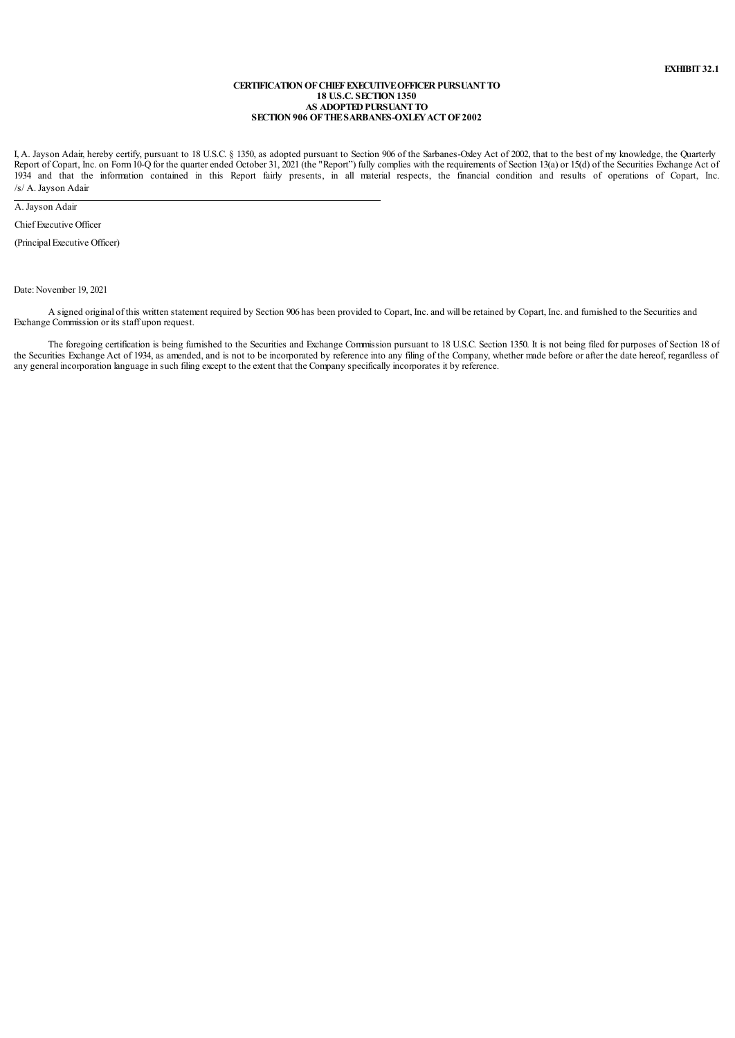### **CERTIFICATION OF CHIEF EXECUTIVE OFFICER PURSUANT TO 18 U.S.C. SECTION1350 AS ADOPTEDPURSUANTTO SECTION906 OFTHESARBANES-OXLEYACTOF2002**

I, A. Jayson Adair, hereby certify, pursuant to 18 U.S.C. § 1350, as adopted pursuant to Section 906 of the Sarbanes-Oxley Act of 2002, that to the best of my knowledge, the Quarterly Report of Copart, Inc. on Form 10-Q for the quarter ended October 31, 2021 (the "Report") fully complies with the requirements of Section 13(a) or 15(d) of the Securities Exchange Act of 1934 and that the information contained in this Report fairly presents, in all material respects, the financial condition and results of operations of Copart, Inc. /s/ A. Jayson Adair

A. Jayson Adair

Chief Executive Officer

(Principal Executive Officer)

Date: November 19, 2021

A signed original of this written statement required by Section 906 has been provided to Copart, Inc.and will be retained by Copart, Inc.and furnished to the Securities and Exchange Commission or its staff upon request.

<span id="page-46-0"></span>The foregoing certification is being furnished to the Securities and Exchange Commission pursuant to 18 U.S.C. Section 1350. It is not being filed for purposes of Section 18 of the Securities Exchange Act of 1934, as amended, and is not to be incorporated by reference into any filing of the Company, whether made before or after the date hereof, regardless of any general incorporation language in such filing except to the extent that the Company specifically incorporates it by reference.